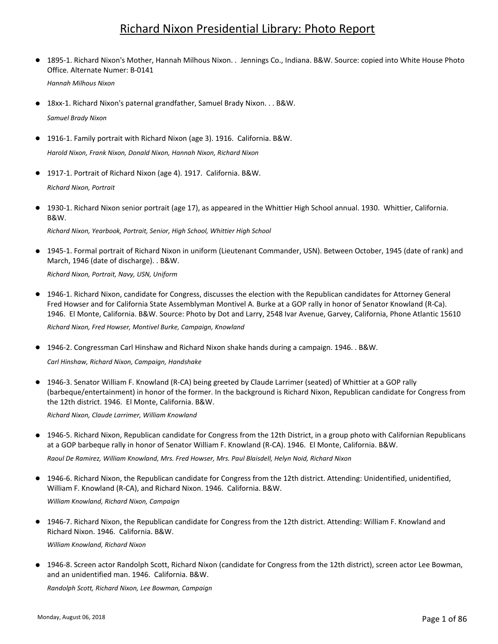## Richard Nixon Presidential Library: Photo Report

1895-1. Richard Nixon's Mother, Hannah Milhous Nixon. . Jennings Co., Indiana. B&W. Source: copied into White House Photo Office. Alternate Numer: B-0141  $\bullet$ *Hannah Milhous Nixon*

18xx-1. Richard Nixon's paternal grandfather, Samuel Brady Nixon. . . B&W. *Samuel Brady Nixon*

- 1916-1. Family portrait with Richard Nixon (age 3). 1916. California. B&W. *Harold Nixon, Frank Nixon, Donald Nixon, Hannah Nixon, Richard Nixon*
- 1917-1. Portrait of Richard Nixon (age 4). 1917. California. B&W. *Richard Nixon, Portrait*
- 1930-1. Richard Nixon senior portrait (age 17), as appeared in the Whittier High School annual. 1930. Whittier, California. B&W.

*Richard Nixon, Yearbook, Portrait, Senior, High School, Whittier High School*

● 1945-1. Formal portrait of Richard Nixon in uniform (Lieutenant Commander, USN). Between October, 1945 (date of rank) and March, 1946 (date of discharge). . B&W.

*Richard Nixon, Portrait, Navy, USN, Uniform*

- 1946-1. Richard Nixon, candidate for Congress, discusses the election with the Republican candidates for Attorney General Fred Howser and for California State Assemblyman Montivel A. Burke at a GOP rally in honor of Senator Knowland (R-Ca). 1946. El Monte, California. B&W. Source: Photo by Dot and Larry, 2548 Ivar Avenue, Garvey, California, Phone Atlantic 15610 *Richard Nixon, Fred Howser, Montivel Burke, Campaign, Knowland*
- 1946-2. Congressman Carl Hinshaw and Richard Nixon shake hands during a campaign. 1946. . B&W.

*Carl Hinshaw, Richard Nixon, Campaign, Handshake*

● 1946-3. Senator William F. Knowland (R-CA) being greeted by Claude Larrimer (seated) of Whittier at a GOP rally (barbeque/entertainment) in honor of the former. In the background is Richard Nixon, Republican candidate for Congress from the 12th district. 1946. El Monte, California. B&W.

*Richard Nixon, Claude Larrimer, William Knowland*

1946-5. Richard Nixon, Republican candidate for Congress from the 12th District, in a group photo with Californian Republicans at a GOP barbeque rally in honor of Senator William F. Knowland (R-CA). 1946. El Monte, California. B&W.  $\bullet$ 

*Raoul De Ramirez, William Knowland, Mrs. Fred Howser, Mrs. Paul Blaisdell, Helyn Noid, Richard Nixon*

- 1946-6. Richard Nixon, the Republican candidate for Congress from the 12th district. Attending: Unidentified, unidentified, William F. Knowland (R-CA), and Richard Nixon. 1946. California. B&W. ● *William Knowland, Richard Nixon, Campaign*
- 1946-7. Richard Nixon, the Republican candidate for Congress from the 12th district. Attending: William F. Knowland and Richard Nixon. 1946. California. B&W. ● *William Knowland, Richard Nixon*
- 1946-8. Screen actor Randolph Scott, Richard Nixon (candidate for Congress from the 12th district), screen actor Lee Bowman, and an unidentified man. 1946. California. B&W.

*Randolph Scott, Richard Nixon, Lee Bowman, Campaign*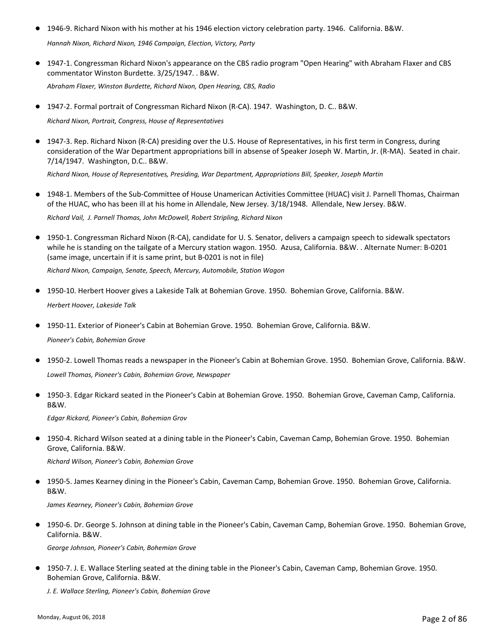- 1946-9. Richard Nixon with his mother at his 1946 election victory celebration party. 1946. California. B&W. *Hannah Nixon, Richard Nixon, 1946 Campaign, Election, Victory, Party*
- 1947-1. Congressman Richard Nixon's appearance on the CBS radio program "Open Hearing" with Abraham Flaxer and CBS commentator Winston Burdette. 3/25/1947. . B&W.

*Abraham Flaxer, Winston Burdette, Richard Nixon, Open Hearing, CBS, Radio*

● 1947-2. Formal portrait of Congressman Richard Nixon (R-CA). 1947. Washington, D. C.. B&W.

*Richard Nixon, Portrait, Congress, House of Representatives*

● 1947-3. Rep. Richard Nixon (R-CA) presiding over the U.S. House of Representatives, in his first term in Congress, during consideration of the War Department appropriations bill in absense of Speaker Joseph W. Martin, Jr. (R-MA). Seated in chair. 7/14/1947. Washington, D.C.. B&W.

*Richard Nixon, House of Representatives, Presiding, War Department, Appropriations Bill, Speaker, Joseph Martin*

● 1948-1. Members of the Sub-Committee of House Unamerican Activities Committee (HUAC) visit J. Parnell Thomas, Chairman of the HUAC, who has been ill at his home in Allendale, New Jersey. 3/18/1948. Allendale, New Jersey. B&W.

*Richard Vail, J. Parnell Thomas, John McDowell, Robert Stripling, Richard Nixon*

● 1950-1. Congressman Richard Nixon (R-CA), candidate for U.S. Senator, delivers a campaign speech to sidewalk spectators while he is standing on the tailgate of a Mercury station wagon. 1950. Azusa, California. B&W. . Alternate Numer: B-0201 (same image, uncertain if it is same print, but B-0201 is not in file)

*Richard Nixon, Campaign, Senate, Speech, Mercury, Automobile, Station Wagon*

- 1950-10. Herbert Hoover gives a Lakeside Talk at Bohemian Grove. 1950. Bohemian Grove, California. B&W. *Herbert Hoover, Lakeside Talk*
- 1950-11. Exterior of Pioneer's Cabin at Bohemian Grove. 1950. Bohemian Grove, California. B&W. *Pioneer's Cabin, Bohemian Grove*
- 1950-2. Lowell Thomas reads a newspaper in the Pioneer's Cabin at Bohemian Grove. 1950. Bohemian Grove, California. B&W. *Lowell Thomas, Pioneer's Cabin, Bohemian Grove, Newspaper*
- 1950-3. Edgar Rickard seated in the Pioneer's Cabin at Bohemian Grove. 1950. Bohemian Grove, Caveman Camp, California. B&W.

*Edgar Rickard, Pioneer's Cabin, Bohemian Grov*

● 1950-4. Richard Wilson seated at a dining table in the Pioneer's Cabin, Caveman Camp, Bohemian Grove. 1950. Bohemian Grove, California. B&W.

*Richard Wilson, Pioneer's Cabin, Bohemian Grove*

● 1950-5. James Kearney dining in the Pioneer's Cabin, Caveman Camp, Bohemian Grove. 1950. Bohemian Grove, California. B&W.

*James Kearney, Pioneer's Cabin, Bohemian Grove*

● 1950-6. Dr. George S. Johnson at dining table in the Pioneer's Cabin, Caveman Camp, Bohemian Grove. 1950. Bohemian Grove, California. B&W.

*George Johnson, Pioneer's Cabin, Bohemian Grove*

● 1950-7. J. E. Wallace Sterling seated at the dining table in the Pioneer's Cabin, Caveman Camp, Bohemian Grove. 1950. Bohemian Grove, California. B&W.

*J. E. Wallace Sterling, Pioneer's Cabin, Bohemian Grove*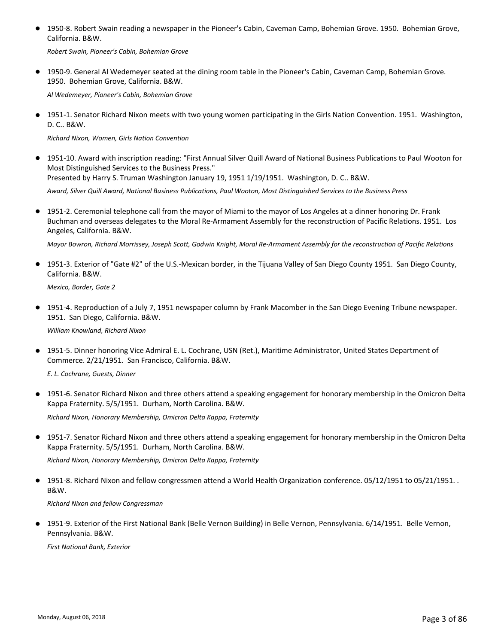● 1950-8. Robert Swain reading a newspaper in the Pioneer's Cabin, Caveman Camp, Bohemian Grove. 1950. Bohemian Grove, California. B&W.

*Robert Swain, Pioneer's Cabin, Bohemian Grove*

● 1950-9. General Al Wedemeyer seated at the dining room table in the Pioneer's Cabin, Caveman Camp, Bohemian Grove. 1950. Bohemian Grove, California. B&W.

*Al Wedemeyer, Pioneer's Cabin, Bohemian Grove*

● 1951-1. Senator Richard Nixon meets with two young women participating in the Girls Nation Convention. 1951. Washington, D. C.. B&W.

*Richard Nixon, Women, Girls Nation Convention*

● 1951-10. Award with inscription reading: "First Annual Silver Quill Award of National Business Publications to Paul Wooton for Most Distinguished Services to the Business Press." Presented by Harry S. Truman Washington January 19, 1951 1/19/1951. Washington, D. C.. B&W.

*Award, Silver Quill Award, National Business Publications, Paul Wooton, Most Distinguished Services to the Business Press*

1951-2. Ceremonial telephone call from the mayor of Miami to the mayor of Los Angeles at a dinner honoring Dr. Frank ● Buchman and overseas delegates to the Moral Re-Armament Assembly for the reconstruction of Pacific Relations. 1951. Los Angeles, California. B&W.

*Mayor Bowron, Richard Morrissey, Joseph Scott, Godwin Knight, Moral Re-Armament Assembly for the reconstruction of Pacific Relations*

1951-3. Exterior of "Gate #2" of the U.S.-Mexican border, in the Tijuana Valley of San Diego County 1951. San Diego County, ● California. B&W.

*Mexico, Border, Gate 2*

● 1951-4. Reproduction of a July 7, 1951 newspaper column by Frank Macomber in the San Diego Evening Tribune newspaper. 1951. San Diego, California. B&W.

*William Knowland, Richard Nixon*

● 1951-5. Dinner honoring Vice Admiral E. L. Cochrane, USN (Ret.), Maritime Administrator, United States Department of Commerce. 2/21/1951. San Francisco, California. B&W.

*E. L. Cochrane, Guests, Dinner*

1951-6. Senator Richard Nixon and three others attend a speaking engagement for honorary membership in the Omicron Delta ● Kappa Fraternity. 5/5/1951. Durham, North Carolina. B&W.

*Richard Nixon, Honorary Membership, Omicron Delta Kappa, Fraternity*

● 1951-7. Senator Richard Nixon and three others attend a speaking engagement for honorary membership in the Omicron Delta Kappa Fraternity. 5/5/1951. Durham, North Carolina. B&W.

*Richard Nixon, Honorary Membership, Omicron Delta Kappa, Fraternity*

● 1951-8. Richard Nixon and fellow congressmen attend a World Health Organization conference. 05/12/1951 to 05/21/1951. . B&W.

*Richard Nixon and fellow Congressman*

● 1951-9. Exterior of the First National Bank (Belle Vernon Building) in Belle Vernon, Pennsylvania. 6/14/1951. Belle Vernon, Pennsylvania. B&W.

*First National Bank, Exterior*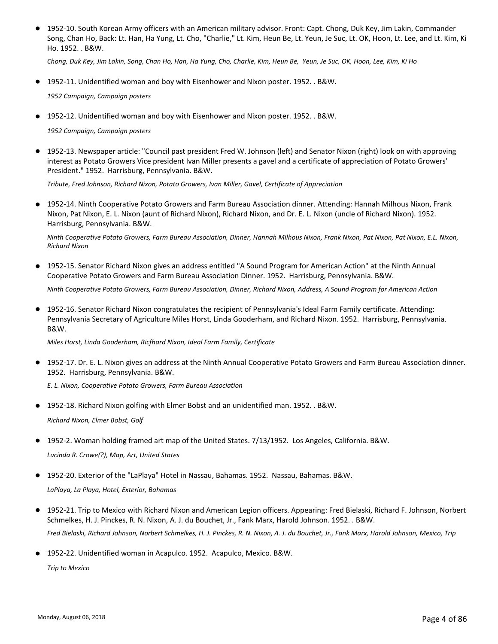● 1952-10. South Korean Army officers with an American military advisor. Front: Capt. Chong, Duk Key, Jim Lakin, Commander Song, Chan Ho, Back: Lt. Han, Ha Yung, Lt. Cho, "Charlie," Lt. Kim, Heun Be, Lt. Yeun, Je Suc, Lt. OK, Hoon, Lt. Lee, and Lt. Kim, Ki Ho. 1952. . B&W.

*Chong, Duk Key, Jim Lakin, Song, Chan Ho, Han, Ha Yung, Cho, Charlie, Kim, Heun Be, Yeun, Je Suc, OK, Hoon, Lee, Kim, Ki Ho*

● 1952-11. Unidentified woman and boy with Eisenhower and Nixon poster. 1952. . B&W.

*1952 Campaign, Campaign posters*

● 1952-12. Unidentified woman and boy with Eisenhower and Nixon poster. 1952. . B&W.

*1952 Campaign, Campaign posters*

● 1952-13. Newspaper article: "Council past president Fred W. Johnson (left) and Senator Nixon (right) look on with approving interest as Potato Growers Vice president Ivan Miller presents a gavel and a certificate of appreciation of Potato Growers' President." 1952. Harrisburg, Pennsylvania. B&W.

*Tribute, Fred Johnson, Richard Nixon, Potato Growers, Ivan Miller, Gavel, Certificate of Appreciation*

1952-14. Ninth Cooperative Potato Growers and Farm Bureau Association dinner. Attending: Hannah Milhous Nixon, Frank Nixon, Pat Nixon, E. L. Nixon (aunt of Richard Nixon), Richard Nixon, and Dr. E. L. Nixon (uncle of Richard Nixon). 1952. Harrisburg, Pennsylvania. B&W. ●

*Ninth Cooperative Potato Growers, Farm Bureau Association, Dinner, Hannah Milhous Nixon, Frank Nixon, Pat Nixon, Pat Nixon, E.L. Nixon, Richard Nixon*

● 1952-15. Senator Richard Nixon gives an address entitled "A Sound Program for American Action" at the Ninth Annual Cooperative Potato Growers and Farm Bureau Association Dinner. 1952. Harrisburg, Pennsylvania. B&W.

*Ninth Cooperative Potato Growers, Farm Bureau Association, Dinner, Richard Nixon, Address, A Sound Program for American Action*

1952-16. Senator Richard Nixon congratulates the recipient of Pennsylvania's Ideal Farm Family certificate. Attending: Pennsylvania Secretary of Agriculture Miles Horst, Linda Gooderham, and Richard Nixon. 1952. Harrisburg, Pennsylvania. B&W.  $\bullet$ 

*Miles Horst, Linda Gooderham, Ricfhard Nixon, Ideal Farm Family, Certificate*

1952-17. Dr. E. L. Nixon gives an address at the Ninth Annual Cooperative Potato Growers and Farm Bureau Association dinner. ● 1952. Harrisburg, Pennsylvania. B&W.

*E. L. Nixon, Cooperative Potato Growers, Farm Bureau Association*

● 1952-18. Richard Nixon golfing with Elmer Bobst and an unidentified man. 1952. . B&W.

*Richard Nixon, Elmer Bobst, Golf*

● 1952-2. Woman holding framed art map of the United States. 7/13/1952. Los Angeles, California. B&W.

*Lucinda R. Crowe(?), Map, Art, United States*

● 1952-20. Exterior of the "LaPlaya" Hotel in Nassau, Bahamas. 1952. Nassau, Bahamas. B&W.

*LaPlaya, La Playa, Hotel, Exterior, Bahamas*

- 1952-21. Trip to Mexico with Richard Nixon and American Legion officers. Appearing: Fred Bielaski, Richard F. Johnson, Norbert Schmelkes, H. J. Pinckes, R. N. Nixon, A. J. du Bouchet, Jr., Fank Marx, Harold Johnson. 1952. . B&W. *Fred Bielaski, Richard Johnson, Norbert Schmelkes, H. J. Pinckes, R. N. Nixon, A. J. du Bouchet, Jr., Fank Marx, Harold Johnson, Mexico, Trip*
- 1952-22. Unidentified woman in Acapulco. 1952. Acapulco, Mexico. B&W.

*Trip to Mexico*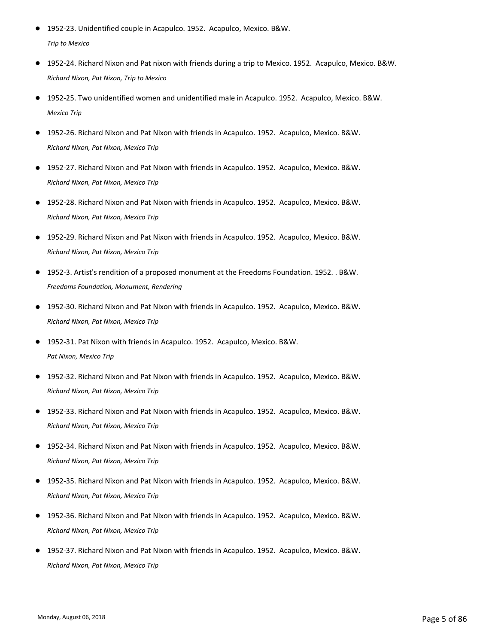- 1952-23. Unidentified couple in Acapulco. 1952. Acapulco, Mexico. B&W. *Trip to Mexico*
- 1952-24. Richard Nixon and Pat nixon with friends during a trip to Mexico. 1952. Acapulco, Mexico. B&W. *Richard Nixon, Pat Nixon, Trip to Mexico*
- 1952-25. Two unidentified women and unidentified male in Acapulco. 1952. Acapulco, Mexico. B&W. *Mexico Trip*
- 1952-26. Richard Nixon and Pat Nixon with friends in Acapulco. 1952. Acapulco, Mexico, B&W. *Richard Nixon, Pat Nixon, Mexico Trip*
- 1952-27. Richard Nixon and Pat Nixon with friends in Acapulco. 1952. Acapulco, Mexico. B&W. *Richard Nixon, Pat Nixon, Mexico Trip*
- 1952-28. Richard Nixon and Pat Nixon with friends in Acapulco. 1952. Acapulco, Mexico. B&W. *Richard Nixon, Pat Nixon, Mexico Trip*
- 1952-29. Richard Nixon and Pat Nixon with friends in Acapulco. 1952. Acapulco, Mexico. B&W. *Richard Nixon, Pat Nixon, Mexico Trip*
- 1952-3. Artist's rendition of a proposed monument at the Freedoms Foundation. 1952. . B&W. *Freedoms Foundation, Monument, Rendering*
- 1952-30. Richard Nixon and Pat Nixon with friends in Acapulco. 1952. Acapulco, Mexico. B&W. *Richard Nixon, Pat Nixon, Mexico Trip*
- 1952-31. Pat Nixon with friends in Acapulco. 1952. Acapulco, Mexico. B&W. *Pat Nixon, Mexico Trip*
- 1952-32. Richard Nixon and Pat Nixon with friends in Acapulco. 1952. Acapulco, Mexico. B&W. *Richard Nixon, Pat Nixon, Mexico Trip*
- 1952-33. Richard Nixon and Pat Nixon with friends in Acapulco. 1952. Acapulco, Mexico. B&W. *Richard Nixon, Pat Nixon, Mexico Trip*
- 1952-34. Richard Nixon and Pat Nixon with friends in Acapulco. 1952. Acapulco, Mexico. B&W. *Richard Nixon, Pat Nixon, Mexico Trip*
- 1952-35. Richard Nixon and Pat Nixon with friends in Acapulco. 1952. Acapulco, Mexico. B&W. *Richard Nixon, Pat Nixon, Mexico Trip*
- 1952-36. Richard Nixon and Pat Nixon with friends in Acapulco. 1952. Acapulco, Mexico. B&W. *Richard Nixon, Pat Nixon, Mexico Trip*
- 1952-37. Richard Nixon and Pat Nixon with friends in Acapulco. 1952. Acapulco, Mexico. B&W. *Richard Nixon, Pat Nixon, Mexico Trip*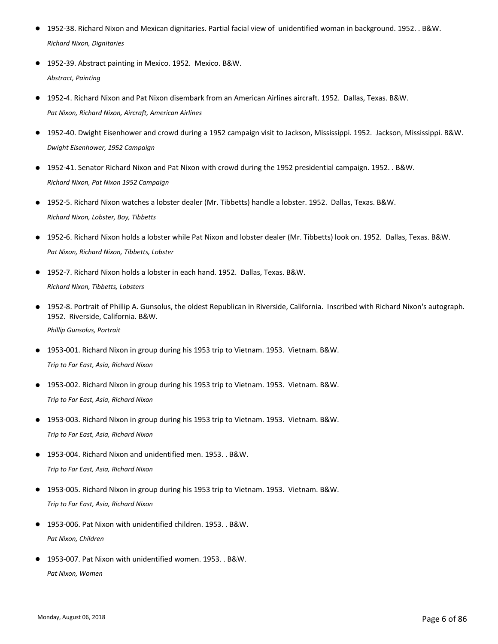- 1952-38. Richard Nixon and Mexican dignitaries. Partial facial view of unidentified woman in background. 1952. . B&W. *Richard Nixon, Dignitaries*
- 1952-39. Abstract painting in Mexico. 1952. Mexico. B&W. *Abstract, Painting*
- 1952-4. Richard Nixon and Pat Nixon disembark from an American Airlines aircraft. 1952. Dallas, Texas. B&W. *Pat Nixon, Richard Nixon, Aircraft, American Airlines*
- 1952-40. Dwight Eisenhower and crowd during a 1952 campaign visit to Jackson. Mississippi. 1952. Jackson, Mississippi. B&W. *Dwight Eisenhower, 1952 Campaign*
- 1952-41. Senator Richard Nixon and Pat Nixon with crowd during the 1952 presidential campaign. 1952. . B&W. *Richard Nixon, Pat Nixon 1952 Campaign*
- 1952-5. Richard Nixon watches a lobster dealer (Mr. Tibbetts) handle a lobster. 1952. Dallas, Texas. B&W. *Richard Nixon, Lobster, Boy, Tibbetts*
- 1952-6. Richard Nixon holds a lobster while Pat Nixon and lobster dealer (Mr. Tibbetts) look on. 1952. Dallas, Texas. B&W. *Pat Nixon, Richard Nixon, Tibbetts, Lobster*
- 1952-7. Richard Nixon holds a lobster in each hand. 1952. Dallas, Texas. B&W. *Richard Nixon, Tibbetts, Lobsters*
- 1952-8. Portrait of Phillip A. Gunsolus, the oldest Republican in Riverside, California. Inscribed with Richard Nixon's autograph. 1952. Riverside, California. B&W.  $\bullet$ *Phillip Gunsolus, Portrait*
- 1953-001. Richard Nixon in group during his 1953 trip to Vietnam. 1953. Vietnam. B&W. *Trip to Far East, Asia, Richard Nixon*
- 1953-002. Richard Nixon in group during his 1953 trip to Vietnam. 1953. Vietnam. B&W. *Trip to Far East, Asia, Richard Nixon*
- 1953-003. Richard Nixon in group during his 1953 trip to Vietnam. 1953. Vietnam. B&W. *Trip to Far East, Asia, Richard Nixon*
- 1953-004. Richard Nixon and unidentified men. 1953. . B&W. *Trip to Far East, Asia, Richard Nixon*
- 1953-005. Richard Nixon in group during his 1953 trip to Vietnam. 1953. Vietnam. B&W. *Trip to Far East, Asia, Richard Nixon*
- 1953-006. Pat Nixon with unidentified children. 1953. . B&W. *Pat Nixon, Children*
- 1953-007. Pat Nixon with unidentified women. 1953. . B&W. *Pat Nixon, Women*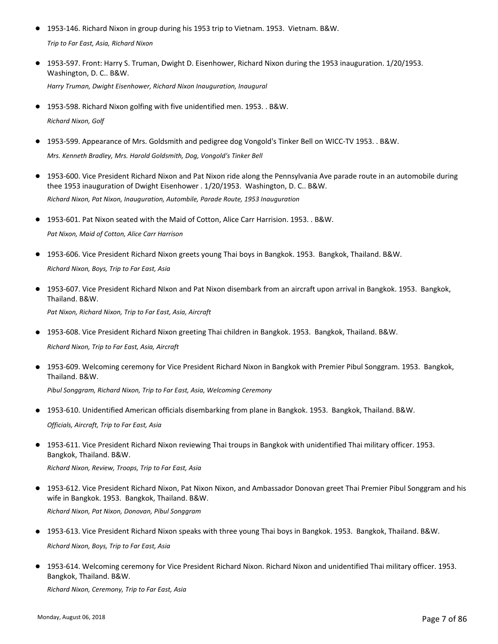- 1953-146. Richard Nixon in group during his 1953 trip to Vietnam. 1953. Vietnam. B&W. *Trip to Far East, Asia, Richard Nixon*
- 1953-597. Front: Harry S. Truman, Dwight D. Eisenhower, Richard Nixon during the 1953 inauguration. 1/20/1953. Washington, D. C.. B&W. *Harry Truman, Dwight Eisenhower, Richard Nixon Inauguration, Inaugural*
- 1953-598. Richard Nixon golfing with five unidentified men. 1953. . B&W. *Richard Nixon, Golf*
- 1953-599. Appearance of Mrs. Goldsmith and pedigree dog Vongold's Tinker Bell on WICC-TV 1953. . B&W. *Mrs. Kenneth Bradley, Mrs. Harold Goldsmith, Dog, Vongold's Tinker Bell*
- 1953-600. Vice President Richard Nixon and Pat Nixon ride along the Pennsylvania Ave parade route in an automobile during thee 1953 inauguration of Dwight Eisenhower . 1/20/1953. Washington, D. C.. B&W. *Richard Nixon, Pat Nixon, Inauguration, Autombile, Parade Route, 1953 Inauguration*
- 1953-601. Pat Nixon seated with the Maid of Cotton, Alice Carr Harrision. 1953. . B&W. *Pat Nixon, Maid of Cotton, Alice Carr Harrison*
- 1953-606. Vice President Richard Nixon greets young Thai boys in Bangkok. 1953. Bangkok, Thailand. B&W. *Richard Nixon, Boys, Trip to Far East, Asia*
- 1953-607. Vice President Richard NIxon and Pat Nixon disembark from an aircraft upon arrival in Bangkok. 1953. Bangkok, Thailand. B&W. *Pat Nixon, Richard Nixon, Trip to Far East, Asia, Aircraft*
- 1953-608. Vice President Richard Nixon greeting Thai children in Bangkok. 1953. Bangkok, Thailand. B&W.

*Richard Nixon, Trip to Far East, Asia, Aircraft*

1953-609. Welcoming ceremony for Vice President Richard Nixon in Bangkok with Premier Pibul Songgram. 1953. Bangkok, ● Thailand. B&W.

*Pibul Songgram, Richard Nixon, Trip to Far East, Asia, Welcoming Ceremony*

- 1953-610. Unidentified American officials disembarking from plane in Bangkok. 1953. Bangkok, Thailand. B&W. *Officials, Aircraft, Trip to Far East, Asia*
- 1953-611. Vice President Richard Nixon reviewing Thai troups in Bangkok with unidentified Thai military officer. 1953. Bangkok, Thailand. B&W.

*Richard Nixon, Review, Troops, Trip to Far East, Asia*

- 1953-612. Vice President Richard Nixon, Pat Nixon Nixon, and Ambassador Donovan greet Thai Premier Pibul Songgram and his wife in Bangkok. 1953. Bangkok, Thailand. B&W. *Richard Nixon, Pat Nixon, Donovan, Pibul Songgram*
- 1953-613. Vice President Richard Nixon speaks with three young Thai boys in Bangkok. 1953. Bangkok, Thailand. B&W. *Richard Nixon, Boys, Trip to Far East, Asia*
- 1953-614. Welcoming ceremony for Vice President Richard Nixon. Richard Nixon and unidentified Thai military officer. 1953. Bangkok, Thailand. B&W.

*Richard Nixon, Ceremony, Trip to Far East, Asia*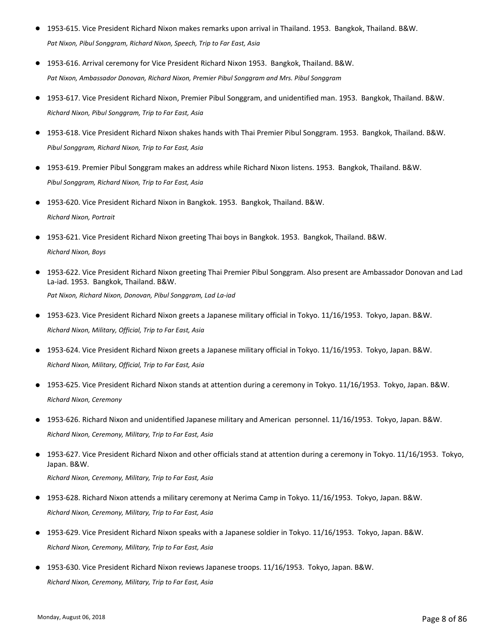- 1953-615. Vice President Richard Nixon makes remarks upon arrival in Thailand. 1953. Bangkok, Thailand. B&W. *Pat Nixon, Pibul Songgram, Richard Nixon, Speech, Trip to Far East, Asia*
- 1953-616. Arrival ceremony for Vice President Richard Nixon 1953. Bangkok, Thailand. B&W. *Pat Nixon, Ambassador Donovan, Richard Nixon, Premier Pibul Songgram and Mrs. Pibul Songgram*
- 1953-617. Vice President Richard Nixon, Premier Pibul Songgram, and unidentified man. 1953. Bangkok, Thailand. B&W. *Richard Nixon, Pibul Songgram, Trip to Far East, Asia*
- 1953-618. Vice President Richard Nixon shakes hands with Thai Premier Pibul Songgram. 1953. Bangkok, Thailand. B&W. *Pibul Songgram, Richard Nixon, Trip to Far East, Asia*
- 1953-619. Premier Pibul Songgram makes an address while Richard Nixon listens. 1953. Bangkok, Thailand. B&W. *Pibul Songgram, Richard Nixon, Trip to Far East, Asia*
- 1953-620. Vice President Richard Nixon in Bangkok. 1953. Bangkok, Thailand. B&W. *Richard Nixon, Portrait*
- 1953-621. Vice President Richard Nixon greeting Thai boys in Bangkok. 1953. Bangkok, Thailand. B&W. *Richard Nixon, Boys*
- 1953-622. Vice President Richard Nixon greeting Thai Premier Pibul Songgram. Also present are Ambassador Donovan and Lad La-iad. 1953. Bangkok, Thailand. B&W. *Pat Nixon, Richard Nixon, Donovan, Pibul Songgram, Lad La‐iad*
- 1953-623. Vice President Richard Nixon greets a Japanese military official in Tokyo. 11/16/1953. Tokyo, Japan. B&W. *Richard Nixon, Military, Official, Trip to Far East, Asia*
- 1953-624. Vice President Richard Nixon greets a Japanese military official in Tokyo. 11/16/1953. Tokyo, Japan. B&W. *Richard Nixon, Military, Official, Trip to Far East, Asia*
- 1953-625. Vice President Richard Nixon stands at attention during a ceremony in Tokyo. 11/16/1953. Tokyo, Japan. B&W. *Richard Nixon, Ceremony*
- 1953-626. Richard Nixon and unidentified Japanese military and American personnel. 11/16/1953. Tokyo, Japan. B&W. *Richard Nixon, Ceremony, Military, Trip to Far East, Asia*
- 1953-627. Vice President Richard Nixon and other officials stand at attention during a ceremony in Tokyo. 11/16/1953. Tokyo, Japan. B&W. ● *Richard Nixon, Ceremony, Military, Trip to Far East, Asia*
- 1953-628. Richard Nixon attends a military ceremony at Nerima Camp in Tokyo. 11/16/1953. Tokyo, Japan. B&W. *Richard Nixon, Ceremony, Military, Trip to Far East, Asia*
- 1953-629. Vice President Richard Nixon speaks with a Japanese soldier in Tokyo. 11/16/1953. Tokyo, Japan. B&W. *Richard Nixon, Ceremony, Military, Trip to Far East, Asia*
- 1953-630. Vice President Richard Nixon reviews Japanese troops. 11/16/1953. Tokyo, Japan. B&W. *Richard Nixon, Ceremony, Military, Trip to Far East, Asia*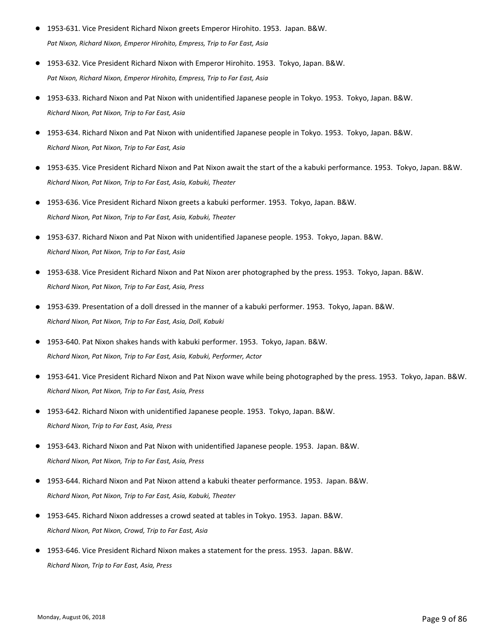- 1953-631. Vice President Richard Nixon greets Emperor Hirohito. 1953. Japan. B&W. *Pat Nixon, Richard Nixon, Emperor Hirohito, Empress, Trip to Far East, Asia*
- 1953-632. Vice President Richard Nixon with Emperor Hirohito. 1953. Tokyo, Japan. B&W. *Pat Nixon, Richard Nixon, Emperor Hirohito, Empress, Trip to Far East, Asia*
- 1953-633. Richard Nixon and Pat Nixon with unidentified Japanese people in Tokyo. 1953. Tokyo, Japan. B&W. *Richard Nixon, Pat Nixon, Trip to Far East, Asia*
- 1953-634. Richard Nixon and Pat Nixon with unidentified Japanese people in Tokyo. 1953. Tokyo, Japan. B&W. *Richard Nixon, Pat Nixon, Trip to Far East, Asia*
- 1953-635. Vice President Richard Nixon and Pat Nixon await the start of the a kabuki performance. 1953. Tokyo, Japan. B&W. *Richard Nixon, Pat Nixon, Trip to Far East, Asia, Kabuki, Theater*
- 1953-636. Vice President Richard Nixon greets a kabuki performer. 1953. Tokyo, Japan. B&W. *Richard Nixon, Pat Nixon, Trip to Far East, Asia, Kabuki, Theater*
- 1953-637. Richard Nixon and Pat Nixon with unidentified Japanese people. 1953. Tokyo, Japan. B&W. *Richard Nixon, Pat Nixon, Trip to Far East, Asia*
- 1953-638. Vice President Richard Nixon and Pat Nixon arer photographed by the press. 1953. Tokyo, Japan. B&W. *Richard Nixon, Pat Nixon, Trip to Far East, Asia, Press*
- 1953-639. Presentation of a doll dressed in the manner of a kabuki performer. 1953. Tokyo, Japan. B&W. *Richard Nixon, Pat Nixon, Trip to Far East, Asia, Doll, Kabuki*
- 1953-640. Pat Nixon shakes hands with kabuki performer. 1953. Tokyo, Japan. B&W. *Richard Nixon, Pat Nixon, Trip to Far East, Asia, Kabuki, Performer, Actor*
- 1953-641. Vice President Richard Nixon and Pat Nixon wave while being photographed by the press. 1953. Tokyo, Japan. B&W. *Richard Nixon, Pat Nixon, Trip to Far East, Asia, Press*
- 1953-642. Richard Nixon with unidentified Japanese people. 1953. Tokyo, Japan. B&W. *Richard Nixon, Trip to Far East, Asia, Press*
- 1953-643. Richard Nixon and Pat Nixon with unidentified Japanese people. 1953. Japan. B&W. *Richard Nixon, Pat Nixon, Trip to Far East, Asia, Press*
- 1953-644. Richard Nixon and Pat Nixon attend a kabuki theater performance. 1953. Japan. B&W. *Richard Nixon, Pat Nixon, Trip to Far East, Asia, Kabuki, Theater*
- 1953-645. Richard Nixon addresses a crowd seated at tables in Tokyo. 1953. Japan. B&W. *Richard Nixon, Pat Nixon, Crowd, Trip to Far East, Asia*
- 1953-646. Vice President Richard Nixon makes a statement for the press. 1953. Japan. B&W. *Richard Nixon, Trip to Far East, Asia, Press*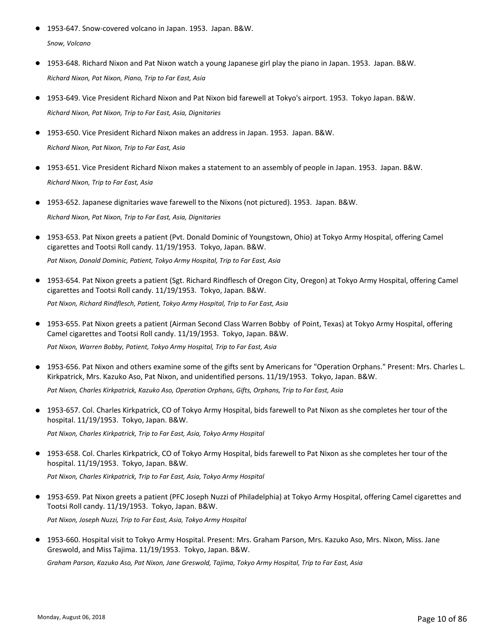- 1953-647. Snow-covered volcano in Japan. 1953. Japan. B&W. *Snow, Volcano*
- 1953-648. Richard Nixon and Pat Nixon watch a young Japanese girl play the piano in Japan. 1953. Japan. B&W. *Richard Nixon, Pat Nixon, Piano, Trip to Far East, Asia*
- 1953-649. Vice President Richard Nixon and Pat Nixon bid farewell at Tokyo's airport. 1953. Tokyo Japan. B&W. *Richard Nixon, Pat Nixon, Trip to Far East, Asia, Dignitaries*
- 1953-650. Vice President Richard Nixon makes an address in Japan. 1953. Japan. B&W. *Richard Nixon, Pat Nixon, Trip to Far East, Asia*
- 1953-651. Vice President Richard Nixon makes a statement to an assembly of people in Japan. 1953. Japan. B&W. *Richard Nixon, Trip to Far East, Asia*
- 1953-652. Japanese dignitaries wave farewell to the Nixons (not pictured). 1953. Japan. B&W. *Richard Nixon, Pat Nixon, Trip to Far East, Asia, Dignitaries*
- 1953-653. Pat Nixon greets a patient (Pvt. Donald Dominic of Youngstown, Ohio) at Tokyo Army Hospital, offering Camel cigarettes and Tootsi Roll candy. 11/19/1953. Tokyo, Japan. B&W. *Pat Nixon, Donald Dominic, Patient, Tokyo Army Hospital, Trip to Far East, Asia*
- 1953-654. Pat Nixon greets a patient (Sgt. Richard Rindflesch of Oregon City, Oregon) at Tokyo Army Hospital, offering Camel cigarettes and Tootsi Roll candy. 11/19/1953. Tokyo, Japan. B&W. *Pat Nixon, Richard Rindflesch, Patient, Tokyo Army Hospital, Trip to Far East, Asia*
- 1953-655. Pat Nixon greets a patient (Airman Second Class Warren Bobby of Point, Texas) at Tokyo Army Hospital, offering Camel cigarettes and Tootsi Roll candy. 11/19/1953. Tokyo, Japan. B&W. *Pat Nixon, Warren Bobby, Patient, Tokyo Army Hospital, Trip to Far East, Asia*
- 1953-656. Pat Nixon and others examine some of the gifts sent by Americans for "Operation Orphans." Present: Mrs. Charles L. Kirkpatrick, Mrs. Kazuko Aso, Pat Nixon, and unidentified persons. 11/19/1953. Tokyo, Japan. B&W. *Pat Nixon, Charles Kirkpatrick, Kazuko Aso, Operation Orphans, Gifts, Orphans, Trip to Far East, Asia*
- 1953-657. Col. Charles Kirkpatrick, CO of Tokyo Army Hospital, bids farewell to Pat Nixon as she completes her tour of the hospital. 11/19/1953. Tokyo, Japan. B&W. *Pat Nixon, Charles Kirkpatrick, Trip to Far East, Asia, Tokyo Army Hospital*
- 1953-658. Col. Charles Kirkpatrick, CO of Tokyo Army Hospital, bids farewell to Pat Nixon as she completes her tour of the hospital. 11/19/1953. Tokyo, Japan. B&W.

*Pat Nixon, Charles Kirkpatrick, Trip to Far East, Asia, Tokyo Army Hospital*

- 1953-659. Pat Nixon greets a patient (PFC Joseph Nuzzi of Philadelphia) at Tokyo Army Hospital, offering Camel cigarettes and Tootsi Roll candy. 11/19/1953. Tokyo, Japan. B&W. *Pat Nixon, Joseph Nuzzi, Trip to Far East, Asia, Tokyo Army Hospital*
- 1953-660. Hospital visit to Tokyo Army Hospital. Present: Mrs. Graham Parson, Mrs. Kazuko Aso, Mrs. Nixon, Miss. Jane Greswold, and Miss Tajima. 11/19/1953. Tokyo, Japan. B&W.

*Graham Parson, Kazuko Aso, Pat Nixon, Jane Greswold, Tajima, Tokyo Army Hospital, Trip to Far East, Asia*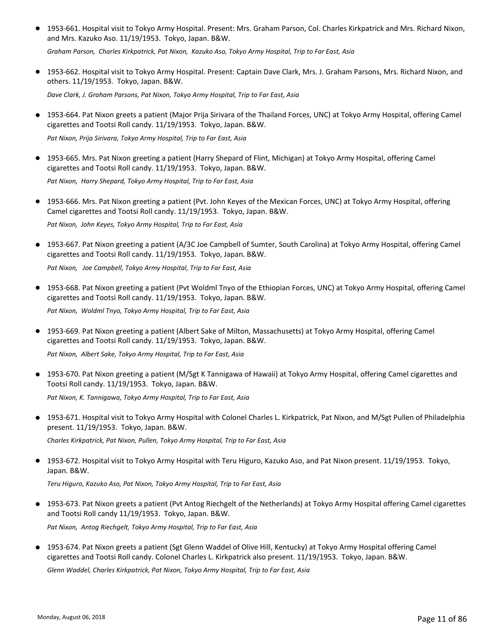● 1953-661. Hospital visit to Tokyo Army Hospital. Present: Mrs. Graham Parson, Col. Charles Kirkpatrick and Mrs. Richard Nixon, and Mrs. Kazuko Aso. 11/19/1953. Tokyo, Japan. B&W.

*Graham Parson, Charles Kirkpatrick, Pat Nixon, Kazuko Aso, Tokyo Army Hospital, Trip to Far East, Asia*

● 1953-662. Hospital visit to Tokyo Army Hospital. Present: Captain Dave Clark, Mrs. J. Graham Parsons, Mrs. Richard Nixon, and others. 11/19/1953. Tokyo, Japan. B&W.

*Dave Clark, J. Graham Parsons, Pat Nixon, Tokyo Army Hospital, Trip to Far East, Asia*

● 1953-664. Pat Nixon greets a patient (Major Prija Sirivara of the Thailand Forces, UNC) at Tokyo Army Hospital, offering Camel cigarettes and Tootsi Roll candy. 11/19/1953. Tokyo, Japan. B&W.

*Pat Nixon, Prija Sirivara, Tokyo Army Hospital, Trip to Far East, Asia*

● 1953-665. Mrs. Pat Nixon greeting a patient (Harry Shepard of Flint, Michigan) at Tokyo Army Hospital, offering Camel cigarettes and Tootsi Roll candy. 11/19/1953. Tokyo, Japan. B&W.

*Pat Nixon, Harry Shepard, Tokyo Army Hospital, Trip to Far East, Asia*

- 1953-666. Mrs. Pat Nixon greeting a patient (Pvt. John Keyes of the Mexican Forces, UNC) at Tokyo Army Hospital, offering Camel cigarettes and Tootsi Roll candy. 11/19/1953. Tokyo, Japan. B&W. *Pat Nixon, John Keyes, Tokyo Army Hospital, Trip to Far East, Asia*
- 1953-667. Pat Nixon greeting a patient (A/3C Joe Campbell of Sumter, South Carolina) at Tokyo Army Hospital, offering Camel cigarettes and Tootsi Roll candy. 11/19/1953. Tokyo, Japan. B&W.

*Pat Nixon, Joe Campbell, Tokyo Army Hospital, Trip to Far East, Asia*

● 1953-668. Pat Nixon greeting a patient (Pvt Woldml Tnyo of the Ethiopian Forces, UNC) at Tokyo Army Hospital, offering Camel cigarettes and Tootsi Roll candy. 11/19/1953. Tokyo, Japan. B&W.

*Pat Nixon, Woldml Tnyo, Tokyo Army Hospital, Trip to Far East, Asia*

● 1953-669. Pat Nixon greeting a patient (Albert Sake of Milton, Massachusetts) at Tokyo Army Hospital, offering Camel cigarettes and Tootsi Roll candy. 11/19/1953. Tokyo, Japan. B&W.

*Pat Nixon, Albert Sake, Tokyo Army Hospital, Trip to Far East, Asia*

● 1953-670. Pat Nixon greeting a patient (M/Sgt K Tannigawa of Hawaii) at Tokyo Army Hospital, offering Camel cigarettes and Tootsi Roll candy. 11/19/1953. Tokyo, Japan. B&W.

*Pat Nixon, K. Tannigawa, Tokyo Army Hospital, Trip to Far East, Asia*

● 1953-671. Hospital visit to Tokyo Army Hospital with Colonel Charles L. Kirkpatrick, Pat Nixon, and M/Sgt Pullen of Philadelphia present. 11/19/1953. Tokyo, Japan. B&W.

*Charles Kirkpatrick, Pat Nixon, Pullen, Tokyo Army Hospital, Trip to Far East, Asia*

● 1953-672. Hospital visit to Tokyo Army Hospital with Teru Higuro, Kazuko Aso, and Pat Nixon present. 11/19/1953. Tokyo, Japan. B&W.

*Teru Higuro, Kazuko Aso, Pat Nixon, Tokyo Army Hospital, Trip to Far East, Asia*

- 1953-673. Pat Nixon greets a patient (Pvt Antog Riechgelt of the Netherlands) at Tokyo Army Hospital offering Camel cigarettes and Tootsi Roll candy 11/19/1953. Tokyo, Japan. B&W. *Pat Nixon, Antog Riechgelt, Tokyo Army Hospital, Trip to Far East, Asia*
- 1953-674. Pat Nixon greets a patient (Sgt Glenn Waddel of Olive Hill, Kentucky) at Tokyo Army Hospital offering Camel cigarettes and Tootsi Roll candy. Colonel Charles L. Kirkpatrick also present. 11/19/1953. Tokyo, Japan. B&W.

*Glenn Waddel, Charles Kirkpatrick, Pat Nixon, Tokyo Army Hospital, Trip to Far East, Asia*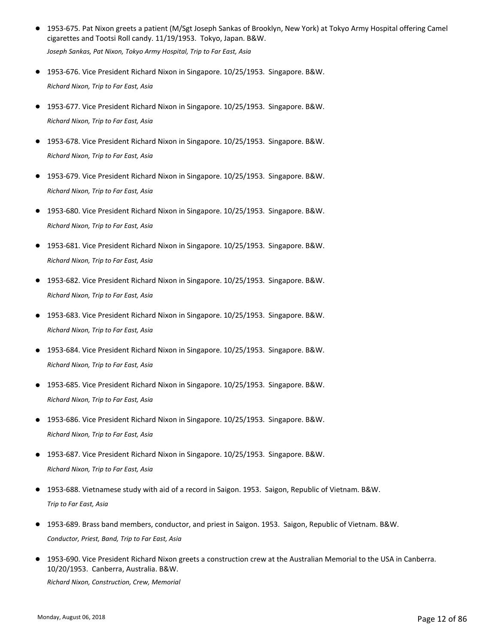1953-675. Pat Nixon greets a patient (M/Sgt Joseph Sankas of Brooklyn, New York) at Tokyo Army Hospital offering Camel cigarettes and Tootsi Roll candy. 11/19/1953. Tokyo, Japan. B&W. ●

*Joseph Sankas, Pat Nixon, Tokyo Army Hospital, Trip to Far East, Asia*

- 1953-676. Vice President Richard Nixon in Singapore. 10/25/1953. Singapore. B&W. *Richard Nixon, Trip to Far East, Asia*
- 1953-677. Vice President Richard Nixon in Singapore. 10/25/1953. Singapore. B&W. *Richard Nixon, Trip to Far East, Asia*
- 1953-678. Vice President Richard Nixon in Singapore. 10/25/1953. Singapore. B&W. *Richard Nixon, Trip to Far East, Asia*
- 1953-679. Vice President Richard Nixon in Singapore. 10/25/1953. Singapore. B&W. *Richard Nixon, Trip to Far East, Asia*
- 1953-680. Vice President Richard Nixon in Singapore. 10/25/1953. Singapore. B&W. *Richard Nixon, Trip to Far East, Asia*
- 1953-681. Vice President Richard Nixon in Singapore. 10/25/1953. Singapore. B&W. *Richard Nixon, Trip to Far East, Asia*
- 1953-682. Vice President Richard Nixon in Singapore. 10/25/1953. Singapore. B&W. *Richard Nixon, Trip to Far East, Asia*
- 1953-683. Vice President Richard Nixon in Singapore. 10/25/1953. Singapore. B&W. *Richard Nixon, Trip to Far East, Asia*
- 1953-684. Vice President Richard Nixon in Singapore. 10/25/1953. Singapore. B&W. *Richard Nixon, Trip to Far East, Asia*
- 1953-685. Vice President Richard Nixon in Singapore. 10/25/1953. Singapore. B&W. *Richard Nixon, Trip to Far East, Asia*
- 1953-686. Vice President Richard Nixon in Singapore. 10/25/1953. Singapore. B&W. *Richard Nixon, Trip to Far East, Asia*
- 1953-687. Vice President Richard Nixon in Singapore. 10/25/1953. Singapore. B&W. *Richard Nixon, Trip to Far East, Asia*
- 1953-688. Vietnamese study with aid of a record in Saigon. 1953. Saigon, Republic of Vietnam. B&W. *Trip to Far East, Asia*
- 1953-689. Brass band members, conductor, and priest in Saigon. 1953. Saigon, Republic of Vietnam. B&W. *Conductor, Priest, Band, Trip to Far East, Asia*
- 1953-690. Vice President Richard Nixon greets a construction crew at the Australian Memorial to the USA in Canberra. 10/20/1953. Canberra, Australia. B&W. *Richard Nixon, Construction, Crew, Memorial*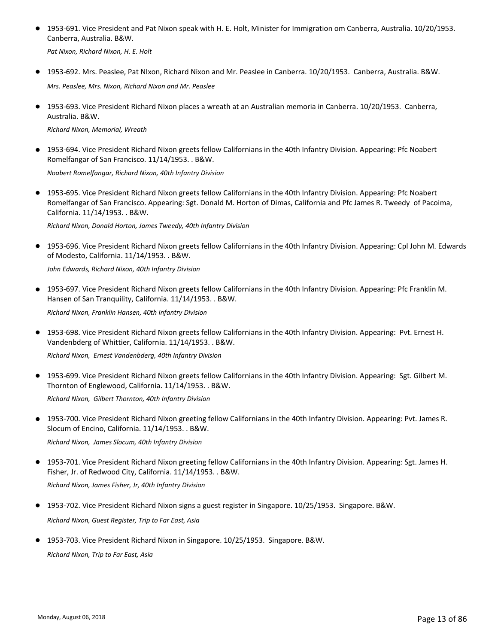● 1953-691. Vice President and Pat Nixon speak with H. E. Holt, Minister for Immigration om Canberra, Australia. 10/20/1953. Canberra, Australia. B&W.

*Pat Nixon, Richard Nixon, H. E. Holt*

- 1953-692. Mrs. Peaslee, Pat NIxon, Richard Nixon and Mr. Peaslee in Canberra. 10/20/1953. Canberra, Australia. B&W. *Mrs. Peaslee, Mrs. Nixon, Richard Nixon and Mr. Peaslee*
- 1953-693. Vice President Richard Nixon places a wreath at an Australian memoria in Canberra. 10/20/1953. Canberra, Australia. B&W.

*Richard Nixon, Memorial, Wreath*

● 1953-694. Vice President Richard Nixon greets fellow Californians in the 40th Infantry Division. Appearing: Pfc Noabert Romelfangar of San Francisco. 11/14/1953. . B&W.

*Noabert Romelfangar, Richard Nixon, 40th Infantry Division*

● 1953-695. Vice President Richard Nixon greets fellow Californians in the 40th Infantry Division. Appearing: Pfc Noabert Romelfangar of San Francisco. Appearing: Sgt. Donald M. Horton of Dimas, California and Pfc James R. Tweedy of Pacoima, California. 11/14/1953. . B&W.

*Richard Nixon, Donald Horton, James Tweedy, 40th Infantry Division*

● 1953-696. Vice President Richard Nixon greets fellow Californians in the 40th Infantry Division. Appearing: Cpl John M. Edwards of Modesto, California. 11/14/1953. . B&W.

*John Edwards, Richard Nixon, 40th Infantry Division*

● 1953-697. Vice President Richard Nixon greets fellow Californians in the 40th Infantry Division. Appearing: Pfc Franklin M. Hansen of San Tranquility, California. 11/14/1953. . B&W.

*Richard Nixon, Franklin Hansen, 40th Infantry Division*

● 1953-698. Vice President Richard Nixon greets fellow Californians in the 40th Infantry Division. Appearing: Pvt. Ernest H. Vandenbderg of Whittier, California. 11/14/1953. . B&W.

*Richard Nixon, Ernest Vandenbderg, 40th Infantry Division*

1953-699. Vice President Richard Nixon greets fellow Californians in the 40th Infantry Division. Appearing: Sgt. Gilbert M. Thornton of Englewood, California. 11/14/1953. . B&W. ●

*Richard Nixon, Gilbert Thornton, 40th Infantry Division*

● 1953-700. Vice President Richard Nixon greeting fellow Californians in the 40th Infantry Division. Appearing: Pvt. James R. Slocum of Encino, California. 11/14/1953. . B&W.

*Richard Nixon, James Slocum, 40th Infantry Division*

1953-701. Vice President Richard Nixon greeting fellow Californians in the 40th Infantry Division. Appearing: Sgt. James H. Fisher, Jr. of Redwood City, California. 11/14/1953. . B&W. ●

*Richard Nixon, James Fisher, Jr, 40th Infantry Division*

- 1953-702. Vice President Richard Nixon signs a guest register in Singapore. 10/25/1953. Singapore. B&W. *Richard Nixon, Guest Register, Trip to Far East, Asia*
- 1953-703. Vice President Richard Nixon in Singapore. 10/25/1953. Singapore. B&W. *Richard Nixon, Trip to Far East, Asia*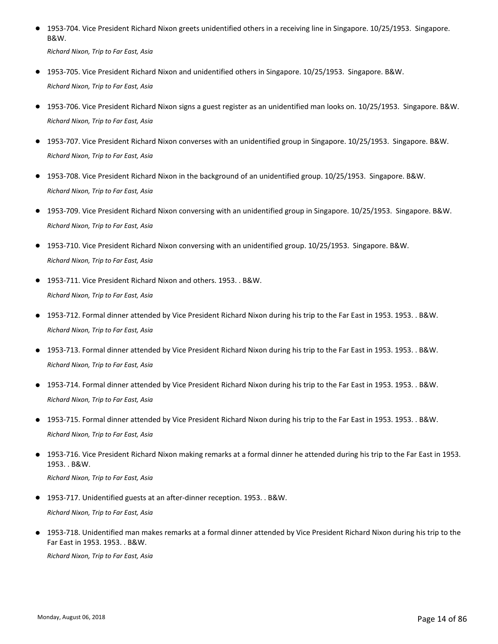● 1953-704. Vice President Richard Nixon greets unidentified others in a receiving line in Singapore. 10/25/1953. Singapore. B&W.

*Richard Nixon, Trip to Far East, Asia*

- 1953-705. Vice President Richard Nixon and unidentified others in Singapore. 10/25/1953. Singapore. B&W. *Richard Nixon, Trip to Far East, Asia*
- 1953-706. Vice President Richard Nixon signs a guest register as an unidentified man looks on. 10/25/1953. Singapore. B&W. *Richard Nixon, Trip to Far East, Asia*
- 1953-707. Vice President Richard Nixon converses with an unidentified group in Singapore. 10/25/1953. Singapore. B&W. *Richard Nixon, Trip to Far East, Asia*
- 1953-708. Vice President Richard Nixon in the background of an unidentified group. 10/25/1953. Singapore. B&W. *Richard Nixon, Trip to Far East, Asia*
- 1953-709. Vice President Richard Nixon conversing with an unidentified group in Singapore. 10/25/1953. Singapore. B&W. *Richard Nixon, Trip to Far East, Asia*
- 1953-710. Vice President Richard Nixon conversing with an unidentified group. 10/25/1953. Singapore. B&W. *Richard Nixon, Trip to Far East, Asia*
- 1953-711. Vice President Richard Nixon and others. 1953. . B&W. *Richard Nixon, Trip to Far East, Asia*
- 1953-712. Formal dinner attended by Vice President Richard Nixon during his trip to the Far East in 1953. 1953. . B&W. *Richard Nixon, Trip to Far East, Asia*
- 1953-713. Formal dinner attended by Vice President Richard Nixon during his trip to the Far East in 1953. 1953. . B&W. *Richard Nixon, Trip to Far East, Asia*
- 1953-714. Formal dinner attended by Vice President Richard Nixon during his trip to the Far East in 1953. 1953. . B&W. *Richard Nixon, Trip to Far East, Asia*
- 1953-715. Formal dinner attended by Vice President Richard Nixon during his trip to the Far East in 1953. 1953. . B&W. *Richard Nixon, Trip to Far East, Asia*
- 1953-716. Vice President Richard Nixon making remarks at a formal dinner he attended during his trip to the Far East in 1953. 1953. . B&W.

*Richard Nixon, Trip to Far East, Asia*

1953-717. Unidentified guests at an after-dinner reception. 1953. . B&W.

*Richard Nixon, Trip to Far East, Asia*

1953-718. Unidentified man makes remarks at a formal dinner attended by Vice President Richard Nixon during his trip to the Far East in 1953. 1953. . B&W. ●

*Richard Nixon, Trip to Far East, Asia*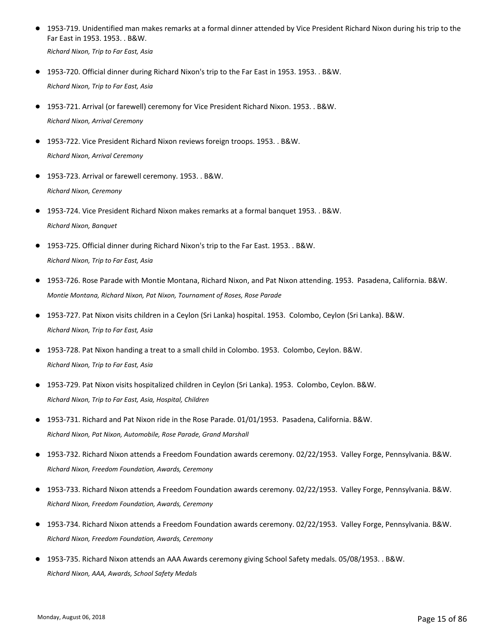1953-719. Unidentified man makes remarks at a formal dinner attended by Vice President Richard Nixon during his trip to the Far East in 1953. 1953. . B&W. ●

*Richard Nixon, Trip to Far East, Asia*

- 1953-720. Official dinner during Richard Nixon's trip to the Far East in 1953. 1953. . B&W. *Richard Nixon, Trip to Far East, Asia*
- 1953-721. Arrival (or farewell) ceremony for Vice President Richard Nixon. 1953. . B&W. *Richard Nixon, Arrival Ceremony*
- 1953-722. Vice President Richard Nixon reviews foreign troops. 1953. . B&W. *Richard Nixon, Arrival Ceremony*
- 1953-723. Arrival or farewell ceremony. 1953. . B&W. *Richard Nixon, Ceremony*
- 1953-724. Vice President Richard Nixon makes remarks at a formal banquet 1953. . B&W. *Richard Nixon, Banquet*
- 1953-725. Official dinner during Richard Nixon's trip to the Far East. 1953. . B&W. *Richard Nixon, Trip to Far East, Asia*
- 1953-726. Rose Parade with Montie Montana, Richard Nixon, and Pat Nixon attending. 1953. Pasadena, California. B&W. *Montie Montana, Richard Nixon, Pat Nixon, Tournament of Roses, Rose Parade*
- 1953-727. Pat Nixon visits children in a Ceylon (Sri Lanka) hospital. 1953. Colombo, Ceylon (Sri Lanka). B&W. *Richard Nixon, Trip to Far East, Asia*
- 1953-728. Pat Nixon handing a treat to a small child in Colombo. 1953. Colombo, Ceylon. B&W. *Richard Nixon, Trip to Far East, Asia*
- 1953-729. Pat Nixon visits hospitalized children in Ceylon (Sri Lanka). 1953. Colombo, Ceylon. B&W. *Richard Nixon, Trip to Far East, Asia, Hospital, Children*
- 1953-731. Richard and Pat Nixon ride in the Rose Parade. 01/01/1953. Pasadena, California. B&W. *Richard Nixon, Pat Nixon, Automobile, Rose Parade, Grand Marshall*
- 1953-732. Richard Nixon attends a Freedom Foundation awards ceremony. 02/22/1953. Valley Forge, Pennsylvania. B&W. *Richard Nixon, Freedom Foundation, Awards, Ceremony*
- 1953-733. Richard Nixon attends a Freedom Foundation awards ceremony. 02/22/1953. Valley Forge, Pennsylvania. B&W. *Richard Nixon, Freedom Foundation, Awards, Ceremony*
- 1953-734. Richard Nixon attends a Freedom Foundation awards ceremony. 02/22/1953. Valley Forge, Pennsylvania. B&W. *Richard Nixon, Freedom Foundation, Awards, Ceremony*
- 1953-735. Richard Nixon attends an AAA Awards ceremony giving School Safety medals. 05/08/1953. . B&W. *Richard Nixon, AAA, Awards, School Safety Medals*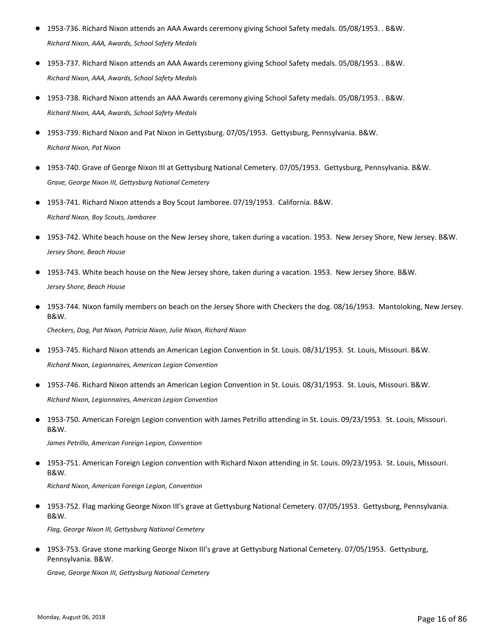- 1953-736. Richard Nixon attends an AAA Awards ceremony giving School Safety medals. 05/08/1953. . B&W. *Richard Nixon, AAA, Awards, School Safety Medals*
- 1953-737. Richard Nixon attends an AAA Awards ceremony giving School Safety medals. 05/08/1953. . B&W. *Richard Nixon, AAA, Awards, School Safety Medals*
- 1953-738. Richard Nixon attends an AAA Awards ceremony giving School Safety medals. 05/08/1953. . B&W. *Richard Nixon, AAA, Awards, School Safety Medals*
- 1953-739. Richard Nixon and Pat Nixon in Gettysburg. 07/05/1953. Gettysburg. Pennsylvania. B&W. *Richard Nixon, Pat Nixon*
- 1953-740. Grave of George Nixon III at Gettysburg National Cemetery. 07/05/1953. Gettysburg, Pennsylvania. B&W. *Grave, George Nixon III, Gettysburg National Cemetery*
- 1953-741. Richard Nixon attends a Boy Scout Jamboree. 07/19/1953. California. B&W. *Richard Nixon, Boy Scouts, Jamboree*
- 1953-742. White beach house on the New Jersey shore, taken during a vacation. 1953. New Jersey Shore, New Jersey. B&W. *Jersey Shore, Beach House*
- 1953-743. White beach house on the New Jersey shore, taken during a vacation. 1953. New Jersey Shore. B&W. *Jersey Shore, Beach House*
- 1953-744. Nixon family members on beach on the Jersey Shore with Checkers the dog. 08/16/1953. Mantoloking, New Jersey. B&W.

*Checkers, Dog, Pat Nixon, Patricia Nixon, Julie Nixon, Richard Nixon*

- 1953-745. Richard Nixon attends an American Legion Convention in St. Louis. 08/31/1953. St. Louis, Missouri. B&W. *Richard Nixon, Legionnaires, American Legion Convention*
- 1953-746. Richard Nixon attends an American Legion Convention in St. Louis. 08/31/1953. St. Louis, Missouri. B&W. *Richard Nixon, Legionnaires, American Legion Convention*
- 1953-750. American Foreign Legion convention with James Petrillo attending in St. Louis. 09/23/1953. St. Louis, Missouri. B&W.

*James Petrillo, American Foreign Legion, Convention*

1953-751. American Foreign Legion convention with Richard Nixon attending in St. Louis. 09/23/1953. St. Louis, Missouri. B&W.  $\bullet$ 

*Richard Nixon, American Foreign Legion, Convention*

● 1953-752. Flag marking George Nixon III's grave at Gettysburg National Cemetery. 07/05/1953. Gettysburg, Pennsylvania. B&W.

*Flag, George Nixon III, Gettysburg National Cemetery*

● 1953-753. Grave stone marking George Nixon III's grave at Gettysburg National Cemetery. 07/05/1953. Gettysburg, Pennsylvania. B&W.

*Grave, George Nixon III, Gettysburg National Cemetery*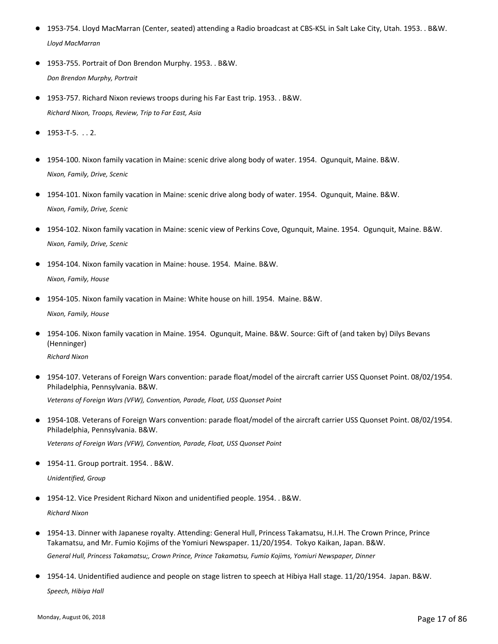- 1953-754. Lloyd MacMarran (Center, seated) attending a Radio broadcast at CBS-KSL in Salt Lake City, Utah. 1953. . B&W. *Lloyd MacMarran*
- 1953-755. Portrait of Don Brendon Murphy. 1953. . B&W. *Don Brendon Murphy, Portrait*
- 1953-757. Richard Nixon reviews troops during his Far East trip. 1953. . B&W. *Richard Nixon, Troops, Review, Trip to Far East, Asia*
- $1953 T 5.$  . . . 2.
- 1954-100. Nixon family vacation in Maine: scenic drive along body of water. 1954. Ogunquit, Maine. B&W. *Nixon, Family, Drive, Scenic*
- 1954-101. Nixon family vacation in Maine: scenic drive along body of water. 1954. Ogunquit, Maine. B&W. *Nixon, Family, Drive, Scenic*
- 1954-102. Nixon family vacation in Maine: scenic view of Perkins Cove, Ogunquit, Maine. 1954. Ogunquit, Maine. B&W. *Nixon, Family, Drive, Scenic*
- 1954-104. Nixon family vacation in Maine: house. 1954. Maine. B&W. *Nixon, Family, House*
- 1954-105. Nixon family vacation in Maine: White house on hill. 1954. Maine. B&W.

*Nixon, Family, House*

● 1954-106. Nixon family vacation in Maine. 1954. Ogunquit, Maine. B&W. Source: Gift of (and taken by) Dilys Bevans (Henninger)

*Richard Nixon*

1954-107. Veterans of Foreign Wars convention: parade float/model of the aircraft carrier USS Quonset Point. 08/02/1954. Philadelphia, Pennsylvania. B&W. ●

*Veterans of Foreign Wars (VFW), Convention, Parade, Float, USS Quonset Point*

● 1954-108. Veterans of Foreign Wars convention: parade float/model of the aircraft carrier USS Quonset Point. 08/02/1954. Philadelphia, Pennsylvania. B&W.

*Veterans of Foreign Wars (VFW), Convention, Parade, Float, USS Quonset Point*

● 1954-11. Group portrait. 1954. . B&W.

*Unidentified, Group*

● 1954-12. Vice President Richard Nixon and unidentified people. 1954. . B&W.

*Richard Nixon*

- 1954-13. Dinner with Japanese royalty. Attending: General Hull, Princess Takamatsu, H.I.H. The Crown Prince, Prince Takamatsu, and Mr. Fumio Kojims of the Yomiuri Newspaper. 11/20/1954. Tokyo Kaikan, Japan. B&W. *General Hull, Princess Takamatsu;, Crown Prince, Prince Takamatsu, Fumio Kojims, Yomiuri Newspaper, Dinner*
- 1954-14. Unidentified audience and people on stage listren to speech at Hibiya Hall stage. 11/20/1954. Japan. B&W. *Speech, Hibiya Hall*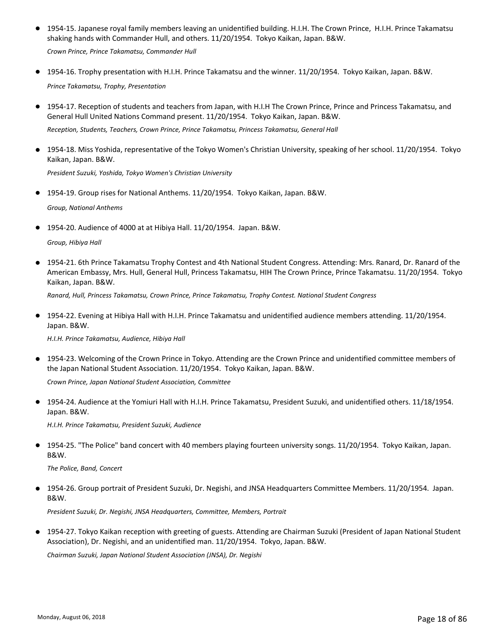● 1954-15. Japanese royal family members leaving an unidentified building. H.I.H. The Crown Prince, H.I.H. Prince Takamatsu shaking hands with Commander Hull, and others. 11/20/1954. Tokyo Kaikan, Japan. B&W.

*Crown Prince, Prince Takamatsu, Commander Hull*

- 1954-16. Trophy presentation with H.I.H. Prince Takamatsu and the winner. 11/20/1954. Tokyo Kaikan, Japan. B&W. *Prince Takamatsu, Trophy, Presentation*
- 1954-17. Reception of students and teachers from Japan, with H.I.H The Crown Prince, Prince and Princess Takamatsu, and General Hull United Nations Command present. 11/20/1954. Tokyo Kaikan, Japan. B&W.

*Reception, Students, Teachers, Crown Prince, Prince Takamatsu, Princess Takamatsu, General Hall*

● 1954-18. Miss Yoshida, representative of the Tokyo Women's Christian University, speaking of her school. 11/20/1954. Tokyo Kaikan, Japan. B&W.

*President Suzuki, Yoshida, Tokyo Women's Christian University*

- 1954-19. Group rises for National Anthems. 11/20/1954. Tokyo Kaikan, Japan. B&W. *Group, National Anthems*
- 1954-20. Audience of 4000 at at Hibiya Hall. 11/20/1954. Japan. B&W.

*Group, Hibiya Hall*

● 1954-21. 6th Prince Takamatsu Trophy Contest and 4th National Student Congress. Attending: Mrs. Ranard, Dr. Ranard of the American Embassy, Mrs. Hull, General Hull, Princess Takamatsu, HIH The Crown Prince, Prince Takamatsu. 11/20/1954. Tokyo Kaikan, Japan. B&W.

*Ranard, Hull, Princess Takamatsu, Crown Prince, Prince Takamatsu, Trophy Contest. National Student Congress*

● 1954-22. Evening at Hibiya Hall with H.I.H. Prince Takamatsu and unidentified audience members attending. 11/20/1954. Japan. B&W.

*H.I.H. Prince Takamatsu, Audience, Hibiya Hall*

1954-23. Welcoming of the Crown Prince in Tokyo. Attending are the Crown Prince and unidentified committee members of ● the Japan National Student Association. 11/20/1954. Tokyo Kaikan, Japan. B&W.

*Crown Prince, Japan National Student Association, Committee*

● 1954-24. Audience at the Yomiuri Hall with H.I.H. Prince Takamatsu, President Suzuki, and unidentified others. 11/18/1954. Japan. B&W.

*H.I.H. Prince Takamatsu, President Suzuki, Audience*

● 1954-25. "The Police" band concert with 40 members playing fourteen university songs. 11/20/1954. Tokyo Kaikan, Japan. B&W.

*The Police, Band, Concert*

1954-26. Group portrait of President Suzuki, Dr. Negishi, and JNSA Headquarters Committee Members. 11/20/1954. Japan. ● B&W.

*President Suzuki, Dr. Negishi, JNSA Headquarters, Committee, Members, Portrait*

● 1954-27. Tokyo Kaikan reception with greeting of guests. Attending are Chairman Suzuki (President of Japan National Student Association), Dr. Negishi, and an unidentified man. 11/20/1954. Tokyo, Japan. B&W.

*Chairman Suzuki, Japan National Student Association (JNSA), Dr. Negishi*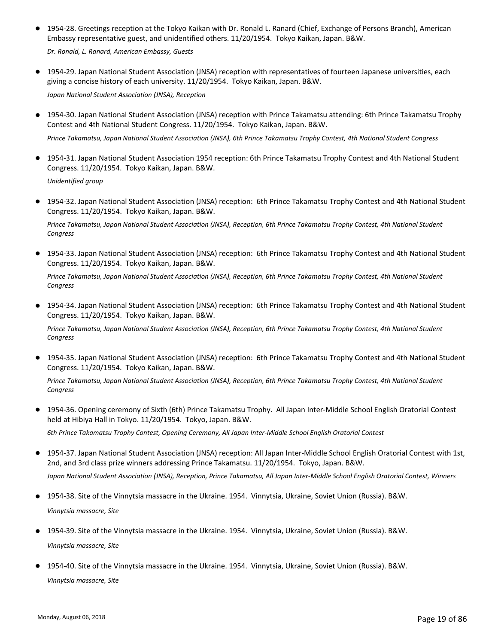● 1954-28. Greetings reception at the Tokyo Kaikan with Dr. Ronald L. Ranard (Chief, Exchange of Persons Branch), American Embassy representative guest, and unidentified others. 11/20/1954. Tokyo Kaikan, Japan. B&W.

*Dr. Ronald, L. Ranard, American Embassy, Guests*

● 1954-29. Japan National Student Association (JNSA) reception with representatives of fourteen Japanese universities, each giving a concise history of each university. 11/20/1954. Tokyo Kaikan, Japan. B&W.

*Japan National Student Association (JNSA), Reception*

● 1954-30. Japan National Student Association (JNSA) reception with Prince Takamatsu attending: 6th Prince Takamatsu Trophy Contest and 4th National Student Congress. 11/20/1954. Tokyo Kaikan, Japan. B&W.

*Prince Takamatsu, Japan National Student Association (JNSA), 6th Prince Takamatsu Trophy Contest, 4th National Student Congress*

- 1954-31. Japan National Student Association 1954 reception: 6th Prince Takamatsu Trophy Contest and 4th National Student Congress. 11/20/1954. Tokyo Kaikan, Japan. B&W. *Unidentified group*
- 1954-32. Japan National Student Association (JNSA) reception: 6th Prince Takamatsu Trophy Contest and 4th National Student Congress. 11/20/1954. Tokyo Kaikan, Japan. B&W.

*Prince Takamatsu, Japan National Student Association (JNSA), Reception, 6th Prince Takamatsu Trophy Contest, 4th National Student Congress*

● 1954-33. Japan National Student Association (JNSA) reception: 6th Prince Takamatsu Trophy Contest and 4th National Student Congress. 11/20/1954. Tokyo Kaikan, Japan. B&W.

*Prince Takamatsu, Japan National Student Association (JNSA), Reception, 6th Prince Takamatsu Trophy Contest, 4th National Student Congress*

● 1954-34. Japan National Student Association (JNSA) reception: 6th Prince Takamatsu Trophy Contest and 4th National Student Congress. 11/20/1954. Tokyo Kaikan, Japan. B&W.

*Prince Takamatsu, Japan National Student Association (JNSA), Reception, 6th Prince Takamatsu Trophy Contest, 4th National Student Congress*

● 1954-35. Japan National Student Association (JNSA) reception: 6th Prince Takamatsu Trophy Contest and 4th National Student Congress. 11/20/1954. Tokyo Kaikan, Japan. B&W.

*Prince Takamatsu, Japan National Student Association (JNSA), Reception, 6th Prince Takamatsu Trophy Contest, 4th National Student Congress*

● 1954-36. Opening ceremony of Sixth (6th) Prince Takamatsu Trophy. All Japan Inter-Middle School English Oratorial Contest held at Hibiya Hall in Tokyo. 11/20/1954. Tokyo, Japan. B&W.

*6th Prince Takamatsu Trophy Contest, Opening Ceremony, All Japan Inter-Middle School English Oratorial Contest*

- 1954-37. Japan National Student Association (JNSA) reception: All Japan Inter-Middle School English Oratorial Contest with 1st, 2nd, and 3rd class prize winners addressing Prince Takamatsu. 11/20/1954. Tokyo, Japan. B&W. *Japan National Student Association (JNSA), Reception, Prince Takamatsu, All Japan Inter-Middle School English Oratorial Contest, Winners*
- 1954-38. Site of the Vinnytsia massacre in the Ukraine. 1954. Vinnytsia, Ukraine, Soviet Union (Russia). B&W. *Vinnytsia massacre, Site*
- 1954-39. Site of the Vinnytsia massacre in the Ukraine. 1954. Vinnytsia, Ukraine, Soviet Union (Russia). B&W. *Vinnytsia massacre, Site*
- 1954-40. Site of the Vinnytsia massacre in the Ukraine. 1954. Vinnytsia, Ukraine, Soviet Union (Russia). B&W. *Vinnytsia massacre, Site*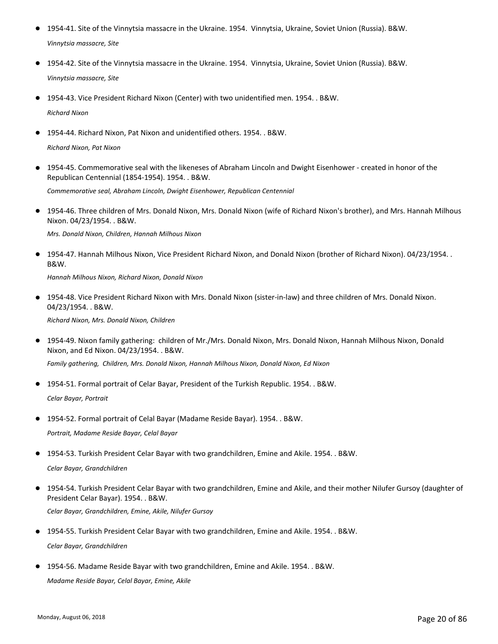- 1954-41. Site of the Vinnytsia massacre in the Ukraine. 1954. Vinnytsia, Ukraine, Soviet Union (Russia). B&W. *Vinnytsia massacre, Site*
- 1954-42. Site of the Vinnytsia massacre in the Ukraine. 1954. Vinnytsia, Ukraine, Soviet Union (Russia). B&W. *Vinnytsia massacre, Site*
- 1954-43. Vice President Richard Nixon (Center) with two unidentified men. 1954. . B&W. *Richard Nixon*
- 1954-44. Richard Nixon, Pat Nixon and unidentified others. 1954. . B&W. *Richard Nixon, Pat Nixon*
- 1954-45. Commemorative seal with the likeneses of Abraham Lincoln and Dwight Eisenhower created in honor of the Republican Centennial (1854-1954). 1954. . B&W. *Commemorative seal, Abraham Lincoln, Dwight Eisenhower, Republican Centennial*
- 1954-46. Three children of Mrs. Donald Nixon, Mrs. Donald Nixon (wife of Richard Nixon's brother), and Mrs. Hannah Milhous Nixon. 04/23/1954. . B&W.

*Mrs. Donald Nixon, Children, Hannah Milhous Nixon*

● 1954-47. Hannah Milhous Nixon, Vice President Richard Nixon, and Donald Nixon (brother of Richard Nixon). 04/23/1954. . B&W.

*Hannah Milhous Nixon, Richard Nixon, Donald Nixon*

● 1954-48. Vice President Richard Nixon with Mrs. Donald Nixon (sister-in-law) and three children of Mrs. Donald Nixon. 04/23/1954. . B&W.

*Richard Nixon, Mrs. Donald Nixon, Children*

1954-49. Nixon family gathering: children of Mr./Mrs. Donald Nixon, Mrs. Donald Nixon, Hannah Milhous Nixon, Donald ● Nixon, and Ed Nixon. 04/23/1954. . B&W.

*Family gathering, Children, Mrs. Donald Nixon, Hannah Milhous Nixon, Donald Nixon, Ed Nixon*

● 1954-51. Formal portrait of Celar Bayar, President of the Turkish Republic. 1954. . B&W.

*Celar Bayar, Portrait*

● 1954-52. Formal portrait of Celal Bayar (Madame Reside Bayar). 1954. . B&W.

*Portrait, Madame Reside Bayar, Celal Bayar*

- 1954-53. Turkish President Celar Bayar with two grandchildren, Emine and Akile. 1954. . B&W. *Celar Bayar, Grandchildren*
- 1954-54. Turkish President Celar Bayar with two grandchildren, Emine and Akile, and their mother Nilufer Gursoy (daughter of President Celar Bayar). 1954. . B&W. *Celar Bayar, Grandchildren, Emine, Akile, Nilufer Gursoy*
- 1954-55. Turkish President Celar Bayar with two grandchildren, Emine and Akile. 1954. . B&W. *Celar Bayar, Grandchildren*
- 1954-56. Madame Reside Bayar with two grandchildren, Emine and Akile. 1954. . B&W. *Madame Reside Bayar, Celal Bayar, Emine, Akile*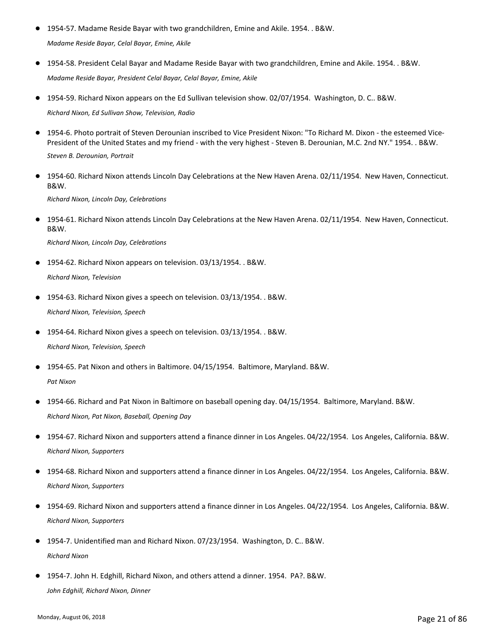- 1954-57. Madame Reside Bayar with two grandchildren, Emine and Akile. 1954. . B&W. *Madame Reside Bayar, Celal Bayar, Emine, Akile*
- 1954-58. President Celal Bayar and Madame Reside Bayar with two grandchildren, Emine and Akile. 1954. . B&W. *Madame Reside Bayar, President Celal Bayar, Celal Bayar, Emine, Akile*
- 1954-59. Richard Nixon appears on the Ed Sullivan television show. 02/07/1954. Washington, D. C.. B&W. *Richard Nixon, Ed Sullivan Show, Television, Radio*
- 1954-6. Photo portrait of Steven Derounian inscribed to Vice President Nixon: "To Richard M. Dixon the esteemed Vice-President of the United States and my friend - with the very highest - Steven B. Derounian, M.C. 2nd NY." 1954. . B&W. *Steven B. Derounian, Portrait*
- 1954-60. Richard Nixon attends Lincoln Day Celebrations at the New Haven Arena. 02/11/1954. New Haven, Connecticut. B&W.

*Richard Nixon, Lincoln Day, Celebrations*

● 1954-61. Richard Nixon attends Lincoln Day Celebrations at the New Haven Arena. 02/11/1954. New Haven, Connecticut. B&W.

*Richard Nixon, Lincoln Day, Celebrations*

- 1954-62. Richard Nixon appears on television. 03/13/1954. . B&W. *Richard Nixon, Television*
- 1954-63. Richard Nixon gives a speech on television. 03/13/1954. . B&W. *Richard Nixon, Television, Speech*
- 1954-64. Richard Nixon gives a speech on television. 03/13/1954. . B&W. *Richard Nixon, Television, Speech*
- 1954-65. Pat Nixon and others in Baltimore. 04/15/1954. Baltimore, Maryland. B&W. *Pat Nixon*
- 1954-66. Richard and Pat Nixon in Baltimore on baseball opening day. 04/15/1954. Baltimore, Maryland. B&W. *Richard Nixon, Pat Nixon, Baseball, Opening Day*
- 1954-67. Richard Nixon and supporters attend a finance dinner in Los Angeles. 04/22/1954. Los Angeles, California. B&W. *Richard Nixon, Supporters*
- 1954-68. Richard Nixon and supporters attend a finance dinner in Los Angeles. 04/22/1954. Los Angeles, California. B&W. *Richard Nixon, Supporters*
- 1954-69. Richard Nixon and supporters attend a finance dinner in Los Angeles. 04/22/1954. Los Angeles, California. B&W. *Richard Nixon, Supporters*
- 1954-7. Unidentified man and Richard Nixon. 07/23/1954. Washington, D. C.. B&W. *Richard Nixon*
- 1954-7. John H. Edghill, Richard Nixon, and others attend a dinner. 1954. PA?. B&W. *John Edghill, Richard Nixon, Dinner*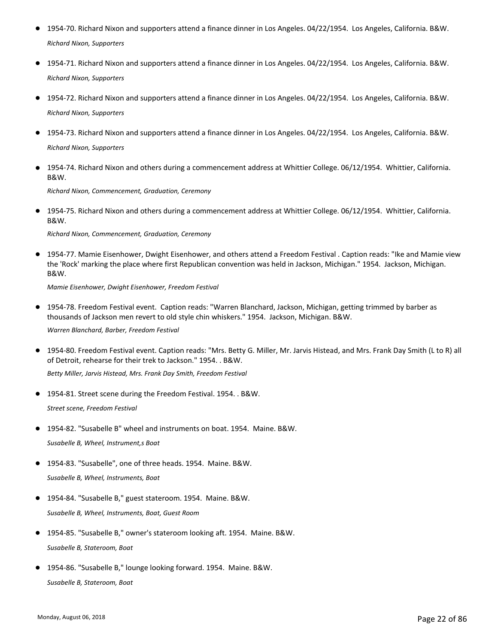- 1954-70. Richard Nixon and supporters attend a finance dinner in Los Angeles. 04/22/1954. Los Angeles, California. B&W. *Richard Nixon, Supporters*
- 1954-71. Richard Nixon and supporters attend a finance dinner in Los Angeles. 04/22/1954. Los Angeles, California. B&W. *Richard Nixon, Supporters*
- 1954-72. Richard Nixon and supporters attend a finance dinner in Los Angeles. 04/22/1954. Los Angeles, California. B&W. *Richard Nixon, Supporters*
- 1954-73. Richard Nixon and supporters attend a finance dinner in Los Angeles. 04/22/1954. Los Angeles, California. B&W. *Richard Nixon, Supporters*
- 1954-74. Richard Nixon and others during a commencement address at Whittier College. 06/12/1954. Whittier, California. B&W.

*Richard Nixon, Commencement, Graduation, Ceremony*

● 1954-75. Richard Nixon and others during a commencement address at Whittier College. 06/12/1954. Whittier, California. B&W.

*Richard Nixon, Commencement, Graduation, Ceremony*

● 1954-77. Mamie Eisenhower, Dwight Eisenhower, and others attend a Freedom Festival . Caption reads: "Ike and Mamie view the 'Rock' marking the place where first Republican convention was held in Jackson, Michigan." 1954. Jackson, Michigan. B&W.

*Mamie Eisenhower, Dwight Eisenhower, Freedom Festival*

- 1954-78. Freedom Festival event. Caption reads: "Warren Blanchard, Jackson, Michigan, getting trimmed by barber as thousands of Jackson men revert to old style chin whiskers." 1954. Jackson, Michigan. B&W. ● *Warren Blanchard, Barber, Freedom Festival*
- 1954-80. Freedom Festival event. Caption reads: "Mrs. Betty G. Miller, Mr. Jarvis Histead, and Mrs. Frank Day Smith (L to R) all of Detroit, rehearse for their trek to Jackson." 1954. . B&W.

*Betty Miller, Jarvis Histead, Mrs. Frank Day Smith, Freedom Festival*

● 1954-81. Street scene during the Freedom Festival. 1954. . B&W.

*Street scene, Freedom Festival*

- 1954-82. "Susabelle B" wheel and instruments on boat. 1954. Maine. B&W. *Susabelle B, Wheel, Instrument,s Boat*
- 1954-83. "Susabelle", one of three heads. 1954. Maine. B&W. *Susabelle B, Wheel, Instruments, Boat*
- 1954-84. "Susabelle B," guest stateroom. 1954. Maine. B&W. *Susabelle B, Wheel, Instruments, Boat, Guest Room*
- 1954-85. "Susabelle B," owner's stateroom looking aft. 1954. Maine. B&W. *Susabelle B, Stateroom, Boat*
- 1954-86. "Susabelle B," lounge looking forward. 1954. Maine. B&W. *Susabelle B, Stateroom, Boat*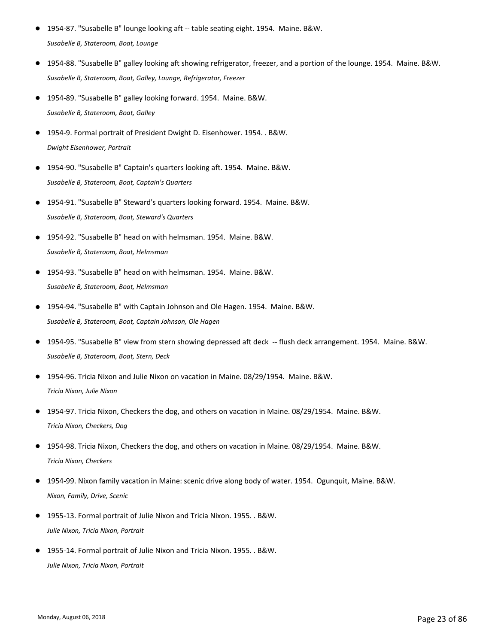- 1954-87. "Susabelle B" lounge looking aft -- table seating eight. 1954. Maine. B&W. *Susabelle B, Stateroom, Boat, Lounge*
- 1954-88. "Susabelle B" galley looking aft showing refrigerator, freezer, and a portion of the lounge. 1954. Maine. B&W. *Susabelle B, Stateroom, Boat, Galley, Lounge, Refrigerator, Freezer*
- 1954-89. "Susabelle B" galley looking forward. 1954. Maine. B&W. *Susabelle B, Stateroom, Boat, Galley*
- 1954-9. Formal portrait of President Dwight D. Eisenhower. 1954. . B&W. *Dwight Eisenhower, Portrait*
- 1954-90. "Susabelle B" Captain's quarters looking aft. 1954. Maine. B&W. *Susabelle B, Stateroom, Boat, Captain's Quarters*
- 1954-91. "Susabelle B" Steward's quarters looking forward. 1954. Maine. B&W. *Susabelle B, Stateroom, Boat, Steward's Quarters*
- 1954-92. "Susabelle B" head on with helmsman. 1954. Maine. B&W. *Susabelle B, Stateroom, Boat, Helmsman*
- 1954-93. "Susabelle B" head on with helmsman. 1954. Maine. B&W. *Susabelle B, Stateroom, Boat, Helmsman*
- 1954-94. "Susabelle B" with Captain Johnson and Ole Hagen. 1954. Maine. B&W. *Susabelle B, Stateroom, Boat, Captain Johnson, Ole Hagen*
- 1954-95. "Susabelle B" view from stern showing depressed aft deck -- flush deck arrangement. 1954. Maine. B&W. *Susabelle B, Stateroom, Boat, Stern, Deck*
- 1954-96. Tricia Nixon and Julie Nixon on vacation in Maine. 08/29/1954. Maine. B&W. *Tricia Nixon, Julie Nixon*
- 1954-97. Tricia Nixon, Checkers the dog, and others on vacation in Maine. 08/29/1954. Maine. B&W. *Tricia Nixon, Checkers, Dog*
- 1954-98. Tricia Nixon, Checkers the dog, and others on vacation in Maine. 08/29/1954. Maine. B&W. *Tricia Nixon, Checkers*
- 1954-99. Nixon family vacation in Maine: scenic drive along body of water. 1954. Ogunquit, Maine. B&W. *Nixon, Family, Drive, Scenic*
- 1955-13. Formal portrait of Julie Nixon and Tricia Nixon. 1955. . B&W. *Julie Nixon, Tricia Nixon, Portrait*
- 1955-14. Formal portrait of Julie Nixon and Tricia Nixon. 1955. . B&W. *Julie Nixon, Tricia Nixon, Portrait*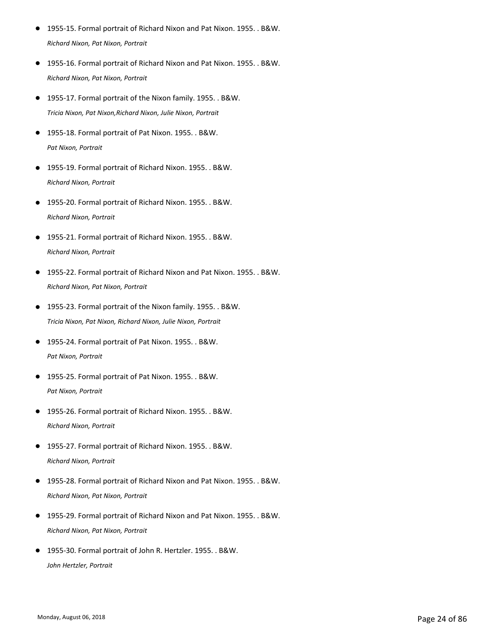- 1955-15. Formal portrait of Richard Nixon and Pat Nixon. 1955. . B&W. *Richard Nixon, Pat Nixon, Portrait*
- 1955-16. Formal portrait of Richard Nixon and Pat Nixon. 1955. . B&W. *Richard Nixon, Pat Nixon, Portrait*
- 1955-17. Formal portrait of the Nixon family. 1955. . B&W. *Tricia Nixon, Pat Nixon,Richard Nixon, Julie Nixon, Portrait*
- 1955-18. Formal portrait of Pat Nixon. 1955. . B&W. *Pat Nixon, Portrait*
- 1955-19. Formal portrait of Richard Nixon. 1955. . B&W. *Richard Nixon, Portrait*
- 1955-20. Formal portrait of Richard Nixon. 1955. . B&W. *Richard Nixon, Portrait*
- 1955-21. Formal portrait of Richard Nixon. 1955. . B&W. *Richard Nixon, Portrait*
- 1955-22. Formal portrait of Richard Nixon and Pat Nixon. 1955. . B&W. *Richard Nixon, Pat Nixon, Portrait*
- 1955-23. Formal portrait of the Nixon family. 1955. . B&W. *Tricia Nixon, Pat Nixon, Richard Nixon, Julie Nixon, Portrait*
- 1955-24. Formal portrait of Pat Nixon. 1955. . B&W. *Pat Nixon, Portrait*
- 1955-25. Formal portrait of Pat Nixon. 1955. . B&W. *Pat Nixon, Portrait*
- 1955-26. Formal portrait of Richard Nixon. 1955. . B&W. *Richard Nixon, Portrait*
- 1955-27. Formal portrait of Richard Nixon. 1955. . B&W. *Richard Nixon, Portrait*
- 1955-28. Formal portrait of Richard Nixon and Pat Nixon. 1955. . B&W. *Richard Nixon, Pat Nixon, Portrait*
- 1955-29. Formal portrait of Richard Nixon and Pat Nixon. 1955. . B&W. *Richard Nixon, Pat Nixon, Portrait*
- 1955-30. Formal portrait of John R. Hertzler. 1955. . B&W. *John Hertzler, Portrait*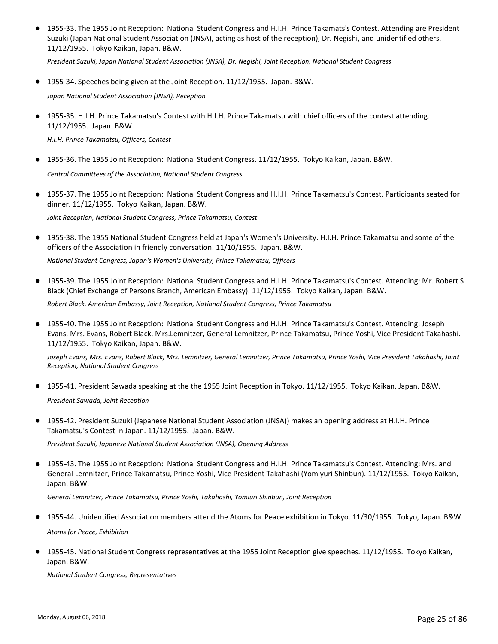● 1955-33. The 1955 Joint Reception: National Student Congress and H.I.H. Prince Takamats's Contest. Attending are President Suzuki (Japan National Student Association (JNSA), acting as host of the reception), Dr. Negishi, and unidentified others. 11/12/1955. Tokyo Kaikan, Japan. B&W.

*President Suzuki, Japan National Student Association (JNSA), Dr. Negishi, Joint Reception, National Student Congress*

● 1955-34. Speeches being given at the Joint Reception. 11/12/1955. Japan. B&W.

*Japan National Student Association (JNSA), Reception*

● 1955-35. H.I.H. Prince Takamatsu's Contest with H.I.H. Prince Takamatsu with chief officers of the contest attending. 11/12/1955. Japan. B&W.

*H.I.H. Prince Takamatsu, Officers, Contest*

● 1955-36. The 1955 Joint Reception: National Student Congress. 11/12/1955. Tokyo Kaikan, Japan. B&W.

*Central Committees of the Association, National Student Congress*

● 1955-37. The 1955 Joint Reception: National Student Congress and H.I.H. Prince Takamatsu's Contest. Participants seated for dinner. 11/12/1955. Tokyo Kaikan, Japan. B&W.

*Joint Reception, National Student Congress, Prince Takamatsu, Contest*

● 1955-38. The 1955 National Student Congress held at Japan's Women's University. H.I.H. Prince Takamatsu and some of the officers of the Association in friendly conversation. 11/10/1955. Japan. B&W.

*National Student Congress, Japan's Women's University, Prince Takamatsu, Officers*

● 1955-39. The 1955 Joint Reception: National Student Congress and H.I.H. Prince Takamatsu's Contest. Attending: Mr. Robert S. Black (Chief Exchange of Persons Branch, American Embassy). 11/12/1955. Tokyo Kaikan, Japan. B&W.

*Robert Black, American Embassy, Joint Reception, National Student Congress, Prince Takamatsu*

● 1955-40. The 1955 Joint Reception: National Student Congress and H.I.H. Prince Takamatsu's Contest. Attending: Joseph Evans, Mrs. Evans, Robert Black, Mrs.Lemnitzer, General Lemnitzer, Prince Takamatsu, Prince Yoshi, Vice President Takahashi. 11/12/1955. Tokyo Kaikan, Japan. B&W.

*Joseph Evans, Mrs. Evans, Robert Black, Mrs. Lemnitzer, General Lemnitzer, Prince Takamatsu, Prince Yoshi, Vice President Takahashi, Joint Reception, National Student Congress*

- 1955-41. President Sawada speaking at the the 1955 Joint Reception in Tokyo. 11/12/1955. Tokyo Kaikan, Japan. B&W. *President Sawada, Joint Reception*
- 1955-42. President Suzuki (Japanese National Student Association (JNSA)) makes an opening address at H.I.H. Prince Takamatsu's Contest in Japan. 11/12/1955. Japan. B&W.

*President Suzuki, Japanese National Student Association (JNSA), Opening Address*

● 1955-43. The 1955 Joint Reception: National Student Congress and H.I.H. Prince Takamatsu's Contest. Attending: Mrs. and General Lemnitzer, Prince Takamatsu, Prince Yoshi, Vice President Takahashi (Yomiyuri Shinbun). 11/12/1955. Tokyo Kaikan, Japan. B&W.

*General Lemnitzer, Prince Takamatsu, Prince Yoshi, Takahashi, Yomiuri Shinbun, Joint Reception*

- 1955-44. Unidentified Association members attend the Atoms for Peace exhibition in Tokyo. 11/30/1955. Tokyo, Japan. B&W. *Atoms for Peace, Exhibition*
- 1955-45. National Student Congress representatives at the 1955 Joint Reception give speeches. 11/12/1955. Tokyo Kaikan, Japan. B&W.

*National Student Congress, Representatives*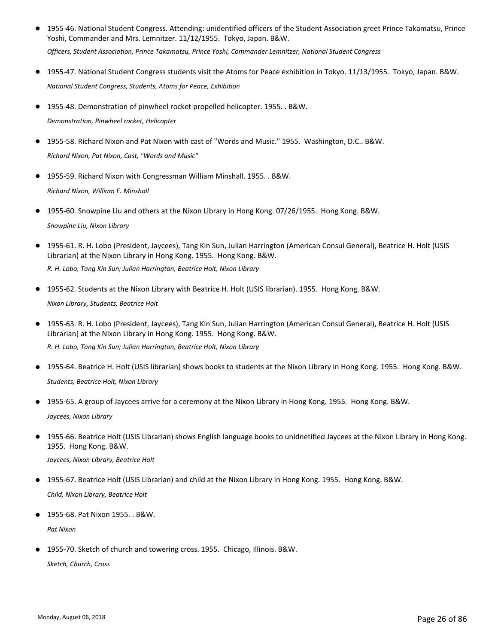● 1955-46. National Student Congress. Attending: unidentified officers of the Student Association greet Prince Takamatsu, Prince Yoshi, Commander and Mrs. Lemnitzer. 11/12/1955. Tokyo, Japan. B&W.

*Officers, Student Association, Prince Takamatsu, Prince Yoshi, Commander Lemnitzer, National Student Congress*

- 1955-47. National Student Congress students visit the Atoms for Peace exhibition in Tokyo. 11/13/1955. Tokyo, Japan. B&W. *National Student Congress, Students, Atoms for Peace, Exhibition*
- 1955-48. Demonstration of pinwheel rocket propelled helicopter. 1955. . B&W. *Demonstration, Pinwheel rocket, Helicopter*
- 1955-58. Richard Nixon and Pat Nixon with cast of "Words and Music." 1955. Washington, D.C.. B&W. *Richard Nixon, Pat Nixon, Cast, "Words and Music"*
- 1955-59. Richard Nixon with Congressman William Minshall. 1955. . B&W. *Richard Nixon, William E. Minshall*
- 1955-60. Snowpine Liu and others at the Nixon Library in Hong Kong. 07/26/1955. Hong Kong. B&W. *Snowpine Liu, Nixon Library*
- 1955-61. R. H. Lobo (President, Jaycees), Tang Kin Sun, Julian Harrington (American Consul General), Beatrice H. Holt (USIS Librarian) at the Nixon Library in Hong Kong. 1955. Hong Kong. B&W.

*R. H. Lobo, Tang Kin Sun; Julian Harrington, Beatrice Holt, Nixon Library*

- 1955-62. Students at the Nixon Library with Beatrice H. Holt (USIS librarian). 1955. Hong Kong. B&W. *Nixon Library, Students, Beatrice Holt*
- 1955-63. R. H. Lobo (President, Jaycees), Tang Kin Sun, Julian Harrington (American Consul General), Beatrice H. Holt (USIS Librarian) at the Nixon Library in Hong Kong. 1955. Hong Kong. B&W. ● *R. H. Lobo, Tang Kin Sun; Julian Harrington, Beatrice Holt, Nixon Library*
- 1955-64. Beatrice H. Holt (USIS librarian) shows books to students at the Nixon Library in Hong Kong. 1955. Hong Kong. B&W. *Students, Beatrice Holt, Nixon Library*
- 1955-65. A group of Jaycees arrive for a ceremony at the Nixon Library in Hong Kong. 1955. Hong Kong. B&W. *Jaycees, Nixon Library*
- 1955-66. Beatrice Holt (USIS Librarian) shows English language books to unidnetified Jaycees at the Nixon Library in Hong Kong. 1955. Hong Kong. B&W.

*Jaycees, Nixon Library, Beatrice Holt*

- 1955-67. Beatrice Holt (USIS Librarian) and child at the Nixon Library in Hong Kong. 1955. Hong Kong. B&W. *Child, Nixon Library, Beatrice Holt*
- 1955-68. Pat Nixon 1955. . B&W.

*Pat Nixon*

● 1955-70. Sketch of church and towering cross. 1955. Chicago, Illinois. B&W. *Sketch, Church, Cross*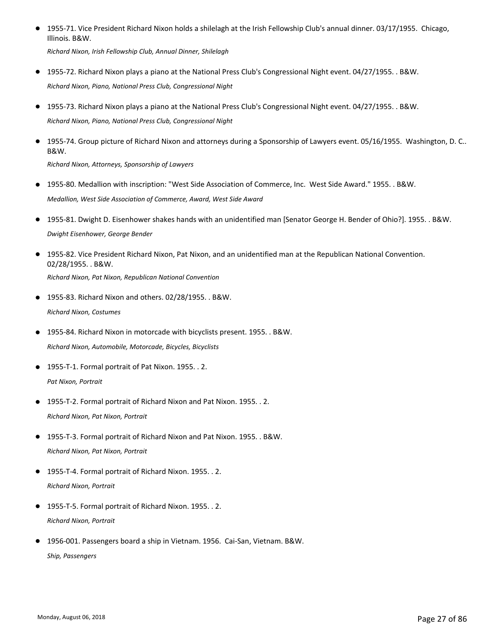- 1955-71. Vice President Richard Nixon holds a shilelagh at the Irish Fellowship Club's annual dinner. 03/17/1955. Chicago, Illinois. B&W. ● *Richard Nixon, Irish Fellowship Club, Annual Dinner, Shilelagh*
- 1955-72. Richard Nixon plays a piano at the National Press Club's Congressional Night event. 04/27/1955. . B&W. *Richard Nixon, Piano, National Press Club, Congressional Night*
- 1955-73. Richard Nixon plays a piano at the National Press Club's Congressional Night event. 04/27/1955. . B&W. *Richard Nixon, Piano, National Press Club, Congressional Night*
- 1955-74. Group picture of Richard Nixon and attorneys during a Sponsorship of Lawyers event. 05/16/1955. Washington, D. C.. B&W.

*Richard Nixon, Attorneys, Sponsorship of Lawyers*

- 1955-80. Medallion with inscription: "West Side Association of Commerce, Inc. West Side Award." 1955. . B&W. *Medallion, West Side Association of Commerce, Award, West Side Award*
- 1955-81. Dwight D. Eisenhower shakes hands with an unidentified man [Senator George H. Bender of Ohio?]. 1955. . B&W. *Dwight Eisenhower, George Bender*
- 1955-82. Vice President Richard Nixon, Pat Nixon, and an unidentified man at the Republican National Convention. 02/28/1955. . B&W. *Richard Nixon, Pat Nixon, Republican National Convention*
- 1955-83. Richard Nixon and others. 02/28/1955. . B&W. *Richard Nixon, Costumes*
- 1955-84. Richard Nixon in motorcade with bicyclists present. 1955. . B&W. *Richard Nixon, Automobile, Motorcade, Bicycles, Bicyclists*
- 1955-T-1. Formal portrait of Pat Nixon. 1955. . 2. *Pat Nixon, Portrait*
- 1955-T-2. Formal portrait of Richard Nixon and Pat Nixon. 1955. . 2. *Richard Nixon, Pat Nixon, Portrait*
- 1955-T-3. Formal portrait of Richard Nixon and Pat Nixon. 1955. . B&W. *Richard Nixon, Pat Nixon, Portrait*
- 1955-T-4. Formal portrait of Richard Nixon. 1955. . 2. *Richard Nixon, Portrait*
- 1955-T-5. Formal portrait of Richard Nixon. 1955. . 2. *Richard Nixon, Portrait*
- 1956-001. Passengers board a ship in Vietnam. 1956. Cai-San, Vietnam. B&W. *Ship, Passengers*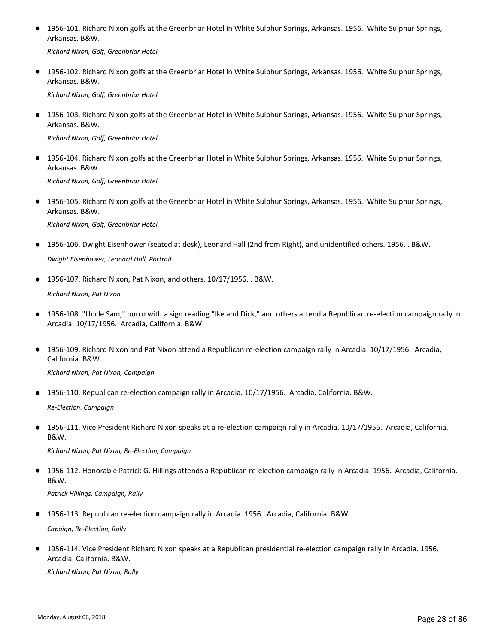● 1956-101. Richard Nixon golfs at the Greenbriar Hotel in White Sulphur Springs, Arkansas. 1956. White Sulphur Springs, Arkansas. B&W.

*Richard Nixon, Golf, Greenbriar Hotel*

● 1956-102. Richard Nixon golfs at the Greenbriar Hotel in White Sulphur Springs, Arkansas. 1956. White Sulphur Springs, Arkansas. B&W.

*Richard Nixon, Golf, Greenbriar Hotel*

● 1956-103. Richard Nixon golfs at the Greenbriar Hotel in White Sulphur Springs, Arkansas. 1956. White Sulphur Springs, Arkansas. B&W.

*Richard Nixon, Golf, Greenbriar Hotel*

● 1956-104. Richard Nixon golfs at the Greenbriar Hotel in White Sulphur Springs, Arkansas. 1956. White Sulphur Springs, Arkansas. B&W.

*Richard Nixon, Golf, Greenbriar Hotel*

● 1956-105. Richard Nixon golfs at the Greenbriar Hotel in White Sulphur Springs, Arkansas. 1956. White Sulphur Springs, Arkansas. B&W.

*Richard Nixon, Golf, Greenbriar Hotel*

- 1956-106. Dwight Eisenhower (seated at desk), Leonard Hall (2nd from Right), and unidentified others. 1956. . B&W. *Dwight Eisenhower, Leonard Hall, Portrait*
- 1956-107. Richard Nixon, Pat Nixon, and others. 10/17/1956. . B&W. *Richard Nixon, Pat Nixon*
- 1956-108. "Uncle Sam," burro with a sign reading "Ike and Dick," and others attend a Republican re-election campaign rally in Arcadia. 10/17/1956. Arcadia, California. B&W.
- 1956-109. Richard Nixon and Pat Nixon attend a Republican re-election campaign rally in Arcadia. 10/17/1956. Arcadia, California. B&W.

*Richard Nixon, Pat Nixon, Campaign*

● 1956-110. Republican re-election campaign rally in Arcadia. 10/17/1956. Arcadia, California. B&W.

*Re-Election, Campaign*

1956-111. Vice President Richard Nixon speaks at a re-election campaign rally in Arcadia. 10/17/1956. Arcadia, California. B&W. ●

*Richard Nixon, Pat Nixon, Re-Election, Campaign*

1956-112. Honorable Patrick G. Hillings attends a Republican re-election campaign rally in Arcadia. 1956. Arcadia, California. B&W. ●

*Patrick Hillings, Campaign, Rally*

● 1956-113. Republican re-election campaign rally in Arcadia. 1956. Arcadia, California. B&W.

*Capaign, Re-Election, Rally*

1956-114. Vice President Richard Nixon speaks at a Republican presidential re-election campaign rally in Arcadia. 1956. Arcadia, California. B&W. ●

*Richard Nixon, Pat Nixon, Rally*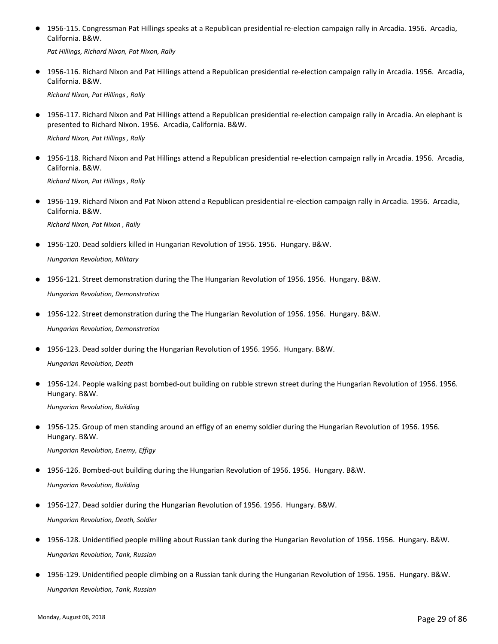● 1956-115. Congressman Pat Hillings speaks at a Republican presidential re-election campaign rally in Arcadia. 1956. Arcadia, California. B&W.

*Pat Hillings, Richard Nixon, Pat Nixon, Rally*

● 1956-116. Richard Nixon and Pat Hillings attend a Republican presidential re-election campaign rally in Arcadia. 1956. Arcadia, California. B&W.

*Richard Nixon, Pat Hillings , Rally*

● 1956-117. Richard Nixon and Pat Hillings attend a Republican presidential re-election campaign rally in Arcadia. An elephant is presented to Richard Nixon. 1956. Arcadia, California. B&W.

*Richard Nixon, Pat Hillings , Rally*

● 1956-118. Richard Nixon and Pat Hillings attend a Republican presidential re-election campaign rally in Arcadia. 1956. Arcadia, California. B&W.

*Richard Nixon, Pat Hillings , Rally*

● 1956-119. Richard Nixon and Pat Nixon attend a Republican presidential re-election campaign rally in Arcadia. 1956. Arcadia, California. B&W.

*Richard Nixon, Pat Nixon , Rally*

● 1956-120. Dead soldiers killed in Hungarian Revolution of 1956. 1956. Hungary. B&W.

*Hungarian Revolution, Military*

- 1956-121. Street demonstration during the The Hungarian Revolution of 1956. 1956. Hungary. B&W. *Hungarian Revolution, Demonstration*
- 1956-122. Street demonstration during the The Hungarian Revolution of 1956. 1956. Hungary. B&W. *Hungarian Revolution, Demonstration*
- 1956-123. Dead solder during the Hungarian Revolution of 1956. 1956. Hungary. B&W. *Hungarian Revolution, Death*
- 1956-124. People walking past bombed-out building on rubble strewn street during the Hungarian Revolution of 1956. 1956. Hungary. B&W.

*Hungarian Revolution, Building*

1956-125. Group of men standing around an effigy of an enemy soldier during the Hungarian Revolution of 1956. 1956. Hungary. B&W.  $\bullet$ 

*Hungarian Revolution, Enemy, Effigy*

- 1956-126. Bombed-out building during the Hungarian Revolution of 1956. 1956. Hungary. B&W. *Hungarian Revolution, Building*
- 1956-127. Dead soldier during the Hungarian Revolution of 1956. 1956. Hungary. B&W. *Hungarian Revolution, Death, Soldier*
- 1956-128. Unidentified people milling about Russian tank during the Hungarian Revolution of 1956. 1956. Hungary. B&W. *Hungarian Revolution, Tank, Russian*
- 1956-129. Unidentified people climbing on a Russian tank during the Hungarian Revolution of 1956. 1956. Hungary. B&W. *Hungarian Revolution, Tank, Russian*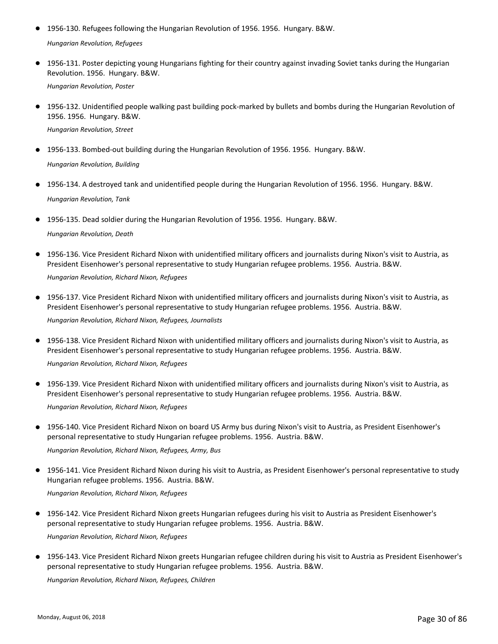- 1956-130. Refugees following the Hungarian Revolution of 1956. 1956. Hungary. B&W. *Hungarian Revolution, Refugees*
- 1956-131. Poster depicting young Hungarians fighting for their country against invading Soviet tanks during the Hungarian Revolution. 1956. Hungary. B&W. ●

*Hungarian Revolution, Poster*

● 1956-132. Unidentified people walking past building pock-marked by bullets and bombs during the Hungarian Revolution of 1956. 1956. Hungary. B&W.

*Hungarian Revolution, Street*

● 1956-133. Bombed-out building during the Hungarian Revolution of 1956. 1956. Hungary. B&W.

*Hungarian Revolution, Building*

- 1956-134. A destroyed tank and unidentified people during the Hungarian Revolution of 1956. 1956. Hungary. B&W. *Hungarian Revolution, Tank*
- 1956-135. Dead soldier during the Hungarian Revolution of 1956. 1956. Hungary. B&W.

*Hungarian Revolution, Death*

- 1956-136. Vice President Richard Nixon with unidentified military officers and journalists during Nixon's visit to Austria, as President Eisenhower's personal representative to study Hungarian refugee problems. 1956. Austria. B&W. *Hungarian Revolution, Richard Nixon, Refugees*
- 1956-137. Vice President Richard Nixon with unidentified military officers and journalists during Nixon's visit to Austria, as President Eisenhower's personal representative to study Hungarian refugee problems. 1956. Austria. B&W.

*Hungarian Revolution, Richard Nixon, Refugees, Journalists*

● 1956-138. Vice President Richard Nixon with unidentified military officers and journalists during Nixon's visit to Austria, as President Eisenhower's personal representative to study Hungarian refugee problems. 1956. Austria. B&W.

*Hungarian Revolution, Richard Nixon, Refugees*

● 1956-139. Vice President Richard Nixon with unidentified military officers and journalists during Nixon's visit to Austria, as President Eisenhower's personal representative to study Hungarian refugee problems. 1956. Austria. B&W.

*Hungarian Revolution, Richard Nixon, Refugees*

● 1956-140. Vice President Richard Nixon on board US Army bus during Nixon's visit to Austria, as President Eisenhower's personal representative to study Hungarian refugee problems. 1956. Austria. B&W.

*Hungarian Revolution, Richard Nixon, Refugees, Army, Bus*

● 1956-141. Vice President Richard Nixon during his visit to Austria, as President Eisenhower's personal representative to study Hungarian refugee problems. 1956. Austria. B&W.

*Hungarian Revolution, Richard Nixon, Refugees*

1956-142. Vice President Richard Nixon greets Hungarian refugees during his visit to Austria as President Eisenhower's personal representative to study Hungarian refugee problems. 1956. Austria. B&W. ●

*Hungarian Revolution, Richard Nixon, Refugees*

● 1956-143. Vice President Richard Nixon greets Hungarian refugee children during his visit to Austria as President Eisenhower's personal representative to study Hungarian refugee problems. 1956. Austria. B&W.

*Hungarian Revolution, Richard Nixon, Refugees, Children*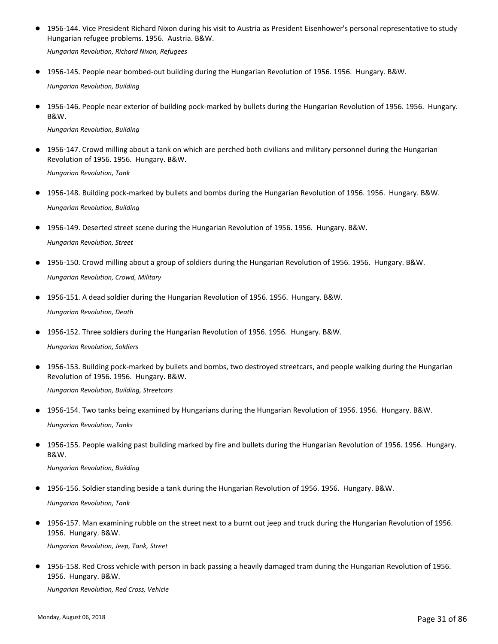1956-144. Vice President Richard Nixon during his visit to Austria as President Eisenhower's personal representative to study Hungarian refugee problems. 1956. Austria. B&W. ●

*Hungarian Revolution, Richard Nixon, Refugees*

- 1956-145. People near bombed-out building during the Hungarian Revolution of 1956. 1956. Hungary. B&W. *Hungarian Revolution, Building*
- 1956-146. People near exterior of building pock-marked by bullets during the Hungarian Revolution of 1956. 1956. Hungary. B&W.

*Hungarian Revolution, Building*

● 1956-147. Crowd milling about a tank on which are perched both civilians and military personnel during the Hungarian Revolution of 1956. 1956. Hungary. B&W.

*Hungarian Revolution, Tank*

- 1956-148. Building pock-marked by bullets and bombs during the Hungarian Revolution of 1956. 1956. Hungary. B&W. *Hungarian Revolution, Building*
- 1956-149. Deserted street scene during the Hungarian Revolution of 1956. 1956. Hungary. B&W. *Hungarian Revolution, Street*
- 1956-150. Crowd milling about a group of soldiers during the Hungarian Revolution of 1956. 1956. Hungary. B&W. *Hungarian Revolution, Crowd, Military*
- 1956-151. A dead soldier during the Hungarian Revolution of 1956. 1956. Hungary. B&W. *Hungarian Revolution, Death*
- 1956-152. Three soldiers during the Hungarian Revolution of 1956. 1956. Hungary. B&W.

```
Hungarian Revolution, Soldiers
```
- 1956-153. Building pock-marked by bullets and bombs, two destroyed streetcars, and people walking during the Hungarian Revolution of 1956. 1956. Hungary. B&W. *Hungarian Revolution, Building, Streetcars*
- 1956-154. Two tanks being examined by Hungarians during the Hungarian Revolution of 1956. 1956. Hungary. B&W. *Hungarian Revolution, Tanks*
- 1956-155. People walking past building marked by fire and bullets during the Hungarian Revolution of 1956. 1956. Hungary. B&W. ●

*Hungarian Revolution, Building*

- 1956-156. Soldier standing beside a tank during the Hungarian Revolution of 1956. 1956. Hungary. B&W. *Hungarian Revolution, Tank*
- 1956-157. Man examining rubble on the street next to a burnt out jeep and truck during the Hungarian Revolution of 1956. 1956. Hungary. B&W. *Hungarian Revolution, Jeep, Tank, Street*
- 1956-158. Red Cross vehicle with person in back passing a heavily damaged tram during the Hungarian Revolution of 1956. 1956. Hungary. B&W.

*Hungarian Revolution, Red Cross, Vehicle*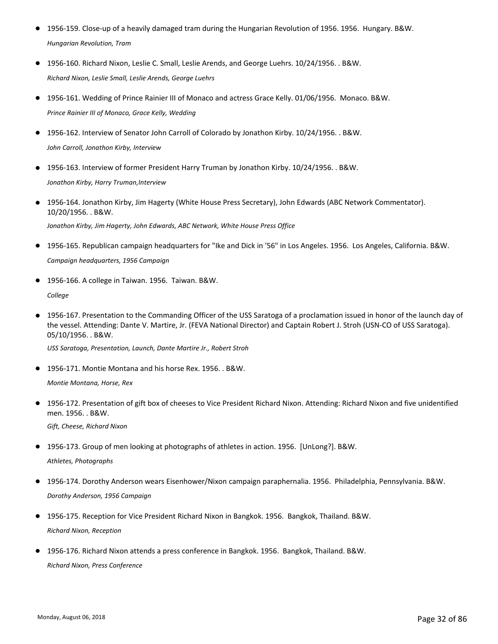- 1956-159. Close-up of a heavily damaged tram during the Hungarian Revolution of 1956. 1956. Hungary. B&W. *Hungarian Revolution, Tram*
- 1956-160. Richard Nixon, Leslie C. Small, Leslie Arends, and George Luehrs. 10/24/1956. . B&W. *Richard Nixon, Leslie Small, Leslie Arends, George Luehrs*
- 1956-161. Wedding of Prince Rainier III of Monaco and actress Grace Kelly. 01/06/1956. Monaco. B&W. *Prince Rainier III of Monaco, Grace Kelly, Wedding*
- 1956-162. Interview of Senator John Carroll of Colorado by Jonathon Kirby. 10/24/1956. . B&W. *John Carroll, Jonathon Kirby, Interview*
- 1956-163. Interview of former President Harry Truman by Jonathon Kirby. 10/24/1956. . B&W. *Jonathon Kirby, Harry Truman,Interview*
- 1956-164. Jonathon Kirby, Jim Hagerty (White House Press Secretary), John Edwards (ABC Network Commentator). 10/20/1956. . B&W. *Jonathon Kirby, Jim Hagerty, John Edwards, ABC Network, White House Press Office*
- 1956-165. Republican campaign headquarters for "Ike and Dick in '56" in Los Angeles. 1956. Los Angeles, California. B&W. *Campaign headquarters, 1956 Campaign*
- 1956-166. A college in Taiwan. 1956. Taiwan. B&W. *College*
- 1956-167. Presentation to the Commanding Officer of the USS Saratoga of a proclamation issued in honor of the launch day of the vessel. Attending: Dante V. Martire, Jr. (FEVA National Director) and Captain Robert J. Stroh (USN-CO of USS Saratoga). 05/10/1956. . B&W.

*USS Saratoga, Presentation, Launch, Dante Martire Jr., Robert Stroh*

● 1956-171. Montie Montana and his horse Rex. 1956. . B&W.

*Montie Montana, Horse, Rex*

● 1956-172. Presentation of gift box of cheeses to Vice President Richard Nixon. Attending: Richard Nixon and five unidentified men. 1956. . B&W.

*Gift, Cheese, Richard Nixon*

● 1956-173. Group of men looking at photographs of athletes in action. 1956. [UnLong?]. B&W.

*Athletes, Photographs*

- 1956-174. Dorothy Anderson wears Eisenhower/Nixon campaign paraphernalia. 1956. Philadelphia, Pennsylvania. B&W. *Dorothy Anderson, 1956 Campaign*
- 1956-175. Reception for Vice President Richard Nixon in Bangkok. 1956. Bangkok, Thailand. B&W. *Richard Nixon, Reception*
- 1956-176. Richard Nixon attends a press conference in Bangkok. 1956. Bangkok, Thailand. B&W. *Richard Nixon, Press Conference*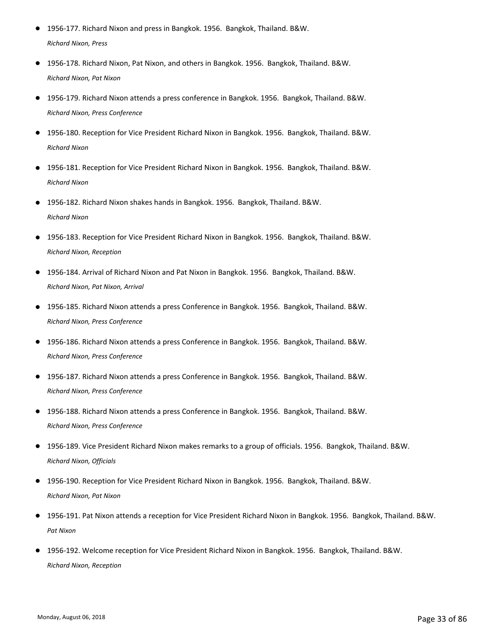- 1956-177. Richard Nixon and press in Bangkok. 1956. Bangkok, Thailand. B&W. *Richard Nixon, Press*
- 1956-178. Richard Nixon, Pat Nixon, and others in Bangkok. 1956. Bangkok, Thailand. B&W. *Richard Nixon, Pat Nixon*
- 1956-179. Richard Nixon attends a press conference in Bangkok. 1956. Bangkok, Thailand. B&W. *Richard Nixon, Press Conference*
- 1956-180. Reception for Vice President Richard Nixon in Bangkok. 1956. Bangkok. Thailand. B&W. *Richard Nixon*
- 1956-181. Reception for Vice President Richard Nixon in Bangkok. 1956. Bangkok, Thailand. B&W. *Richard Nixon*
- 1956-182. Richard Nixon shakes hands in Bangkok. 1956. Bangkok, Thailand. B&W. *Richard Nixon*
- 1956-183. Reception for Vice President Richard Nixon in Bangkok. 1956. Bangkok, Thailand. B&W. *Richard Nixon, Reception*
- 1956-184. Arrival of Richard Nixon and Pat Nixon in Bangkok. 1956. Bangkok, Thailand. B&W. *Richard Nixon, Pat Nixon, Arrival*
- 1956-185. Richard Nixon attends a press Conference in Bangkok. 1956. Bangkok, Thailand. B&W. *Richard Nixon, Press Conference*
- 1956-186. Richard Nixon attends a press Conference in Bangkok. 1956. Bangkok, Thailand. B&W. *Richard Nixon, Press Conference*
- 1956-187. Richard Nixon attends a press Conference in Bangkok. 1956. Bangkok, Thailand. B&W. *Richard Nixon, Press Conference*
- 1956-188. Richard Nixon attends a press Conference in Bangkok. 1956. Bangkok, Thailand. B&W. *Richard Nixon, Press Conference*
- 1956-189. Vice President Richard Nixon makes remarks to a group of officials. 1956. Bangkok, Thailand. B&W. *Richard Nixon, Officials*
- 1956-190. Reception for Vice President Richard Nixon in Bangkok. 1956. Bangkok, Thailand. B&W. *Richard Nixon, Pat Nixon*
- 1956-191. Pat Nixon attends a reception for Vice President Richard Nixon in Bangkok. 1956. Bangkok, Thailand. B&W. *Pat Nixon*
- 1956-192. Welcome reception for Vice President Richard Nixon in Bangkok. 1956. Bangkok, Thailand. B&W. *Richard Nixon, Reception*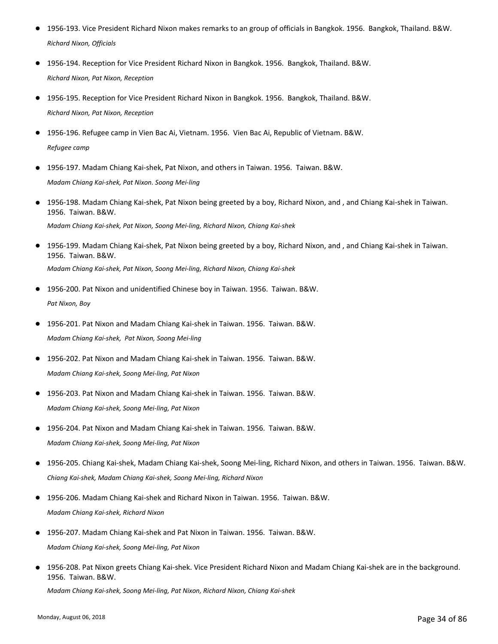- 1956-193. Vice President Richard Nixon makes remarks to an group of officials in Bangkok. 1956. Bangkok, Thailand. B&W. *Richard Nixon, Officials*
- 1956-194. Reception for Vice President Richard Nixon in Bangkok. 1956. Bangkok, Thailand. B&W. *Richard Nixon, Pat Nixon, Reception*
- 1956-195. Reception for Vice President Richard Nixon in Bangkok. 1956. Bangkok, Thailand. B&W. *Richard Nixon, Pat Nixon, Reception*
- 1956-196. Refugee camp in Vien Bac Ai, Vietnam. 1956. Vien Bac Ai, Republic of Vietnam. B&W. *Refugee camp*
- 1956-197. Madam Chiang Kai-shek, Pat Nixon, and others in Taiwan. 1956. Taiwan. B&W. *Madam Chiang Kai-shek, Pat Nixon. Soong Mei-ling*
- 1956-198. Madam Chiang Kai-shek, Pat Nixon being greeted by a boy, Richard Nixon, and , and Chiang Kai-shek in Taiwan. 1956. Taiwan. B&W. *Madam Chiang Kai-shek, Pat Nixon, Soong Mei-ling, Richard Nixon, Chiang Kai-shek*
- 1956-199. Madam Chiang Kai-shek, Pat Nixon being greeted by a boy, Richard Nixon, and , and Chiang Kai-shek in Taiwan. 1956. Taiwan. B&W. *Madam Chiang Kai-shek, Pat Nixon, Soong Mei-ling, Richard Nixon, Chiang Kai-shek*
- 1956-200. Pat Nixon and unidentified Chinese boy in Taiwan. 1956. Taiwan. B&W. *Pat Nixon, Boy*
- 1956-201. Pat Nixon and Madam Chiang Kai-shek in Taiwan. 1956. Taiwan. B&W. *Madam Chiang Kai-shek, Pat Nixon, Soong Mei-ling*
- 1956-202. Pat Nixon and Madam Chiang Kai-shek in Taiwan. 1956. Taiwan. B&W. *Madam Chiang Kai-shek, Soong Mei-ling, Pat Nixon*
- 1956-203. Pat Nixon and Madam Chiang Kai-shek in Taiwan. 1956. Taiwan. B&W. *Madam Chiang Kai-shek, Soong Mei-ling, Pat Nixon*
- 1956-204. Pat Nixon and Madam Chiang Kai-shek in Taiwan. 1956. Taiwan. B&W. *Madam Chiang Kai-shek, Soong Mei-ling, Pat Nixon*
- 1956-205. Chiang Kai-shek, Madam Chiang Kai-shek, Soong Mei-ling, Richard Nixon, and others in Taiwan. 1956. Taiwan. B&W. *Chiang Kai-shek, Madam Chiang Kai-shek, Soong Mei-ling, Richard Nixon*
- 1956-206. Madam Chiang Kai-shek and Richard Nixon in Taiwan. 1956. Taiwan. B&W. *Madam Chiang Kai-shek, Richard Nixon*
- 1956-207. Madam Chiang Kai-shek and Pat Nixon in Taiwan. 1956. Taiwan. B&W. *Madam Chiang Kai-shek, Soong Mei-ling, Pat Nixon*
- 1956-208. Pat Nixon greets Chiang Kai-shek. Vice President Richard Nixon and Madam Chiang Kai-shek are in the background. 1956. Taiwan. B&W.

*Madam Chiang Kai-shek, Soong Mei-ling, Pat Nixon, Richard Nixon, Chiang Kai-shek*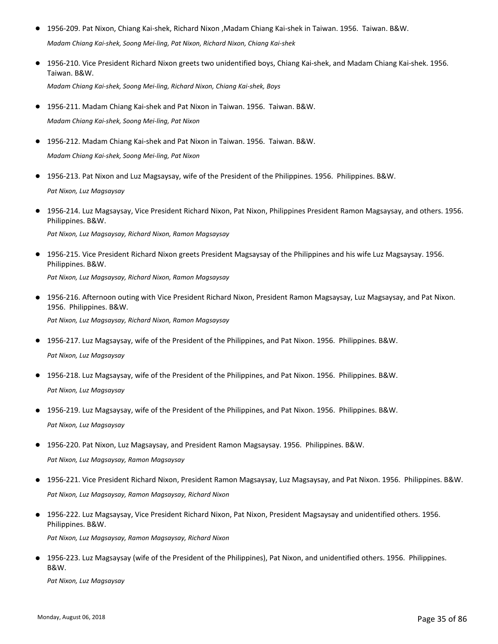- 1956-209. Pat Nixon, Chiang Kai-shek, Richard Nixon ,Madam Chiang Kai-shek in Taiwan. 1956. Taiwan. B&W. *Madam Chiang Kai-shek, Soong Mei-ling, Pat Nixon, Richard Nixon, Chiang Kai-shek*
- 1956-210. Vice President Richard Nixon greets two unidentified boys, Chiang Kai-shek, and Madam Chiang Kai-shek. 1956. Taiwan. B&W.

*Madam Chiang Kai-shek, Soong Mei-ling, Richard Nixon, Chiang Kai-shek, Boys*

- 1956-211. Madam Chiang Kai-shek and Pat Nixon in Taiwan. 1956. Taiwan. B&W. *Madam Chiang Kai-shek, Soong Mei-ling, Pat Nixon*
- 1956-212. Madam Chiang Kai-shek and Pat Nixon in Taiwan. 1956. Taiwan. B&W. *Madam Chiang Kai-shek, Soong Mei-ling, Pat Nixon*
- 1956-213. Pat Nixon and Luz Magsaysay, wife of the President of the Philippines. 1956. Philippines. B&W. *Pat Nixon, Luz Magsaysay*
- 1956-214. Luz Magsaysay, Vice President Richard Nixon, Pat Nixon, Philippines President Ramon Magsaysay, and others. 1956. Philippines. B&W.

*Pat Nixon, Luz Magsaysay, Richard Nixon, Ramon Magsaysay*

● 1956-215. Vice President Richard Nixon greets President Magsaysay of the Philippines and his wife Luz Magsaysay. 1956. Philippines. B&W.

*Pat Nixon, Luz Magsaysay, Richard Nixon, Ramon Magsaysay*

● 1956-216. Afternoon outing with Vice President Richard Nixon, President Ramon Magsaysay, Luz Magsaysay, and Pat Nixon. 1956. Philippines. B&W.

*Pat Nixon, Luz Magsaysay, Richard Nixon, Ramon Magsaysay*

- 1956-217. Luz Magsaysay, wife of the President of the Philippines, and Pat Nixon. 1956. Philippines. B&W. *Pat Nixon, Luz Magsaysay*
- 1956-218. Luz Magsaysay, wife of the President of the Philippines, and Pat Nixon. 1956. Philippines. B&W. *Pat Nixon, Luz Magsaysay*
- 1956-219. Luz Magsaysay, wife of the President of the Philippines, and Pat Nixon. 1956. Philippines. B&W. *Pat Nixon, Luz Magsaysay*
- 1956-220. Pat Nixon, Luz Magsaysay, and President Ramon Magsaysay. 1956. Philippines. B&W. *Pat Nixon, Luz Magsaysay, Ramon Magsaysay*
- 1956-221. Vice President Richard Nixon, President Ramon Magsaysay, Luz Magsaysay, and Pat Nixon. 1956. Philippines. B&W. *Pat Nixon, Luz Magsaysay, Ramon Magsaysay, Richard Nixon*
- 1956-222. Luz Magsaysay, Vice President Richard Nixon, Pat Nixon, President Magsaysay and unidentified others. 1956. Philippines. B&W.

*Pat Nixon, Luz Magsaysay, Ramon Magsaysay, Richard Nixon*

● 1956-223. Luz Magsaysay (wife of the President of the Philippines), Pat Nixon, and unidentified others. 1956. Philippines. B&W.

*Pat Nixon, Luz Magsaysay*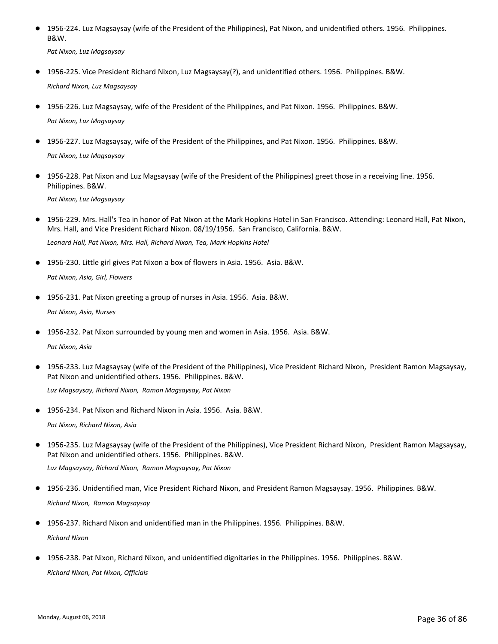● 1956-224. Luz Magsaysay (wife of the President of the Philippines), Pat Nixon, and unidentified others. 1956. Philippines. B&W.

*Pat Nixon, Luz Magsaysay*

- 1956-225. Vice President Richard Nixon, Luz Magsaysay(?), and unidentified others. 1956. Philippines. B&W. *Richard Nixon, Luz Magsaysay*
- 1956-226. Luz Magsaysay, wife of the President of the Philippines, and Pat Nixon. 1956. Philippines. B&W. *Pat Nixon, Luz Magsaysay*
- 1956-227. Luz Magsaysay, wife of the President of the Philippines, and Pat Nixon. 1956. Philippines. B&W.

*Pat Nixon, Luz Magsaysay*

● 1956-228. Pat Nixon and Luz Magsaysay (wife of the President of the Philippines) greet those in a receiving line. 1956. Philippines. B&W.

*Pat Nixon, Luz Magsaysay*

1956-229. Mrs. Hall's Tea in honor of Pat Nixon at the Mark Hopkins Hotel in San Francisco. Attending: Leonard Hall, Pat Nixon, Mrs. Hall, and Vice President Richard Nixon. 08/19/1956. San Francisco, California. B&W. ●

*Leonard Hall, Pat Nixon, Mrs. Hall, Richard Nixon, Tea, Mark Hopkins Hotel*

- 1956-230. Little girl gives Pat Nixon a box of flowers in Asia. 1956. Asia. B&W. *Pat Nixon, Asia, Girl, Flowers*
- 1956-231. Pat Nixon greeting a group of nurses in Asia. 1956. Asia. B&W.

*Pat Nixon, Asia, Nurses*

● 1956-232. Pat Nixon surrounded by young men and women in Asia. 1956. Asia. B&W.

*Pat Nixon, Asia*

● 1956-233. Luz Magsaysay (wife of the President of the Philippines), Vice President Richard Nixon, President Ramon Magsaysay, Pat Nixon and unidentified others. 1956. Philippines. B&W.

*Luz Magsaysay, Richard Nixon, Ramon Magsaysay, Pat Nixon*

● 1956-234. Pat Nixon and Richard Nixon in Asia. 1956. Asia. B&W.

*Pat Nixon, Richard Nixon, Asia*

1956-235. Luz Magsaysay (wife of the President of the Philippines), Vice President Richard Nixon, President Ramon Magsaysay, Pat Nixon and unidentified others. 1956. Philippines. B&W. ●

*Luz Magsaysay, Richard Nixon, Ramon Magsaysay, Pat Nixon*

- 1956-236. Unidentified man, Vice President Richard Nixon, and President Ramon Magsaysay. 1956. Philippines. B&W. *Richard Nixon, Ramon Magsaysay*
- 1956-237. Richard Nixon and unidentified man in the Philippines. 1956. Philippines. B&W. *Richard Nixon*
- 1956-238. Pat Nixon, Richard Nixon, and unidentified dignitaries in the Philippines. 1956. Philippines. B&W. *Richard Nixon, Pat Nixon, Officials*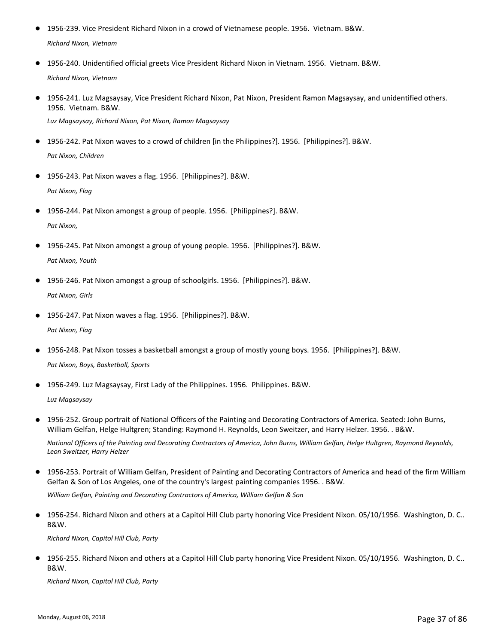- 1956-239. Vice President Richard Nixon in a crowd of Vietnamese people. 1956. Vietnam. B&W. *Richard Nixon, Vietnam*
- 1956-240. Unidentified official greets Vice President Richard Nixon in Vietnam. 1956. Vietnam. B&W. *Richard Nixon, Vietnam*
- 1956-241. Luz Magsaysay, Vice President Richard Nixon, Pat Nixon, President Ramon Magsaysay, and unidentified others. 1956. Vietnam. B&W.

*Luz Magsaysay, Richard Nixon, Pat Nixon, Ramon Magsaysay*

- 1956-242. Pat Nixon waves to a crowd of children [in the Philippines?]. 1956. [Philippines?]. B&W. *Pat Nixon, Children*
- 1956-243. Pat Nixon waves a flag. 1956. [Philippines?]. B&W. *Pat Nixon, Flag*
- 1956-244. Pat Nixon amongst a group of people. 1956. [Philippines?]. B&W. *Pat Nixon,*
- 1956-245. Pat Nixon amongst a group of young people. 1956. [Philippines?]. B&W. *Pat Nixon, Youth*
- 1956-246. Pat Nixon amongst a group of schoolgirls. 1956. [Philippines?]. B&W. *Pat Nixon, Girls*
- 1956-247. Pat Nixon waves a flag. 1956. [Philippines?]. B&W. *Pat Nixon, Flag*
- 1956-248. Pat Nixon tosses a basketball amongst a group of mostly young boys. 1956. [Philippines?]. B&W. *Pat Nixon, Boys, Basketball, Sports*
- 1956-249. Luz Magsaysay, First Lady of the Philippines. 1956. Philippines. B&W.

*Luz Magsaysay*

*Leon Sweitzer, Harry Helzer*

- 1956-252. Group portrait of National Officers of the Painting and Decorating Contractors of America. Seated: John Burns, William Gelfan, Helge Hultgren; Standing: Raymond H. Reynolds, Leon Sweitzer, and Harry Helzer. 1956. . B&W. *National Officers of the Painting and Decorating Contractors of America, John Burns, William Gelfan, Helge Hultgren, Raymond Reynolds,*
- 1956-253. Portrait of William Gelfan, President of Painting and Decorating Contractors of America and head of the firm William Gelfan & Son of Los Angeles, one of the country's largest painting companies 1956. . B&W. ● *William Gelfan, Painting and Decorating Contractors of America, William Gelfan & Son*
- 1956-254. Richard Nixon and others at a Capitol Hill Club party honoring Vice President Nixon. 05/10/1956. Washington, D. C.. B&W. ●

*Richard Nixon, Capitol Hill Club, Party*

● 1956-255. Richard Nixon and others at a Capitol Hill Club party honoring Vice President Nixon. 05/10/1956. Washington, D. C.. B&W.

*Richard Nixon, Capitol Hill Club, Party*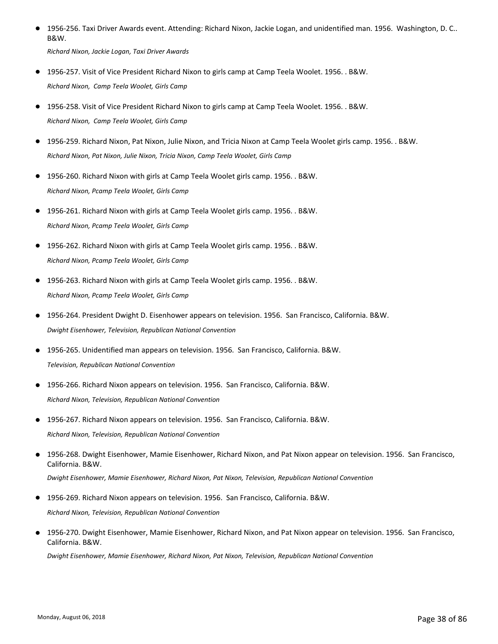1956-256. Taxi Driver Awards event. Attending: Richard Nixon, Jackie Logan, and unidentified man. 1956. Washington, D. C.. B&W. ●

*Richard Nixon, Jackie Logan, Taxi Driver Awards*

- 1956-257. Visit of Vice President Richard Nixon to girls camp at Camp Teela Woolet. 1956. . B&W. *Richard Nixon, Camp Teela Woolet, Girls Camp*
- 1956-258. Visit of Vice President Richard Nixon to girls camp at Camp Teela Woolet. 1956. . B&W. *Richard Nixon, Camp Teela Woolet, Girls Camp*
- 1956-259. Richard Nixon, Pat Nixon, Julie Nixon, and Tricia Nixon at Camp Teela Woolet girls camp. 1956. . B&W. *Richard Nixon, Pat Nixon, Julie Nixon, Tricia Nixon, Camp Teela Woolet, Girls Camp*
- 1956-260. Richard Nixon with girls at Camp Teela Woolet girls camp. 1956. . B&W. *Richard Nixon, Pcamp Teela Woolet, Girls Camp*
- 1956-261. Richard Nixon with girls at Camp Teela Woolet girls camp. 1956. . B&W. *Richard Nixon, Pcamp Teela Woolet, Girls Camp*
- 1956-262. Richard Nixon with girls at Camp Teela Woolet girls camp. 1956. . B&W. *Richard Nixon, Pcamp Teela Woolet, Girls Camp*
- 1956-263. Richard Nixon with girls at Camp Teela Woolet girls camp. 1956. . B&W. *Richard Nixon, Pcamp Teela Woolet, Girls Camp*
- 1956-264. President Dwight D. Eisenhower appears on television. 1956. San Francisco, California. B&W. *Dwight Eisenhower, Television, Republican National Convention*
- 1956-265. Unidentified man appears on television. 1956. San Francisco, California. B&W. *Television, Republican National Convention*
- 1956-266. Richard Nixon appears on television. 1956. San Francisco, California. B&W. *Richard Nixon, Television, Republican National Convention*
- 1956-267. Richard Nixon appears on television. 1956. San Francisco, California. B&W. *Richard Nixon, Television, Republican National Convention*
- 1956-268. Dwight Eisenhower, Mamie Eisenhower, Richard Nixon, and Pat Nixon appear on television. 1956. San Francisco, California. B&W. ● *Dwight Eisenhower, Mamie Eisenhower, Richard Nixon, Pat Nixon, Television, Republican National Convention*
- 1956-269. Richard Nixon appears on television. 1956. San Francisco, California. B&W. *Richard Nixon, Television, Republican National Convention*
- 1956-270. Dwight Eisenhower, Mamie Eisenhower, Richard Nixon, and Pat Nixon appear on television. 1956. San Francisco, California. B&W. ●

*Dwight Eisenhower, Mamie Eisenhower, Richard Nixon, Pat Nixon, Television, Republican National Convention*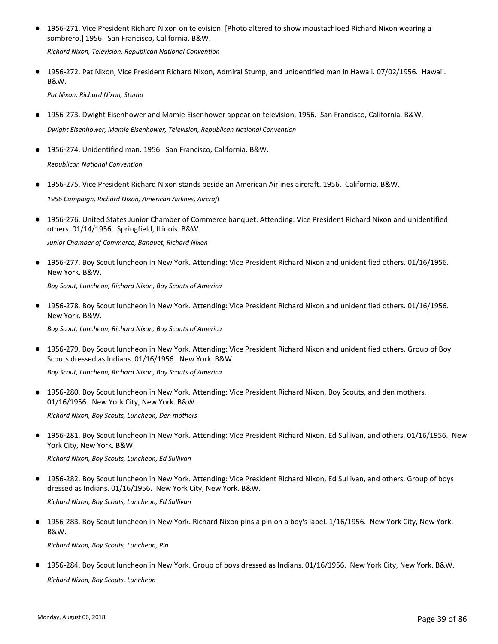● 1956-271. Vice President Richard Nixon on television. [Photo altered to show moustachioed Richard Nixon wearing a sombrero.] 1956. San Francisco, California. B&W.

*Richard Nixon, Television, Republican National Convention*

● 1956-272. Pat Nixon, Vice President Richard Nixon, Admiral Stump, and unidentified man in Hawaii. 07/02/1956. Hawaii. B&W.

*Pat Nixon, Richard Nixon, Stump*

● 1956-273. Dwight Eisenhower and Mamie Eisenhower appear on television. 1956. San Francisco, California. B&W. *Dwight Eisenhower, Mamie Eisenhower, Television, Republican National Convention*

● 1956-274. Unidentified man. 1956. San Francisco, California. B&W. *Republican National Convention*

● 1956-275. Vice President Richard Nixon stands beside an American Airlines aircraft. 1956. California. B&W.

*1956 Campaign, Richard Nixon, American Airlines, Aircraft*

● 1956-276. United States Junior Chamber of Commerce banquet. Attending: Vice President Richard Nixon and unidentified others. 01/14/1956. Springfield, Illinois. B&W.

*Junior Chamber of Commerce, Banquet, Richard Nixon*

● 1956-277. Boy Scout luncheon in New York. Attending: Vice President Richard Nixon and unidentified others. 01/16/1956. New York. B&W.

*Boy Scout, Luncheon, Richard Nixon, Boy Scouts of America*

● 1956-278. Boy Scout luncheon in New York. Attending: Vice President Richard Nixon and unidentified others. 01/16/1956. New York. B&W.

*Boy Scout, Luncheon, Richard Nixon, Boy Scouts of America*

● 1956-279. Boy Scout luncheon in New York. Attending: Vice President Richard Nixon and unidentified others. Group of Boy Scouts dressed as Indians. 01/16/1956. New York. B&W.

*Boy Scout, Luncheon, Richard Nixon, Boy Scouts of America*

● 1956-280. Boy Scout luncheon in New York. Attending: Vice President Richard Nixon, Boy Scouts, and den mothers. 01/16/1956. New York City, New York. B&W.

*Richard Nixon, Boy Scouts, Luncheon, Den mothers*

● 1956-281. Boy Scout luncheon in New York. Attending: Vice President Richard Nixon, Ed Sullivan, and others. 01/16/1956. New York City, New York. B&W.

*Richard Nixon, Boy Scouts, Luncheon, Ed Sullivan*

1956-282. Boy Scout luncheon in New York. Attending: Vice President Richard Nixon, Ed Sullivan, and others. Group of boys dressed as Indians. 01/16/1956. New York City, New York. B&W. ●

*Richard Nixon, Boy Scouts, Luncheon, Ed Sullivan*

● 1956-283. Boy Scout luncheon in New York. Richard Nixon pins a pin on a boy's lapel. 1/16/1956. New York City, New York. B&W.

*Richard Nixon, Boy Scouts, Luncheon, Pin*

● 1956-284. Boy Scout luncheon in New York. Group of boys dressed as Indians. 01/16/1956. New York City, New York. B&W. *Richard Nixon, Boy Scouts, Luncheon*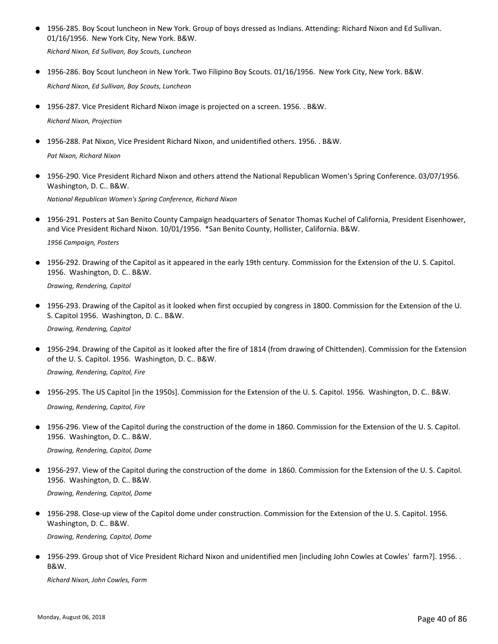● 1956-285. Boy Scout luncheon in New York. Group of boys dressed as Indians. Attending: Richard Nixon and Ed Sullivan. 01/16/1956. New York City, New York. B&W.

*Richard Nixon, Ed Sullivan, Boy Scouts, Luncheon*

- 1956-286. Boy Scout luncheon in New York. Two Filipino Boy Scouts. 01/16/1956. New York City, New York. B&W. *Richard Nixon, Ed Sullivan, Boy Scouts, Luncheon*
- 1956-287. Vice President Richard Nixon image is projected on a screen. 1956. . B&W. *Richard Nixon, Projection*
- 1956-288. Pat Nixon, Vice President Richard Nixon, and unidentified others. 1956. . B&W.

*Pat Nixon, Richard Nixon*

● 1956-290. Vice President Richard Nixon and others attend the National Republican Women's Spring Conference. 03/07/1956. Washington, D. C.. B&W.

*National Republican Women's Spring Conference, Richard Nixon*

● 1956-291. Posters at San Benito County Campaign headquarters of Senator Thomas Kuchel of California, President Eisenhower, and Vice President Richard Nixon. 10/01/1956. \*San Benito County, Hollister, California. B&W.

*1956 Campaign, Posters*

● 1956-292. Drawing of the Capitol as it appeared in the early 19th century. Commission for the Extension of the U.S. Capitol. 1956. Washington, D. C.. B&W.

*Drawing, Rendering, Capitol*

● 1956-293. Drawing of the Capitol as it looked when first occupied by congress in 1800. Commission for the Extension of the U. S. Capitol 1956. Washington, D. C.. B&W.

*Drawing, Rendering, Capitol*

● 1956-294. Drawing of the Capitol as it looked after the fire of 1814 (from drawing of Chittenden). Commission for the Extension of the U. S. Capitol. 1956. Washington, D. C.. B&W.

*Drawing, Rendering, Capitol, Fire*

● 1956-295. The US Capitol [in the 1950s]. Commission for the Extension of the U.S. Capitol. 1956. Washington, D.C.. B&W.

*Drawing, Rendering, Capitol, Fire*

● 1956-296. View of the Capitol during the construction of the dome in 1860. Commission for the Extension of the U.S. Capitol. 1956. Washington, D. C.. B&W.

*Drawing, Rendering, Capitol, Dome*

● 1956-297. View of the Capitol during the construction of the dome in 1860. Commission for the Extension of the U.S. Capitol. 1956. Washington, D. C.. B&W.

*Drawing, Rendering, Capitol, Dome*

1956-298. Close-up view of the Capitol dome under construction. Commission for the Extension of the U. S. Capitol. 1956. Washington, D. C.. B&W. ●

*Drawing, Rendering, Capitol, Dome*

1956-299. Group shot of Vice President Richard Nixon and unidentified men [including John Cowles at Cowles' farm?]. 1956. . B&W. ●

*Richard Nixon, John Cowles, Farm*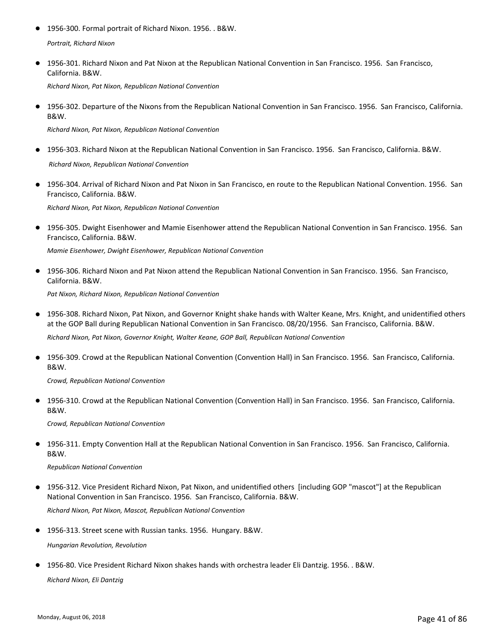- 1956-300. Formal portrait of Richard Nixon. 1956. . B&W. *Portrait, Richard Nixon*
- 1956-301. Richard Nixon and Pat Nixon at the Republican National Convention in San Francisco. 1956. San Francisco, California. B&W. ●

*Richard Nixon, Pat Nixon, Republican National Convention*

● 1956-302. Departure of the Nixons from the Republican National Convention in San Francisco. 1956. San Francisco, California. B&W.

*Richard Nixon, Pat Nixon, Republican National Convention*

- 1956-303. Richard Nixon at the Republican National Convention in San Francisco. 1956. San Francisco, California. B&W.  *Richard Nixon, Republican National Convention*
- 1956-304. Arrival of Richard Nixon and Pat Nixon in San Francisco, en route to the Republican National Convention. 1956. San Francisco, California. B&W. ●

*Richard Nixon, Pat Nixon, Republican National Convention*

● 1956-305. Dwight Eisenhower and Mamie Eisenhower attend the Republican National Convention in San Francisco. 1956. San Francisco, California. B&W.

*Mamie Eisenhower, Dwight Eisenhower, Republican National Convention*

● 1956-306. Richard Nixon and Pat Nixon attend the Republican National Convention in San Francisco. 1956. San Francisco, California. B&W.

*Pat Nixon, Richard Nixon, Republican National Convention*

● 1956-308. Richard Nixon, Pat Nixon, and Governor Knight shake hands with Walter Keane, Mrs. Knight, and unidentified others at the GOP Ball during Republican National Convention in San Francisco. 08/20/1956. San Francisco, California. B&W.

*Richard Nixon, Pat Nixon, Governor Knight, Walter Keane, GOP Ball, Republican National Convention*

● 1956-309. Crowd at the Republican National Convention (Convention Hall) in San Francisco. 1956. San Francisco, California. B&W.

*Crowd, Republican National Convention*

● 1956-310. Crowd at the Republican National Convention (Convention Hall) in San Francisco. 1956. San Francisco, California. B&W.

*Crowd, Republican National Convention*

● 1956-311. Empty Convention Hall at the Republican National Convention in San Francisco. 1956. San Francisco, California. B&W.

*Republican National Convention*

1956-312. Vice President Richard Nixon, Pat Nixon, and unidentified others [including GOP "mascot"] at the Republican National Convention in San Francisco. 1956. San Francisco, California. B&W. ●

*Richard Nixon, Pat Nixon, Mascot, Republican National Convention*

● 1956-313. Street scene with Russian tanks. 1956. Hungary. B&W.

*Hungarian Revolution, Revolution*

● 1956-80. Vice President Richard Nixon shakes hands with orchestra leader Eli Dantzig. 1956. . B&W.

*Richard Nixon, Eli Dantzig*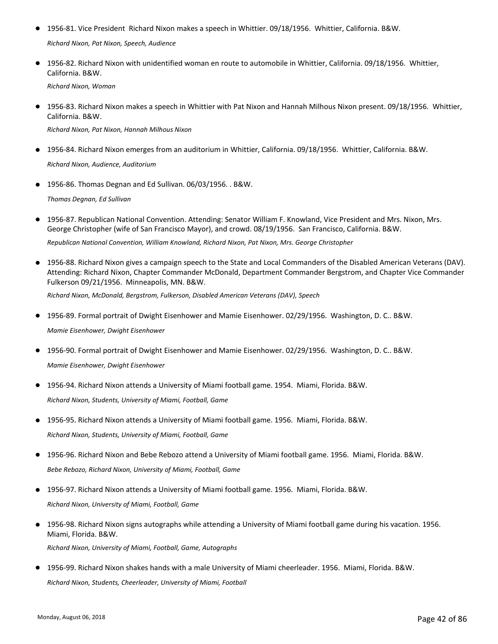● 1956-81. Vice President Richard Nixon makes a speech in Whittier. 09/18/1956. Whittier, California. B&W.

*Richard Nixon, Pat Nixon, Speech, Audience*

● 1956-82. Richard Nixon with unidentified woman en route to automobile in Whittier, California. 09/18/1956. Whittier, California. B&W.

*Richard Nixon, Woman*

● 1956-83. Richard Nixon makes a speech in Whittier with Pat Nixon and Hannah Milhous Nixon present. 09/18/1956. Whittier, California. B&W.

*Richard Nixon, Pat Nixon, Hannah Milhous Nixon*

- 1956-84. Richard Nixon emerges from an auditorium in Whittier, California. 09/18/1956. Whittier, California. B&W. *Richard Nixon, Audience, Auditorium*
- 1956-86. Thomas Degnan and Ed Sullivan. 06/03/1956. . B&W.

*Thomas Degnan, Ed Sullivan*

1956-87. Republican National Convention. Attending: Senator William F. Knowland, Vice President and Mrs. Nixon, Mrs. George Christopher (wife of San Francisco Mayor), and crowd. 08/19/1956. San Francisco, California. B&W. ●

*Republican National Convention, William Knowland, Richard Nixon, Pat Nixon, Mrs. George Christopher*

● 1956-88. Richard Nixon gives a campaign speech to the State and Local Commanders of the Disabled American Veterans (DAV). Attending: Richard Nixon, Chapter Commander McDonald, Department Commander Bergstrom, and Chapter Vice Commander Fulkerson 09/21/1956. Minneapolis, MN. B&W.

*Richard Nixon, McDonald, Bergstrom, Fulkerson, Disabled American Veterans (DAV), Speech*

- 1956-89. Formal portrait of Dwight Eisenhower and Mamie Eisenhower. 02/29/1956. Washington, D. C.. B&W. *Mamie Eisenhower, Dwight Eisenhower*
- 1956-90. Formal portrait of Dwight Eisenhower and Mamie Eisenhower. 02/29/1956. Washington, D. C.. B&W. *Mamie Eisenhower, Dwight Eisenhower*
- 1956-94. Richard Nixon attends a University of Miami football game. 1954. Miami, Florida. B&W. *Richard Nixon, Students, University of Miami, Football, Game*
- 1956-95. Richard Nixon attends a University of Miami football game. 1956. Miami, Florida. B&W. *Richard Nixon, Students, University of Miami, Football, Game*
- 1956-96. Richard Nixon and Bebe Rebozo attend a University of Miami football game. 1956. Miami, Florida. B&W. *Bebe Rebozo, Richard Nixon, University of Miami, Football, Game*
- 1956-97. Richard Nixon attends a University of Miami football game. 1956. Miami, Florida. B&W. *Richard Nixon, University of Miami, Football, Game*
- 1956-98. Richard Nixon signs autographs while attending a University of Miami football game during his vacation. 1956. Miami, Florida. B&W. *Richard Nixon, University of Miami, Football, Game, Autographs*
- 1956-99. Richard Nixon shakes hands with a male University of Miami cheerleader. 1956. Miami, Florida. B&W. *Richard Nixon, Students, Cheerleader, University of Miami, Football*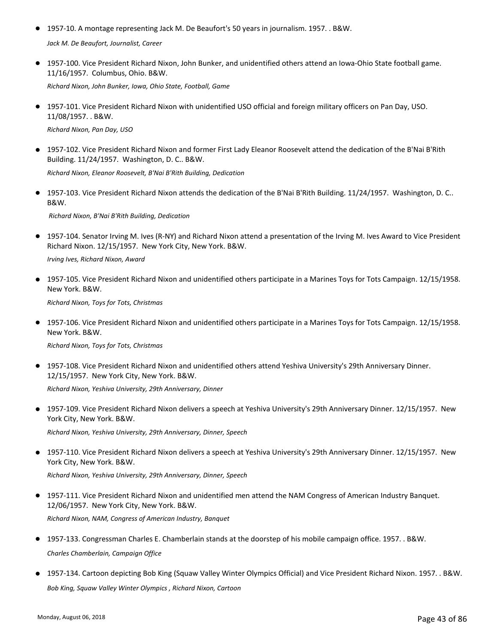- 1957-10. A montage representing Jack M. De Beaufort's 50 years in journalism. 1957. . B&W. *Jack M. De Beaufort, Journalist, Career*
- 1957-100. Vice President Richard Nixon, John Bunker, and unidentified others attend an Iowa-Ohio State football game. 11/16/1957. Columbus, Ohio. B&W.

*Richard Nixon, John Bunker, Iowa, Ohio State, Football, Game*

● 1957-101. Vice President Richard Nixon with unidentified USO official and foreign military officers on Pan Day, USO. 11/08/1957. . B&W.

*Richard Nixon, Pan Day, USO*

● 1957-102. Vice President Richard Nixon and former First Lady Eleanor Roosevelt attend the dedication of the B'Nai B'Rith Building. 11/24/1957. Washington, D. C.. B&W.

*Richard Nixon, Eleanor Roosevelt, B'Nai B'Rith Building, Dedication*

● 1957-103. Vice President Richard Nixon attends the dedication of the B'Nai B'Rith Building. 11/24/1957. Washington, D. C.. B&W.

 *Richard Nixon, B'Nai B'Rith Building, Dedication*

● 1957-104. Senator Irving M. Ives (R-NY) and Richard Nixon attend a presentation of the Irving M. Ives Award to Vice President Richard Nixon. 12/15/1957. New York City, New York. B&W.

*Irving Ives, Richard Nixon, Award*

● 1957-105. Vice President Richard Nixon and unidentified others participate in a Marines Toys for Tots Campaign. 12/15/1958. New York. B&W.

*Richard Nixon, Toys for Tots, Christmas*

● 1957-106. Vice President Richard Nixon and unidentified others participate in a Marines Toys for Tots Campaign. 12/15/1958. New York. B&W.

*Richard Nixon, Toys for Tots, Christmas*

● 1957-108. Vice President Richard Nixon and unidentified others attend Yeshiva University's 29th Anniversary Dinner. 12/15/1957. New York City, New York. B&W.

*Richard Nixon, Yeshiva University, 29th Anniversary, Dinner*

● 1957-109. Vice President Richard Nixon delivers a speech at Yeshiva University's 29th Anniversary Dinner. 12/15/1957. New York City, New York. B&W.

*Richard Nixon, Yeshiva University, 29th Anniversary, Dinner, Speech*

● 1957-110. Vice President Richard Nixon delivers a speech at Yeshiva University's 29th Anniversary Dinner. 12/15/1957. New York City, New York. B&W.

*Richard Nixon, Yeshiva University, 29th Anniversary, Dinner, Speech*

- 1957-111. Vice President Richard Nixon and unidentified men attend the NAM Congress of American Industry Banquet. 12/06/1957. New York City, New York. B&W. *Richard Nixon, NAM, Congress of American Industry, Banquet*
- 1957-133. Congressman Charles E. Chamberlain stands at the doorstep of his mobile campaign office. 1957. . B&W. *Charles Chamberlain, Campaign Office*
- 1957-134. Cartoon depicting Bob King (Squaw Valley Winter Olympics Official) and Vice President Richard Nixon. 1957. . B&W. *Bob King, Squaw Valley Winter Olympics , Richard Nixon, Cartoon*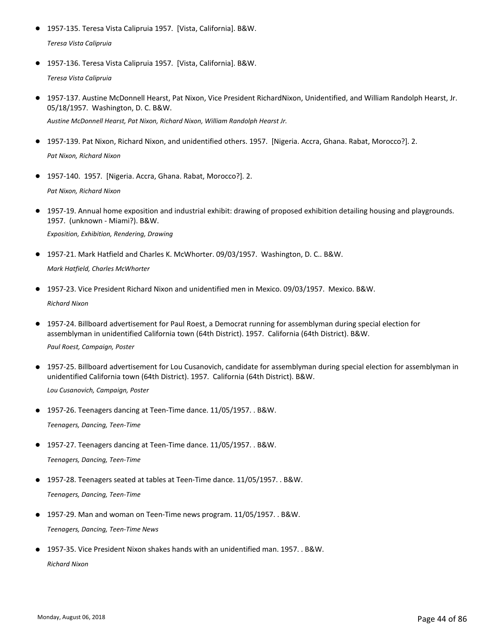- 1957-135. Teresa Vista Calipruia 1957. [Vista, California]. B&W. *Teresa Vista Calipruia*
- 1957-136. Teresa Vista Calipruia 1957. [Vista, California]. B&W. *Teresa Vista Calipruia*
- 1957-137. Austine McDonnell Hearst, Pat Nixon, Vice President RichardNixon, Unidentified, and William Randolph Hearst, Jr. 05/18/1957. Washington, D. C. B&W.

*Austine McDonnell Hearst, Pat Nixon, Richard Nixon, William Randolph Hearst Jr.*

- 1957-139. Pat Nixon, Richard Nixon, and unidentified others. 1957. [Nigeria. Accra, Ghana. Rabat, Morocco?]. 2. *Pat Nixon, Richard Nixon*
- 1957-140. 1957. [Nigeria. Accra, Ghana. Rabat, Morocco?]. 2.

*Pat Nixon, Richard Nixon*

● 1957-19. Annual home exposition and industrial exhibit: drawing of proposed exhibition detailing housing and playgrounds. 1957. (unknown - Miami?). B&W.

*Exposition, Exhibition, Rendering, Drawing*

- 1957-21. Mark Hatfield and Charles K. McWhorter. 09/03/1957. Washington, D. C.. B&W. *Mark Hatfield, Charles McWhorter*
- 1957-23. Vice President Richard Nixon and unidentified men in Mexico. 09/03/1957. Mexico. B&W. *Richard Nixon*
- 1957-24. Billboard advertisement for Paul Roest, a Democrat running for assemblyman during special election for assemblyman in unidentified California town (64th District). 1957. California (64th District). B&W.  $\bullet$ *Paul Roest, Campaign, Poster*
- 1957-25. Billboard advertisement for Lou Cusanovich, candidate for assemblyman during special election for assemblyman in unidentified California town (64th District). 1957. California (64th District). B&W. *Lou Cusanovich, Campaign, Poster*
- 1957-26. Teenagers dancing at Teen-Time dance. 11/05/1957. . B&W. *Teenagers, Dancing, Teen-Time*
- 1957-27. Teenagers dancing at Teen-Time dance. 11/05/1957. . B&W. *Teenagers, Dancing, Teen-Time*
- 1957-28. Teenagers seated at tables at Teen-Time dance. 11/05/1957. . B&W. *Teenagers, Dancing, Teen-Time*
- 1957-29. Man and woman on Teen-Time news program. 11/05/1957. . B&W. *Teenagers, Dancing, Teen-Time News*
- 1957-35. Vice President Nixon shakes hands with an unidentified man. 1957. . B&W. *Richard Nixon*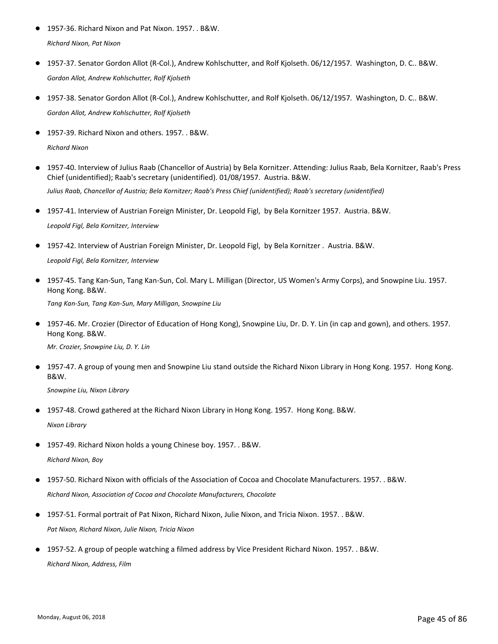- 1957-36. Richard Nixon and Pat Nixon. 1957. . B&W. *Richard Nixon, Pat Nixon*
- 1957-37. Senator Gordon Allot (R-Col.), Andrew Kohlschutter, and Rolf Kjolseth. 06/12/1957. Washington, D. C.. B&W. *Gordon Allot, Andrew Kohlschutter, Rolf Kjolseth*
- 1957-38. Senator Gordon Allot (R-Col.), Andrew Kohlschutter, and Rolf Kjolseth. 06/12/1957. Washington, D. C.. B&W. *Gordon Allot, Andrew Kohlschutter, Rolf Kjolseth*
- 1957-39. Richard Nixon and others. 1957. . B&W. *Richard Nixon*
- 1957-40. Interview of Julius Raab (Chancellor of Austria) by Bela Kornitzer. Attending: Julius Raab, Bela Kornitzer, Raab's Press Chief (unidentified); Raab's secretary (unidentified). 01/08/1957. Austria. B&W. *Julius Raab, Chancellor of Austria; Bela Kornitzer; Raab's Press Chief (unidentified); Raab's secretary (unidentified)*
- 1957-41. Interview of Austrian Foreign Minister, Dr. Leopold Figl, by Bela Kornitzer 1957. Austria. B&W. *Leopold Figl, Bela Kornitzer, Interview*
- 1957-42. Interview of Austrian Foreign Minister, Dr. Leopold Figl, by Bela Kornitzer . Austria. B&W. *Leopold Figl, Bela Kornitzer, Interview*
- 1957-45. Tang Kan-Sun, Tang Kan-Sun, Col. Mary L. Milligan (Director, US Women's Army Corps), and Snowpine Liu. 1957. Hong Kong. B&W.

*Tang Kan-Sun, Tang Kan-Sun, Mary Milligan, Snowpine Liu*

● 1957-46. Mr. Crozier (Director of Education of Hong Kong), Snowpine Liu, Dr. D. Y. Lin (in cap and gown), and others. 1957. Hong Kong. B&W.

*Mr. Crozier, Snowpine Liu, D. Y. Lin*

● 1957-47. A group of young men and Snowpine Liu stand outside the Richard Nixon Library in Hong Kong. 1957. Hong Kong. B&W.

*Snowpine Liu, Nixon Library*

- 1957-48. Crowd gathered at the Richard Nixon Library in Hong Kong. 1957. Hong Kong. B&W. *Nixon Library*
- 1957-49. Richard Nixon holds a young Chinese boy. 1957. . B&W. *Richard Nixon, Boy*
- 1957-50. Richard Nixon with officials of the Association of Cocoa and Chocolate Manufacturers. 1957. . B&W. *Richard Nixon, Association of Cocoa and Chocolate Manufacturers, Chocolate*
- 1957-51. Formal portrait of Pat Nixon, Richard Nixon, Julie Nixon, and Tricia Nixon. 1957. . B&W. *Pat Nixon, Richard Nixon, Julie Nixon, Tricia Nixon*
- 1957-52. A group of people watching a filmed address by Vice President Richard Nixon. 1957. . B&W. *Richard Nixon, Address, Film*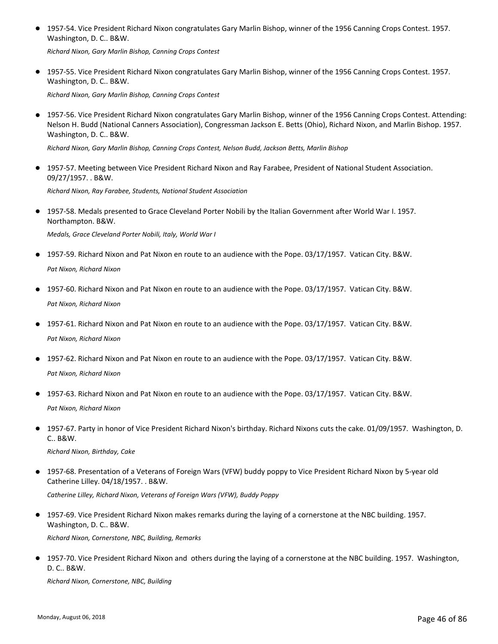● 1957-54. Vice President Richard Nixon congratulates Gary Marlin Bishop, winner of the 1956 Canning Crops Contest. 1957. Washington, D. C.. B&W.

*Richard Nixon, Gary Marlin Bishop, Canning Crops Contest*

● 1957-55. Vice President Richard Nixon congratulates Gary Marlin Bishop, winner of the 1956 Canning Crops Contest. 1957. Washington, D. C.. B&W.

*Richard Nixon, Gary Marlin Bishop, Canning Crops Contest*

● 1957-56. Vice President Richard Nixon congratulates Gary Marlin Bishop, winner of the 1956 Canning Crops Contest. Attending: Nelson H. Budd (National Canners Association), Congressman Jackson E. Betts (Ohio), Richard Nixon, and Marlin Bishop. 1957. Washington, D. C.. B&W.

*Richard Nixon, Gary Marlin Bishop, Canning Crops Contest, Nelson Budd, Jackson Betts, Marlin Bishop*

● 1957-57. Meeting between Vice President Richard Nixon and Ray Farabee, President of National Student Association. 09/27/1957. . B&W.

*Richard Nixon, Ray Farabee, Students, National Student Association*

● 1957-58. Medals presented to Grace Cleveland Porter Nobili by the Italian Government after World War I. 1957. Northampton. B&W.

*Medals, Grace Cleveland Porter Nobili, Italy, World War I*

- 1957-59. Richard Nixon and Pat Nixon en route to an audience with the Pope. 03/17/1957. Vatican City. B&W. *Pat Nixon, Richard Nixon*
- 1957-60. Richard Nixon and Pat Nixon en route to an audience with the Pope. 03/17/1957. Vatican City. B&W. *Pat Nixon, Richard Nixon*
- 1957-61. Richard Nixon and Pat Nixon en route to an audience with the Pope. 03/17/1957. Vatican City. B&W. *Pat Nixon, Richard Nixon*
- 1957-62. Richard Nixon and Pat Nixon en route to an audience with the Pope. 03/17/1957. Vatican City. B&W. *Pat Nixon, Richard Nixon*
- 1957-63. Richard Nixon and Pat Nixon en route to an audience with the Pope. 03/17/1957. Vatican City. B&W. *Pat Nixon, Richard Nixon*
- 1957-67. Party in honor of Vice President Richard Nixon's birthday. Richard Nixons cuts the cake. 01/09/1957. Washington, D. C.. B&W.

*Richard Nixon, Birthday, Cake*

- 1957-68. Presentation of a Veterans of Foreign Wars (VFW) buddy poppy to Vice President Richard Nixon by 5-year old Catherine Lilley. 04/18/1957. . B&W. *Catherine Lilley, Richard Nixon, Veterans of Foreign Wars (VFW), Buddy Poppy*
- 1957-69. Vice President Richard Nixon makes remarks during the laying of a cornerstone at the NBC building. 1957. Washington, D. C.. B&W.

*Richard Nixon, Cornerstone, NBC, Building, Remarks*

● 1957-70. Vice President Richard Nixon and others during the laying of a cornerstone at the NBC building. 1957. Washington, D. C.. B&W.

*Richard Nixon, Cornerstone, NBC, Building*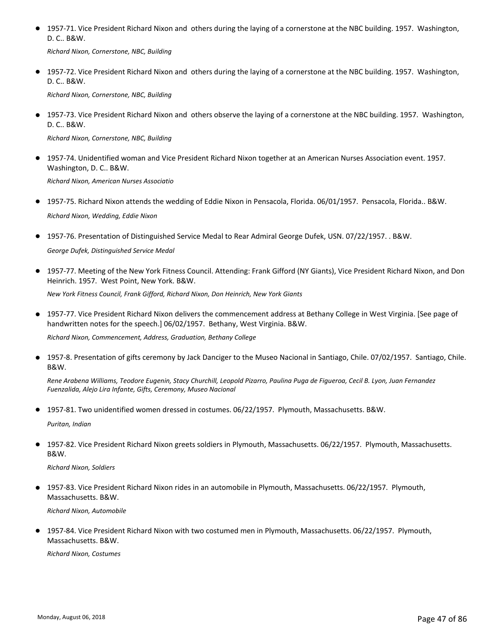● 1957-71. Vice President Richard Nixon and others during the laying of a cornerstone at the NBC building. 1957. Washington, D. C.. B&W.

*Richard Nixon, Cornerstone, NBC, Building*

● 1957-72. Vice President Richard Nixon and others during the laying of a cornerstone at the NBC building. 1957. Washington, D. C.. B&W.

*Richard Nixon, Cornerstone, NBC, Building*

● 1957-73. Vice President Richard Nixon and others observe the laying of a cornerstone at the NBC building. 1957. Washington, D. C.. B&W.

*Richard Nixon, Cornerstone, NBC, Building*

● 1957-74. Unidentified woman and Vice President Richard Nixon together at an American Nurses Association event. 1957. Washington, D. C.. B&W.

*Richard Nixon, American Nurses Associatio*

- 1957-75. Richard Nixon attends the wedding of Eddie Nixon in Pensacola, Florida. 06/01/1957. Pensacola, Florida.. B&W. *Richard Nixon, Wedding, Eddie Nixon*
- 1957-76. Presentation of Distinguished Service Medal to Rear Admiral George Dufek, USN. 07/22/1957. . B&W.

*George Dufek, Distinguished Service Medal*

● 1957-77. Meeting of the New York Fitness Council. Attending: Frank Gifford (NY Giants), Vice President Richard Nixon, and Don Heinrich. 1957. West Point, New York. B&W.

*New York Fitness Council, Frank Gifford, Richard Nixon, Don Heinrich, New York Giants*

● 1957-77. Vice President Richard Nixon delivers the commencement address at Bethany College in West Virginia. [See page of handwritten notes for the speech.] 06/02/1957. Bethany, West Virginia. B&W.

*Richard Nixon, Commencement, Address, Graduation, Bethany College*

● 1957-8. Presentation of gifts ceremony by Jack Danciger to the Museo Nacional in Santiago, Chile. 07/02/1957. Santiago, Chile. B&W.

*Rene Arabena Williams, Teodore Eugenin, Stacy Churchill, Leopold Pizarro, Paulina Puga de Figueroa, Cecil B. Lyon, Juan Fernandez Fuenzalida, Alejo Lira Infante, Gifts, Ceremony, Museo Nacional*

● 1957-81. Two unidentified women dressed in costumes. 06/22/1957. Plymouth, Massachusetts. B&W.

*Puritan, Indian*

1957-82. Vice President Richard Nixon greets soldiers in Plymouth, Massachusetts. 06/22/1957. Plymouth, Massachusetts. B&W. ●

*Richard Nixon, Soldiers*

1957-83. Vice President Richard Nixon rides in an automobile in Plymouth, Massachusetts. 06/22/1957. Plymouth, Massachusetts. B&W. ●

*Richard Nixon, Automobile*

1957-84. Vice President Richard Nixon with two costumed men in Plymouth, Massachusetts. 06/22/1957. Plymouth, Massachusetts. B&W. ●

*Richard Nixon, Costumes*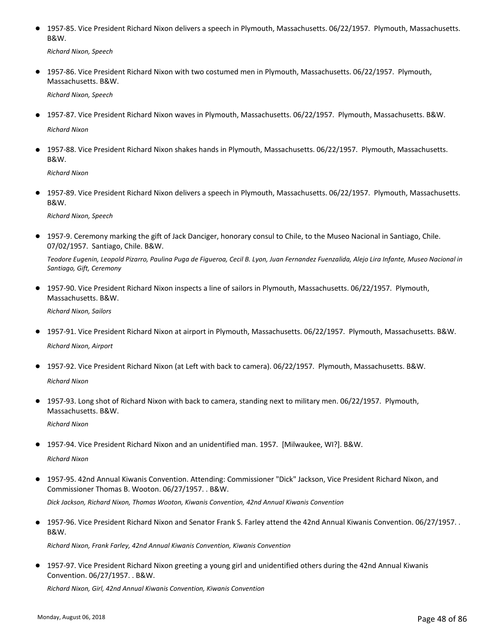● 1957-85. Vice President Richard Nixon delivers a speech in Plymouth, Massachusetts. 06/22/1957. Plymouth, Massachusetts. B&W.

*Richard Nixon, Speech*

● 1957-86. Vice President Richard Nixon with two costumed men in Plymouth, Massachusetts. 06/22/1957. Plymouth, Massachusetts. B&W.

*Richard Nixon, Speech*

● 1957-87. Vice President Richard Nixon waves in Plymouth, Massachusetts. 06/22/1957. Plymouth, Massachusetts. B&W.

*Richard Nixon*

● 1957-88. Vice President Richard Nixon shakes hands in Plymouth, Massachusetts. 06/22/1957. Plymouth, Massachusetts. B&W.

*Richard Nixon*

● 1957-89. Vice President Richard Nixon delivers a speech in Plymouth, Massachusetts. 06/22/1957. Plymouth, Massachusetts. B&W.

*Richard Nixon, Speech*

● 1957-9. Ceremony marking the gift of Jack Danciger, honorary consul to Chile, to the Museo Nacional in Santiago, Chile. 07/02/1957. Santiago, Chile. B&W.

*Teodore Eugenin, Leopold Pizarro, Paulina Puga de Figueroa, Cecil B. Lyon, Juan Fernandez Fuenzalida, Alejo Lira Infante, Museo Nacional in Santiago, Gift, Ceremony*

● 1957-90. Vice President Richard Nixon inspects a line of sailors in Plymouth, Massachusetts. 06/22/1957. Plymouth, Massachusetts. B&W.

*Richard Nixon, Sailors*

- 1957-91. Vice President Richard Nixon at airport in Plymouth, Massachusetts. 06/22/1957. Plymouth, Massachusetts. B&W. *Richard Nixon, Airport*
- 1957-92. Vice President Richard Nixon (at Left with back to camera). 06/22/1957. Plymouth, Massachusetts. B&W. *Richard Nixon*
- 1957-93. Long shot of Richard Nixon with back to camera, standing next to military men. 06/22/1957. Plymouth, Massachusetts. B&W.

*Richard Nixon*

● 1957-94. Vice President Richard Nixon and an unidentified man. 1957. [Milwaukee, WI?]. B&W.

*Richard Nixon*

● 1957-95. 42nd Annual Kiwanis Convention. Attending: Commissioner "Dick" Jackson, Vice President Richard Nixon, and Commissioner Thomas B. Wooton. 06/27/1957. . B&W.

*Dick Jackson, Richard Nixon, Thomas Wooton, Kiwanis Convention, 42nd Annual Kiwanis Convention*

● 1957-96. Vice President Richard Nixon and Senator Frank S. Farley attend the 42nd Annual Kiwanis Convention. 06/27/1957. . B&W.

*Richard Nixon, Frank Farley, 42nd Annual Kiwanis Convention, Kiwanis Convention*

● 1957-97. Vice President Richard Nixon greeting a young girl and unidentified others during the 42nd Annual Kiwanis Convention. 06/27/1957. . B&W.

*Richard Nixon, Girl, 42nd Annual Kiwanis Convention, Kiwanis Convention*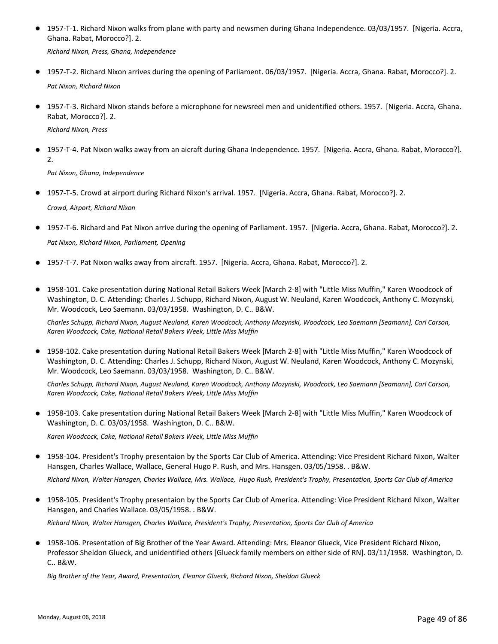● 1957-T-1. Richard Nixon walks from plane with party and newsmen during Ghana Independence. 03/03/1957. [Nigeria. Accra, Ghana. Rabat, Morocco?]. 2.

*Richard Nixon, Press, Ghana, Independence*

- 1957-T-2. Richard Nixon arrives during the opening of Parliament. 06/03/1957. [Nigeria. Accra, Ghana. Rabat, Morocco?]. 2. *Pat Nixon, Richard Nixon*
- 1957-T-3. Richard Nixon stands before a microphone for newsreel men and unidentified others. 1957. [Nigeria. Accra, Ghana. Rabat, Morocco?]. 2.

*Richard Nixon, Press*

● 1957-T-4. Pat Nixon walks away from an aicraft during Ghana Independence. 1957. [Nigeria. Accra, Ghana. Rabat, Morocco?]. 2.

*Pat Nixon, Ghana, Independence*

- 1957-T-5. Crowd at airport during Richard Nixon's arrival. 1957. [Nigeria. Accra, Ghana. Rabat, Morocco?]. 2. *Crowd, Airport, Richard Nixon*
- 1957-T-6. Richard and Pat Nixon arrive during the opening of Parliament. 1957. [Nigeria. Accra, Ghana. Rabat, Morocco?]. 2. *Pat Nixon, Richard Nixon, Parliament, Opening*
- 1957-T-7. Pat Nixon walks away from aircraft. 1957. [Nigeria. Accra, Ghana. Rabat, Morocco?]. 2.
- 1958-101. Cake presentation during National Retail Bakers Week [March 2-8] with "Little Miss Muffin," Karen Woodcock of Washington, D. C. Attending: Charles J. Schupp, Richard Nixon, August W. Neuland, Karen Woodcock, Anthony C. Mozynski, Mr. Woodcock, Leo Saemann. 03/03/1958. Washington, D. C.. B&W.

*Charles Schupp, Richard Nixon, August Neuland, Karen Woodcock, Anthony Mozynski, Woodcock, Leo Saemann [Seamann], Carl Carson, Karen Woodcock, Cake, National Retail Bakers Week, Little Miss Muffin*

● 1958-102. Cake presentation during National Retail Bakers Week [March 2-8] with "Little Miss Muffin," Karen Woodcock of Washington, D. C. Attending: Charles J. Schupp, Richard Nixon, August W. Neuland, Karen Woodcock, Anthony C. Mozynski, Mr. Woodcock, Leo Saemann. 03/03/1958. Washington, D. C.. B&W.

*Charles Schupp, Richard Nixon, August Neuland, Karen Woodcock, Anthony Mozynski, Woodcock, Leo Saemann [Seamann], Carl Carson, Karen Woodcock, Cake, National Retail Bakers Week, Little Miss Muffin*

● 1958-103. Cake presentation during National Retail Bakers Week [March 2-8] with "Little Miss Muffin," Karen Woodcock of Washington, D. C. 03/03/1958. Washington, D. C.. B&W.

*Karen Woodcock, Cake, National Retail Bakers Week, Little Miss Muffin*

● 1958-104. President's Trophy presentaion by the Sports Car Club of America. Attending: Vice President Richard Nixon, Walter Hansgen, Charles Wallace, Wallace, General Hugo P. Rush, and Mrs. Hansgen. 03/05/1958. . B&W.

*Richard Nixon, Walter Hansgen, Charles Wallace, Mrs. Wallace, Hugo Rush, President's Trophy, Presentation, Sports Car Club of America*

● 1958-105. President's Trophy presentaion by the Sports Car Club of America. Attending: Vice President Richard Nixon, Walter Hansgen, and Charles Wallace. 03/05/1958. . B&W.

*Richard Nixon, Walter Hansgen, Charles Wallace, President's Trophy, Presentation, Sports Car Club of America*

1958-106. Presentation of Big Brother of the Year Award. Attending: Mrs. Eleanor Glueck, Vice President Richard Nixon, ● Professor Sheldon Glueck, and unidentified others [Glueck family members on either side of RN]. 03/11/1958. Washington, D. C.. B&W.

*Big Brother of the Year, Award, Presentation, Eleanor Glueck, Richard Nixon, Sheldon Glueck*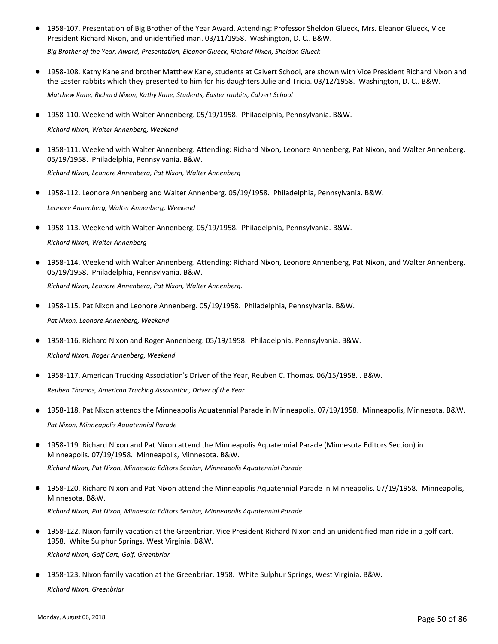● 1958-107. Presentation of Big Brother of the Year Award. Attending: Professor Sheldon Glueck, Mrs. Eleanor Glueck, Vice President Richard Nixon, and unidentified man. 03/11/1958. Washington, D. C.. B&W.

*Big Brother of the Year, Award, Presentation, Eleanor Glueck, Richard Nixon, Sheldon Glueck*

- 1958-108. Kathy Kane and brother Matthew Kane, students at Calvert School, are shown with Vice President Richard Nixon and the Easter rabbits which they presented to him for his daughters Julie and Tricia. 03/12/1958. Washington, D. C.. B&W. *Matthew Kane, Richard Nixon, Kathy Kane, Students, Easter rabbits, Calvert School*
- 1958-110. Weekend with Walter Annenberg. 05/19/1958. Philadelphia, Pennsylvania. B&W.

*Richard Nixon, Walter Annenberg, Weekend*

- 1958-111. Weekend with Walter Annenberg. Attending: Richard Nixon, Leonore Annenberg, Pat Nixon, and Walter Annenberg. 05/19/1958. Philadelphia, Pennsylvania. B&W. *Richard Nixon, Leonore Annenberg, Pat Nixon, Walter Annenberg*
- 1958-112. Leonore Annenberg and Walter Annenberg. 05/19/1958. Philadelphia, Pennsylvania. B&W.

*Leonore Annenberg, Walter Annenberg, Weekend*

- 1958-113. Weekend with Walter Annenberg. 05/19/1958. Philadelphia, Pennsylvania. B&W. *Richard Nixon, Walter Annenberg*
- 1958-114. Weekend with Walter Annenberg. Attending: Richard Nixon, Leonore Annenberg, Pat Nixon, and Walter Annenberg. 05/19/1958. Philadelphia, Pennsylvania. B&W. *Richard Nixon, Leonore Annenberg, Pat Nixon, Walter Annenberg.*
- 1958-115. Pat Nixon and Leonore Annenberg. 05/19/1958. Philadelphia, Pennsylvania. B&W. *Pat Nixon, Leonore Annenberg, Weekend*
- 1958-116. Richard Nixon and Roger Annenberg. 05/19/1958. Philadelphia, Pennsylvania. B&W. *Richard Nixon, Roger Annenberg, Weekend*
- 1958-117. American Trucking Association's Driver of the Year, Reuben C. Thomas. 06/15/1958. . B&W. *Reuben Thomas, American Trucking Association, Driver of the Year*
- 1958-118. Pat Nixon attends the Minneapolis Aquatennial Parade in Minneapolis. 07/19/1958. Minneapolis, Minnesota. B&W. *Pat Nixon, Minneapolis Aquatennial Parade*
- 1958-119. Richard Nixon and Pat Nixon attend the Minneapolis Aquatennial Parade (Minnesota Editors Section) in Minneapolis. 07/19/1958. Minneapolis, Minnesota. B&W.  $\bullet$ *Richard Nixon, Pat Nixon, Minnesota Editors Section, Minneapolis Aquatennial Parade*
- 1958-120. Richard Nixon and Pat Nixon attend the Minneapolis Aquatennial Parade in Minneapolis. 07/19/1958. Minneapolis, Minnesota. B&W. *Richard Nixon, Pat Nixon, Minnesota Editors Section, Minneapolis Aquatennial Parade*
- 1958-122. Nixon family vacation at the Greenbriar. Vice President Richard Nixon and an unidentified man ride in a golf cart. 1958. White Sulphur Springs, West Virginia. B&W. *Richard Nixon, Golf Cart, Golf, Greenbriar*
- 1958-123. Nixon family vacation at the Greenbriar. 1958. White Sulphur Springs, West Virginia. B&W. *Richard Nixon, Greenbriar*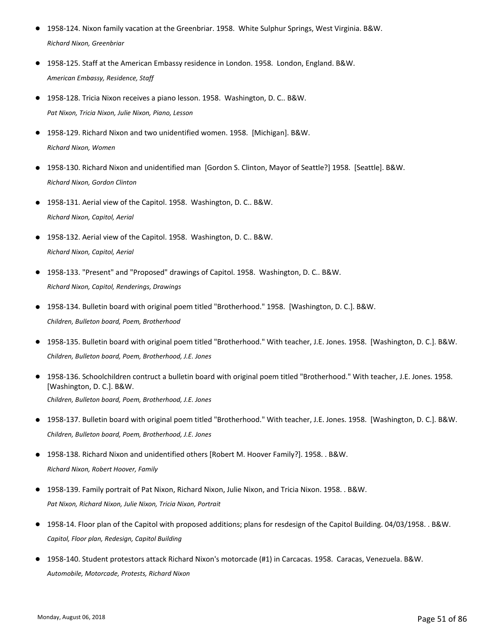- 1958-124. Nixon family vacation at the Greenbriar. 1958. White Sulphur Springs, West Virginia. B&W. *Richard Nixon, Greenbriar*
- 1958-125. Staff at the American Embassy residence in London. 1958. London, England. B&W. *American Embassy, Residence, Staff*
- 1958-128. Tricia Nixon receives a piano lesson. 1958. Washington, D. C.. B&W. *Pat Nixon, Tricia Nixon, Julie Nixon, Piano, Lesson*
- 1958-129. Richard Nixon and two unidentified women. 1958. [Michigan]. B&W. *Richard Nixon, Women*
- 1958-130. Richard Nixon and unidentified man [Gordon S. Clinton, Mayor of Seattle?] 1958. [Seattle]. B&W. *Richard Nixon, Gordon Clinton*
- 1958-131. Aerial view of the Capitol. 1958. Washington, D. C.. B&W. *Richard Nixon, Capitol, Aerial*
- 1958-132. Aerial view of the Capitol. 1958. Washington, D. C.. B&W. *Richard Nixon, Capitol, Aerial*
- 1958-133. "Present" and "Proposed" drawings of Capitol. 1958. Washington, D. C.. B&W. *Richard Nixon, Capitol, Renderings, Drawings*
- 1958-134. Bulletin board with original poem titled "Brotherhood." 1958. [Washington, D. C.]. B&W. *Children, Bulleton board, Poem, Brotherhood*
- 1958-135. Bulletin board with original poem titled "Brotherhood." With teacher, J.E. Jones. 1958. [Washington, D. C.]. B&W. *Children, Bulleton board, Poem, Brotherhood, J.E. Jones*
- 1958-136. Schoolchildren contruct a bulletin board with original poem titled "Brotherhood." With teacher, J.E. Jones. 1958. [Washington, D. C.]. B&W. *Children, Bulleton board, Poem, Brotherhood, J.E. Jones*
- 1958-137. Bulletin board with original poem titled "Brotherhood." With teacher, J.E. Jones. 1958. [Washington, D. C.]. B&W. *Children, Bulleton board, Poem, Brotherhood, J.E. Jones*
- 1958-138. Richard Nixon and unidentified others [Robert M. Hoover Family?]. 1958. . B&W. *Richard Nixon, Robert Hoover, Family*
- 1958-139. Family portrait of Pat Nixon, Richard Nixon, Julie Nixon, and Tricia Nixon. 1958. . B&W. *Pat Nixon, Richard Nixon, Julie Nixon, Tricia Nixon, Portrait*
- 1958-14. Floor plan of the Capitol with proposed additions; plans for resdesign of the Capitol Building. 04/03/1958. . B&W. *Capitol, Floor plan, Redesign, Capitol Building*
- 1958-140. Student protestors attack Richard Nixon's motorcade (#1) in Carcacas. 1958. Caracas, Venezuela. B&W. *Automobile, Motorcade, Protests, Richard Nixon*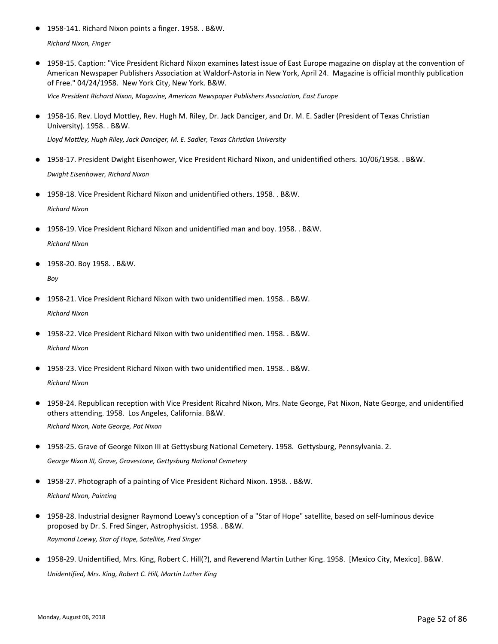● 1958-141. Richard Nixon points a finger. 1958. . B&W.

*Richard Nixon, Finger*

● 1958-15. Caption: "Vice President Richard Nixon examines latest issue of East Europe magazine on display at the convention of American Newspaper Publishers Association at Waldorf-Astoria in New York, April 24. Magazine is official monthly publication of Free." 04/24/1958. New York City, New York. B&W.

*Vice President Richard Nixon, Magazine, American Newspaper Publishers Association, East Europe*

● 1958-16. Rev. Lloyd Mottley, Rev. Hugh M. Riley, Dr. Jack Danciger, and Dr. M. E. Sadler (President of Texas Christian University). 1958. . B&W.

*Lloyd Mottley, Hugh Riley, Jack Danciger, M. E. Sadler, Texas Christian University*

- 1958-17. President Dwight Eisenhower, Vice President Richard Nixon, and unidentified others. 10/06/1958. . B&W. *Dwight Eisenhower, Richard Nixon*
- 1958-18. Vice President Richard Nixon and unidentified others. 1958. . B&W. *Richard Nixon*
- 1958-19. Vice President Richard Nixon and unidentified man and boy. 1958. . B&W. *Richard Nixon*
- 1958-20. Boy 1958. . B&W.

*Boy*

- 1958-21. Vice President Richard Nixon with two unidentified men. 1958. . B&W. *Richard Nixon*
- 1958-22. Vice President Richard Nixon with two unidentified men. 1958. . B&W. *Richard Nixon*
- 1958-23. Vice President Richard Nixon with two unidentified men. 1958. . B&W. *Richard Nixon*
- 1958-24. Republican reception with Vice President Ricahrd Nixon, Mrs. Nate George, Pat Nixon, Nate George, and unidentified others attending. 1958. Los Angeles, California. B&W. *Richard Nixon, Nate George, Pat Nixon*
- 1958-25. Grave of George Nixon III at Gettysburg National Cemetery. 1958. Gettysburg, Pennsylvania. 2. *George Nixon III, Grave, Gravestone, Gettysburg National Cemetery*

1958-27. Photograph of a painting of Vice President Richard Nixon. 1958. . B&W. *Richard Nixon, Painting*

- 1958-28. Industrial designer Raymond Loewy's conception of a "Star of Hope" satellite, based on self-luminous device proposed by Dr. S. Fred Singer, Astrophysicist. 1958. . B&W. *Raymond Loewy, Star of Hope, Satellite, Fred Singer*
- 1958-29. Unidentified, Mrs. King, Robert C. Hill(?), and Reverend Martin Luther King. 1958. [Mexico City, Mexico]. B&W. *Unidentified, Mrs. King, Robert C. Hill, Martin Luther King*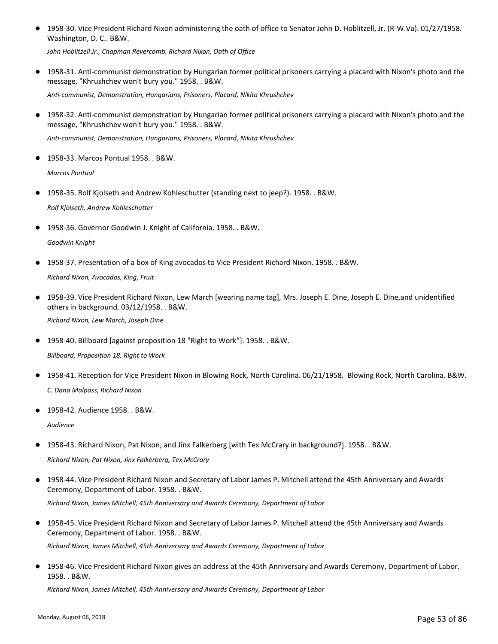1958-30. Vice President Richard Nixon administering the oath of office to Senator John D. Hoblitzell, Jr. (R-W.Va). 01/27/1958. Washington, D. C.. B&W. ●

*John Hoblitzell Jr., Chapman Revercomb, Richard Nixon, Oath of Office*

● 1958-31. Anti-communist demonstration by Hungarian former political prisoners carrying a placard with Nixon's photo and the message, "Khrushchev won't bury you." 1958. . B&W.

*Anti-communist, Demonstration, Hungarians, Prisoners, Placard, Nikita Khrushchev*

● 1958-32. Anti-communist demonstration by Hungarian former political prisoners carrying a placard with Nixon's photo and the message, "Khrushchev won't bury you." 1958. . B&W.

*Anti-communist, Demonstration, Hungarians, Prisoners, Placard, Nikita Khrushchev*

● 1958-33. Marcos Pontual 1958. . B&W.

*Marcos Pontual*

- 1958-35. Rolf Kjolseth and Andrew Kohleschutter (standing next to jeep?). 1958. . B&W. *Rolf Kjolseth, Andrew Kohleschutter*
- 1958-36. Governor Goodwin J. Knight of California. 1958. . B&W.

*Goodwin Knight*

● 1958-37. Presentation of a box of King avocados to Vice President Richard Nixon. 1958. . B&W.

*Richard Nixon, Avocados, King, Fruit*

● 1958-39. Vice President Richard Nixon, Lew March [wearing name tag], Mrs. Joseph E. Dine, Joseph E. Dine,and unidentified others in background. 03/12/1958. . B&W.

*Richard Nixon, Lew March, Joseph Dine*

1958-40. Billboard [against proposition 18 "Right to Work"]. 1958. . B&W.

*Billboard, Proposition 18, Right to Work*

- 1958-41. Reception for Vice President Nixon in Blowing Rock, North Carolina. 06/21/1958. Blowing Rock, North Carolina. B&W. *C. Dana Malpass, Richard Nixon*
- 1958-42. Audience 1958. . B&W.

*Audience*

- 1958-43. Richard Nixon, Pat Nixon, and Jinx Falkerberg [with Tex McCrary in background?]. 1958. . B&W. *Richard Nixon, Pat Nixon, Jinx Falkerberg, Tex McCrary*
- 1958-44. Vice President Richard Nixon and Secretary of Labor James P. Mitchell attend the 45th Anniversary and Awards Ceremony, Department of Labor. 1958. . B&W. *Richard Nixon, James Mitchell, 45th Anniversary and Awards Ceremony, Department of Labor*
- 1958-45. Vice President Richard Nixon and Secretary of Labor James P. Mitchell attend the 45th Anniversary and Awards Ceremony, Department of Labor. 1958. . B&W. *Richard Nixon, James Mitchell, 45th Anniversary and Awards Ceremony, Department of Labor*
- 1958-46. Vice President Richard Nixon gives an address at the 45th Anniversary and Awards Ceremony, Department of Labor. 1958. . B&W.

*Richard Nixon, James Mitchell, 45th Anniversary and Awards Ceremony, Department of Labor*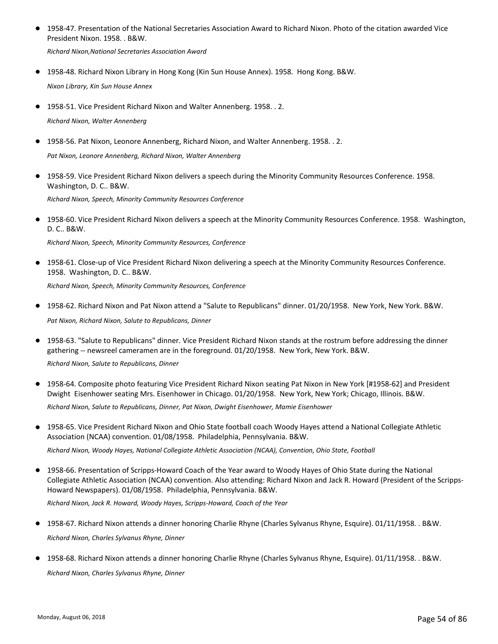● 1958-47. Presentation of the National Secretaries Association Award to Richard Nixon. Photo of the citation awarded Vice President Nixon. 1958. . B&W.

*Richard Nixon,National Secretaries Association Award*

1958-48. Richard Nixon Library in Hong Kong (Kin Sun House Annex). 1958. Hong Kong. B&W.

*Nixon Library, Kin Sun House Annex*

- 1958-51. Vice President Richard Nixon and Walter Annenberg. 1958. . 2. *Richard Nixon, Walter Annenberg*
- 1958-56. Pat Nixon, Leonore Annenberg, Richard Nixon, and Walter Annenberg. 1958. . 2.

*Pat Nixon, Leonore Annenberg, Richard Nixon, Walter Annenberg*

- 1958-59. Vice President Richard Nixon delivers a speech during the Minority Community Resources Conference. 1958. Washington, D. C.. B&W. *Richard Nixon, Speech, Minority Community Resources Conference*
- 1958-60. Vice President Richard Nixon delivers a speech at the Minority Community Resources Conference. 1958. Washington, D. C.. B&W.

*Richard Nixon, Speech, Minority Community Resources, Conference*

● 1958-61. Close-up of Vice President Richard Nixon delivering a speech at the Minority Community Resources Conference. 1958. Washington, D. C.. B&W.

*Richard Nixon, Speech, Minority Community Resources, Conference*

- 1958-62. Richard Nixon and Pat Nixon attend a "Salute to Republicans" dinner. 01/20/1958. New York, New York. B&W. *Pat Nixon, Richard Nixon, Salute to Republicans, Dinner*
- 1958-63. "Salute to Republicans" dinner. Vice President Richard Nixon stands at the rostrum before addressing the dinner gathering -- newsreel cameramen are in the foreground. 01/20/1958. New York, New York. B&W.

*Richard Nixon, Salute to Republicans, Dinner*

- 1958-64. Composite photo featuring Vice President Richard Nixon seating Pat Nixon in New York [#1958-62] and President Dwight Eisenhower seating Mrs. Eisenhower in Chicago. 01/20/1958. New York, New York; Chicago, Illinois. B&W. *Richard Nixon, Salute to Republicans, Dinner, Pat Nixon, Dwight Eisenhower, Mamie Eisenhower*
- 1958-65. Vice President Richard Nixon and Ohio State football coach Woody Hayes attend a National Collegiate Athletic Association (NCAA) convention. 01/08/1958. Philadelphia, Pennsylvania. B&W.  $\bullet$

*Richard Nixon, Woody Hayes, National Collegiate Athletic Association (NCAA), Convention, Ohio State, Football*

1958-66. Presentation of Scripps-Howard Coach of the Year award to Woody Hayes of Ohio State during the National Collegiate Athletic Association (NCAA) convention. Also attending: Richard Nixon and Jack R. Howard (President of the Scripps-Howard Newspapers). 01/08/1958. Philadelphia, Pennsylvania. B&W.  $\bullet$ 

*Richard Nixon, Jack R. Howard, Woody Hayes, Scripps-Howard, Coach of the Year*

- 1958-67. Richard Nixon attends a dinner honoring Charlie Rhyne (Charles Sylvanus Rhyne, Esquire). 01/11/1958. . B&W. *Richard Nixon, Charles Sylvanus Rhyne, Dinner*
- 1958-68. Richard Nixon attends a dinner honoring Charlie Rhyne (Charles Sylvanus Rhyne, Esquire). 01/11/1958. . B&W.

*Richard Nixon, Charles Sylvanus Rhyne, Dinner*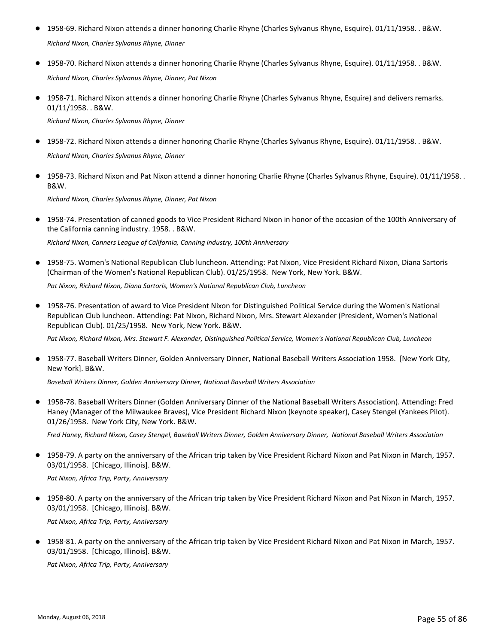- 1958-69. Richard Nixon attends a dinner honoring Charlie Rhyne (Charles Sylvanus Rhyne, Esquire). 01/11/1958. . B&W. *Richard Nixon, Charles Sylvanus Rhyne, Dinner*
- 1958-70. Richard Nixon attends a dinner honoring Charlie Rhyne (Charles Sylvanus Rhyne, Esquire). 01/11/1958. . B&W. *Richard Nixon, Charles Sylvanus Rhyne, Dinner, Pat Nixon*
- 1958-71. Richard Nixon attends a dinner honoring Charlie Rhyne (Charles Sylvanus Rhyne, Esquire) and delivers remarks. 01/11/1958. . B&W.

*Richard Nixon, Charles Sylvanus Rhyne, Dinner*

- 1958-72. Richard Nixon attends a dinner honoring Charlie Rhyne (Charles Sylvanus Rhyne, Esquire). 01/11/1958. . B&W. *Richard Nixon, Charles Sylvanus Rhyne, Dinner*
- 1958-73. Richard Nixon and Pat Nixon attend a dinner honoring Charlie Rhyne (Charles Sylvanus Rhyne, Esquire). 01/11/1958. . B&W.

*Richard Nixon, Charles Sylvanus Rhyne, Dinner, Pat Nixon*

● 1958-74. Presentation of canned goods to Vice President Richard Nixon in honor of the occasion of the 100th Anniversary of the California canning industry. 1958. . B&W.

*Richard Nixon, Canners League of California, Canning industry, 100th Anniversary*

● 1958-75. Women's National Republican Club luncheon. Attending: Pat Nixon, Vice President Richard Nixon, Diana Sartoris (Chairman of the Women's National Republican Club). 01/25/1958. New York, New York. B&W.

*Pat Nixon, Richard Nixon, Diana Sartoris, Women's National Republican Club, Luncheon*

● 1958-76. Presentation of award to Vice President Nixon for Distinguished Political Service during the Women's National Republican Club luncheon. Attending: Pat Nixon, Richard Nixon, Mrs. Stewart Alexander (President, Women's National Republican Club). 01/25/1958. New York, New York. B&W.

*Pat Nixon, Richard Nixon, Mrs. Stewart F. Alexander, Distinguished Political Service, Women's National Republican Club, Luncheon*

● 1958-77. Baseball Writers Dinner, Golden Anniversary Dinner, National Baseball Writers Association 1958. [New York City, New York]. B&W.

*Baseball Writers Dinner, Golden Anniversary Dinner, National Baseball Writers Association*

● 1958-78. Baseball Writers Dinner (Golden Anniversary Dinner of the National Baseball Writers Association). Attending: Fred Haney (Manager of the Milwaukee Braves), Vice President Richard Nixon (keynote speaker), Casey Stengel (Yankees Pilot). 01/26/1958. New York City, New York. B&W.

*Fred Haney, Richard Nixon, Casey Stengel, Baseball Writers Dinner, Golden Anniversary Dinner, National Baseball Writers Association*

● 1958-79. A party on the anniversary of the African trip taken by Vice President Richard Nixon and Pat Nixon in March, 1957. 03/01/1958. [Chicago, Illinois]. B&W.

*Pat Nixon, Africa Trip, Party, Anniversary*

1958-80. A party on the anniversary of the African trip taken by Vice President Richard Nixon and Pat Nixon in March, 1957. ● 03/01/1958. [Chicago, Illinois]. B&W.

*Pat Nixon, Africa Trip, Party, Anniversary*

1958-81. A party on the anniversary of the African trip taken by Vice President Richard Nixon and Pat Nixon in March, 1957. ● 03/01/1958. [Chicago, Illinois]. B&W.

*Pat Nixon, Africa Trip, Party, Anniversary*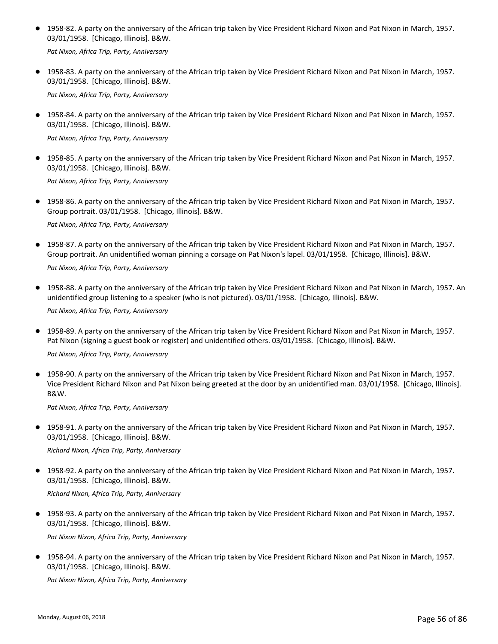● 1958-82. A party on the anniversary of the African trip taken by Vice President Richard Nixon and Pat Nixon in March, 1957. 03/01/1958. [Chicago, Illinois]. B&W.

*Pat Nixon, Africa Trip, Party, Anniversary*

● 1958-83. A party on the anniversary of the African trip taken by Vice President Richard Nixon and Pat Nixon in March, 1957. 03/01/1958. [Chicago, Illinois]. B&W.

*Pat Nixon, Africa Trip, Party, Anniversary*

● 1958-84. A party on the anniversary of the African trip taken by Vice President Richard Nixon and Pat Nixon in March, 1957. 03/01/1958. [Chicago, Illinois]. B&W.

*Pat Nixon, Africa Trip, Party, Anniversary*

● 1958-85. A party on the anniversary of the African trip taken by Vice President Richard Nixon and Pat Nixon in March, 1957. 03/01/1958. [Chicago, Illinois]. B&W.

*Pat Nixon, Africa Trip, Party, Anniversary*

● 1958-86. A party on the anniversary of the African trip taken by Vice President Richard Nixon and Pat Nixon in March, 1957. Group portrait. 03/01/1958. [Chicago, Illinois]. B&W.

*Pat Nixon, Africa Trip, Party, Anniversary*

● 1958-87. A party on the anniversary of the African trip taken by Vice President Richard Nixon and Pat Nixon in March, 1957. Group portrait. An unidentified woman pinning a corsage on Pat Nixon's lapel. 03/01/1958. [Chicago, Illinois]. B&W.

*Pat Nixon, Africa Trip, Party, Anniversary*

● 1958-88. A party on the anniversary of the African trip taken by Vice President Richard Nixon and Pat Nixon in March, 1957. An unidentified group listening to a speaker (who is not pictured). 03/01/1958. [Chicago, Illinois]. B&W.

*Pat Nixon, Africa Trip, Party, Anniversary*

● 1958-89. A party on the anniversary of the African trip taken by Vice President Richard Nixon and Pat Nixon in March, 1957. Pat Nixon (signing a guest book or register) and unidentified others. 03/01/1958. [Chicago, Illinois]. B&W.

*Pat Nixon, Africa Trip, Party, Anniversary*

● 1958-90. A party on the anniversary of the African trip taken by Vice President Richard Nixon and Pat Nixon in March, 1957. Vice President Richard Nixon and Pat Nixon being greeted at the door by an unidentified man. 03/01/1958. [Chicago, Illinois]. B&W.

*Pat Nixon, Africa Trip, Party, Anniversary*

● 1958-91. A party on the anniversary of the African trip taken by Vice President Richard Nixon and Pat Nixon in March, 1957. 03/01/1958. [Chicago, Illinois]. B&W.

*Richard Nixon, Africa Trip, Party, Anniversary*

1958-92. A party on the anniversary of the African trip taken by Vice President Richard Nixon and Pat Nixon in March, 1957. ● 03/01/1958. [Chicago, Illinois]. B&W.

*Richard Nixon, Africa Trip, Party, Anniversary*

● 1958-93. A party on the anniversary of the African trip taken by Vice President Richard Nixon and Pat Nixon in March, 1957. 03/01/1958. [Chicago, Illinois]. B&W.

*Pat Nixon Nixon, Africa Trip, Party, Anniversary*

1958-94. A party on the anniversary of the African trip taken by Vice President Richard Nixon and Pat Nixon in March, 1957. ● 03/01/1958. [Chicago, Illinois]. B&W.

*Pat Nixon Nixon, Africa Trip, Party, Anniversary*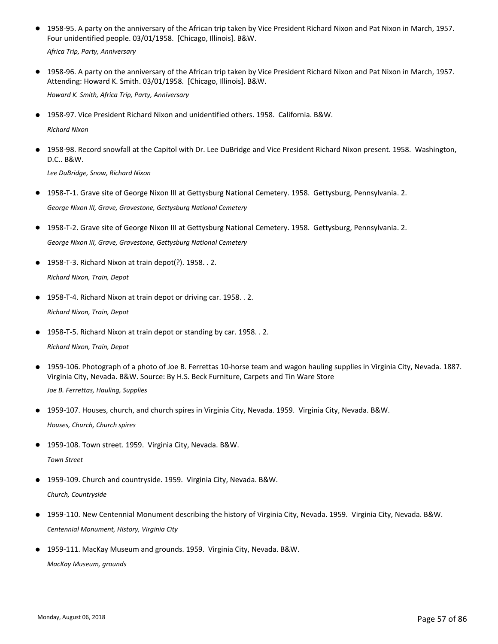● 1958-95. A party on the anniversary of the African trip taken by Vice President Richard Nixon and Pat Nixon in March, 1957. Four unidentified people. 03/01/1958. [Chicago, Illinois]. B&W.

*Africa Trip, Party, Anniversary*

● 1958-96. A party on the anniversary of the African trip taken by Vice President Richard Nixon and Pat Nixon in March, 1957. Attending: Howard K. Smith. 03/01/1958. [Chicago, Illinois]. B&W.

*Howard K. Smith, Africa Trip, Party, Anniversary*

● 1958-97. Vice President Richard Nixon and unidentified others. 1958. California. B&W.

*Richard Nixon*

● 1958-98. Record snowfall at the Capitol with Dr. Lee DuBridge and Vice President Richard Nixon present. 1958. Washington, D.C.. B&W.

*Lee DuBridge, Snow, Richard Nixon*

- 1958-T-1. Grave site of George Nixon III at Gettysburg National Cemetery. 1958. Gettysburg, Pennsylvania. 2. *George Nixon III, Grave, Gravestone, Gettysburg National Cemetery*
- 1958-T-2. Grave site of George Nixon III at Gettysburg National Cemetery. 1958. Gettysburg, Pennsylvania. 2. *George Nixon III, Grave, Gravestone, Gettysburg National Cemetery*
- 1958-T-3. Richard Nixon at train depot(?). 1958. . 2. *Richard Nixon, Train, Depot*
- 1958-T-4. Richard Nixon at train depot or driving car. 1958. . 2. *Richard Nixon, Train, Depot*
- 1958-T-5. Richard Nixon at train depot or standing by car. 1958. . 2.

- 1959-106. Photograph of a photo of Joe B. Ferrettas 10-horse team and wagon hauling supplies in Virginia City, Nevada. 1887. Virginia City, Nevada. B&W. Source: By H.S. Beck Furniture, Carpets and Tin Ware Store *Joe B. Ferrettas, Hauling, Supplies*
- 1959-107. Houses, church, and church spires in Virginia City, Nevada. 1959. Virginia City, Nevada. B&W. *Houses, Church, Church spires*
- 1959-108. Town street. 1959. Virginia City, Nevada. B&W. *Town Street*
- 1959-109. Church and countryside. 1959. Virginia City, Nevada. B&W. *Church, Countryside*
- 1959-110. New Centennial Monument describing the history of Virginia City, Nevada. 1959. Virginia City, Nevada. B&W. *Centennial Monument, History, Virginia City*
- 1959-111. MacKay Museum and grounds. 1959. Virginia City, Nevada. B&W. *MacKay Museum, grounds*

*Richard Nixon, Train, Depot*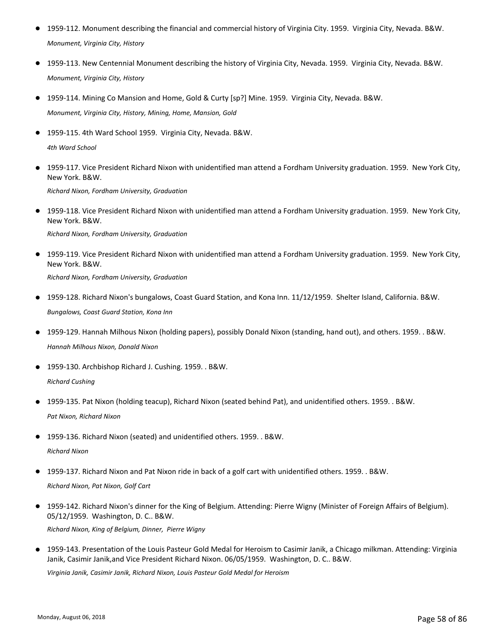- 1959-112. Monument describing the financial and commercial history of Virginia City. 1959. Virginia City, Nevada. B&W. *Monument, Virginia City, History*
- 1959-113. New Centennial Monument describing the history of Virginia City, Nevada. 1959. Virginia City, Nevada. B&W. *Monument, Virginia City, History*
- 1959-114. Mining Co Mansion and Home, Gold & Curty [sp?] Mine. 1959. Virginia City, Nevada. B&W. *Monument, Virginia City, History, Mining, Home, Mansion, Gold*
- 1959-115. 4th Ward School 1959. Virginia City, Nevada, B&W. *4th Ward School*
- 1959-117. Vice President Richard Nixon with unidentified man attend a Fordham University graduation. 1959. New York City, New York. B&W. *Richard Nixon, Fordham University, Graduation*
- 1959-118. Vice President Richard Nixon with unidentified man attend a Fordham University graduation. 1959. New York City, New York. B&W.

*Richard Nixon, Fordham University, Graduation*

- 1959-119. Vice President Richard Nixon with unidentified man attend a Fordham University graduation. 1959. New York City, New York. B&W. *Richard Nixon, Fordham University, Graduation*
- 1959-128. Richard Nixon's bungalows, Coast Guard Station, and Kona Inn. 11/12/1959. Shelter Island, California. B&W. *Bungalows, Coast Guard Station, Kona Inn*
- 1959-129. Hannah Milhous Nixon (holding papers), possibly Donald Nixon (standing, hand out), and others. 1959. . B&W. *Hannah Milhous Nixon, Donald Nixon*
- 1959-130. Archbishop Richard J. Cushing. 1959. . B&W. *Richard Cushing*
- 1959-135. Pat Nixon (holding teacup), Richard Nixon (seated behind Pat), and unidentified others. 1959. . B&W. *Pat Nixon, Richard Nixon*
- 1959-136. Richard Nixon (seated) and unidentified others. 1959. . B&W. *Richard Nixon*
- 1959-137. Richard Nixon and Pat Nixon ride in back of a golf cart with unidentified others. 1959. . B&W. *Richard Nixon, Pat Nixon, Golf Cart*
- 1959-142. Richard Nixon's dinner for the King of Belgium. Attending: Pierre Wigny (Minister of Foreign Affairs of Belgium). 05/12/1959. Washington, D. C.. B&W.

*Richard Nixon, King of Belgium, Dinner, Pierre Wigny*

● 1959-143. Presentation of the Louis Pasteur Gold Medal for Heroism to Casimir Janik, a Chicago milkman. Attending: Virginia Janik, Casimir Janik,and Vice President Richard Nixon. 06/05/1959. Washington, D. C.. B&W.

*Virginia Janik, Casimir Janik, Richard Nixon, Louis Pasteur Gold Medal for Heroism*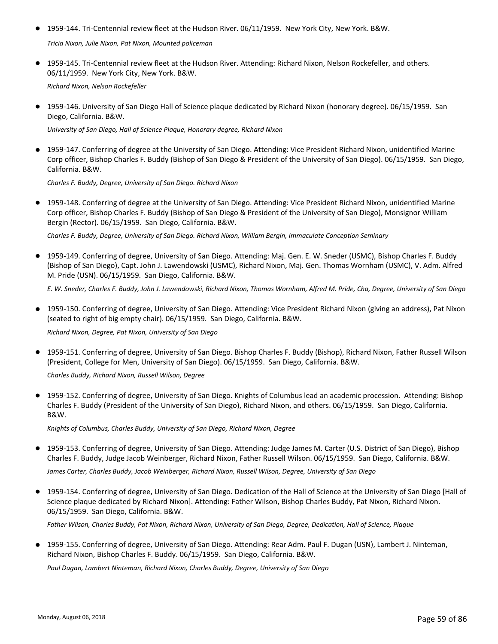● 1959-144. Tri-Centennial review fleet at the Hudson River. 06/11/1959. New York City, New York. B&W.

*Tricia Nixon, Julie Nixon, Pat Nixon, Mounted policeman*

● 1959-145. Tri-Centennial review fleet at the Hudson River. Attending: Richard Nixon, Nelson Rockefeller, and others. 06/11/1959. New York City, New York. B&W.

*Richard Nixon, Nelson Rockefeller*

● 1959-146. University of San Diego Hall of Science plaque dedicated by Richard Nixon (honorary degree). 06/15/1959. San Diego, California. B&W.

*University of San Diego, Hall of Science Plaque, Honorary degree, Richard Nixon*

● 1959-147. Conferring of degree at the University of San Diego. Attending: Vice President Richard Nixon, unidentified Marine Corp officer, Bishop Charles F. Buddy (Bishop of San Diego & President of the University of San Diego). 06/15/1959. San Diego, California. B&W.

*Charles F. Buddy, Degree, University of San Diego. Richard Nixon*

● 1959-148. Conferring of degree at the University of San Diego. Attending: Vice President Richard Nixon, unidentified Marine Corp officer, Bishop Charles F. Buddy (Bishop of San Diego & President of the University of San Diego), Monsignor William Bergin (Rector). 06/15/1959. San Diego, California. B&W.

*Charles F. Buddy, Degree, University of San Diego. Richard Nixon, William Bergin, Immaculate Conception Seminary*

1959-149. Conferring of degree, University of San Diego. Attending: Maj. Gen. E. W. Sneder (USMC), Bishop Charles F. Buddy (Bishop of San Diego), Capt. John J. Lawendowski (USMC), Richard Nixon, Maj. Gen. Thomas Wornham (USMC), V. Adm. Alfred M. Pride (USN). 06/15/1959. San Diego, California. B&W.  $\bullet$ 

*E. W. Sneder, Charles F. Buddy, John J. Lawendowski, Richard Nixon, Thomas Wornham, Alfred M. Pride, Cha, Degree, University of San Diego*

- 1959-150. Conferring of degree, University of San Diego. Attending: Vice President Richard Nixon (giving an address), Pat Nixon (seated to right of big empty chair). 06/15/1959. San Diego, California. B&W. *Richard Nixon, Degree, Pat Nixon, University of San Diego*
- 1959-151. Conferring of degree, University of San Diego. Bishop Charles F. Buddy (Bishop), Richard Nixon, Father Russell Wilson (President, College for Men, University of San Diego). 06/15/1959. San Diego, California. B&W.

*Charles Buddy, Richard Nixon, Russell Wilson, Degree*

● 1959-152. Conferring of degree, University of San Diego. Knights of Columbus lead an academic procession. Attending: Bishop Charles F. Buddy (President of the University of San Diego), Richard Nixon, and others. 06/15/1959. San Diego, California. B&W.

*Knights of Columbus, Charles Buddy, University of San Diego, Richard Nixon, Degree*

● 1959-153. Conferring of degree, University of San Diego. Attending: Judge James M. Carter (U.S. District of San Diego), Bishop Charles F. Buddy, Judge Jacob Weinberger, Richard Nixon, Father Russell Wilson. 06/15/1959. San Diego, California. B&W.

*James Carter, Charles Buddy, Jacob Weinberger, Richard Nixon, Russell Wilson, Degree, University of San Diego*

1959-154. Conferring of degree, University of San Diego. Dedication of the Hall of Science at the University of San Diego [Hall of ● Science plaque dedicated by Richard Nixon]. Attending: Father Wilson, Bishop Charles Buddy, Pat Nixon, Richard Nixon. 06/15/1959. San Diego, California. B&W.

*Father Wilson, Charles Buddy, Pat Nixon, Richard Nixon, University of San Diego, Degree, Dedication, Hall of Science, Plaque*

1959-155. Conferring of degree, University of San Diego. Attending: Rear Adm. Paul F. Dugan (USN), Lambert J. Ninteman, ● Richard Nixon, Bishop Charles F. Buddy. 06/15/1959. San Diego, California. B&W.

*Paul Dugan, Lambert Ninteman, Richard Nixon, Charles Buddy, Degree, University of San Diego*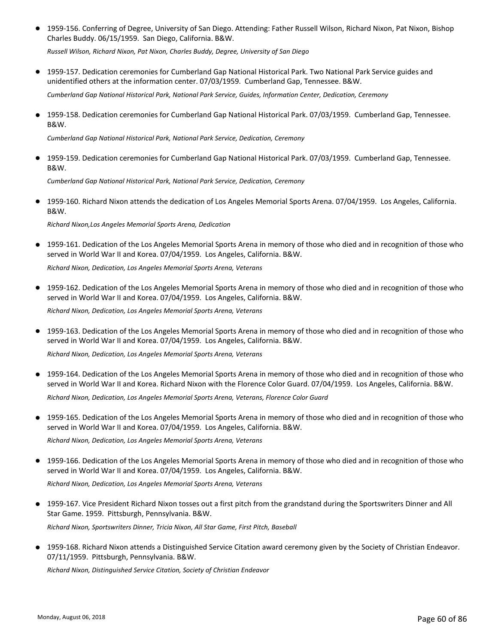● 1959-156. Conferring of Degree, University of San Diego. Attending: Father Russell Wilson, Richard Nixon, Pat Nixon, Bishop Charles Buddy. 06/15/1959. San Diego, California. B&W.

*Russell Wilson, Richard Nixon, Pat Nixon, Charles Buddy, Degree, University of San Diego*

● 1959-157. Dedication ceremonies for Cumberland Gap National Historical Park. Two National Park Service guides and unidentified others at the information center. 07/03/1959. Cumberland Gap, Tennessee. B&W.

*Cumberland Gap National Historical Park, National Park Service, Guides, Information Center, Dedication, Ceremony*

● 1959-158. Dedication ceremonies for Cumberland Gap National Historical Park. 07/03/1959. Cumberland Gap, Tennessee. B&W.

*Cumberland Gap National Historical Park, National Park Service, Dedication, Ceremony*

● 1959-159. Dedication ceremonies for Cumberland Gap National Historical Park. 07/03/1959. Cumberland Gap, Tennessee. B&W.

*Cumberland Gap National Historical Park, National Park Service, Dedication, Ceremony*

● 1959-160. Richard Nixon attends the dedication of Los Angeles Memorial Sports Arena. 07/04/1959. Los Angeles, California. B&W.

*Richard Nixon,Los Angeles Memorial Sports Arena, Dedication*

● 1959-161. Dedication of the Los Angeles Memorial Sports Arena in memory of those who died and in recognition of those who served in World War II and Korea. 07/04/1959. Los Angeles, California. B&W.

*Richard Nixon, Dedication, Los Angeles Memorial Sports Arena, Veterans*

● 1959-162. Dedication of the Los Angeles Memorial Sports Arena in memory of those who died and in recognition of those who served in World War II and Korea. 07/04/1959. Los Angeles, California. B&W.

*Richard Nixon, Dedication, Los Angeles Memorial Sports Arena, Veterans*

● 1959-163. Dedication of the Los Angeles Memorial Sports Arena in memory of those who died and in recognition of those who served in World War II and Korea. 07/04/1959. Los Angeles, California. B&W.

*Richard Nixon, Dedication, Los Angeles Memorial Sports Arena, Veterans*

- 1959-164. Dedication of the Los Angeles Memorial Sports Arena in memory of those who died and in recognition of those who served in World War II and Korea. Richard Nixon with the Florence Color Guard. 07/04/1959. Los Angeles, California. B&W. ● *Richard Nixon, Dedication, Los Angeles Memorial Sports Arena, Veterans, Florence Color Guard*
- 1959-165. Dedication of the Los Angeles Memorial Sports Arena in memory of those who died and in recognition of those who served in World War II and Korea. 07/04/1959. Los Angeles, California. B&W.

*Richard Nixon, Dedication, Los Angeles Memorial Sports Arena, Veterans*

- 1959-166. Dedication of the Los Angeles Memorial Sports Arena in memory of those who died and in recognition of those who served in World War II and Korea. 07/04/1959. Los Angeles, California. B&W. *Richard Nixon, Dedication, Los Angeles Memorial Sports Arena, Veterans*
- 1959-167. Vice President Richard Nixon tosses out a first pitch from the grandstand during the Sportswriters Dinner and All Star Game. 1959. Pittsburgh, Pennsylvania. B&W. *Richard Nixon, Sportswriters Dinner, Tricia Nixon, All Star Game, First Pitch, Baseball*
- 1959-168. Richard Nixon attends a Distinguished Service Citation award ceremony given by the Society of Christian Endeavor. 07/11/1959. Pittsburgh, Pennsylvania. B&W.

*Richard Nixon, Distinguished Service Citation, Society of Christian Endeavor*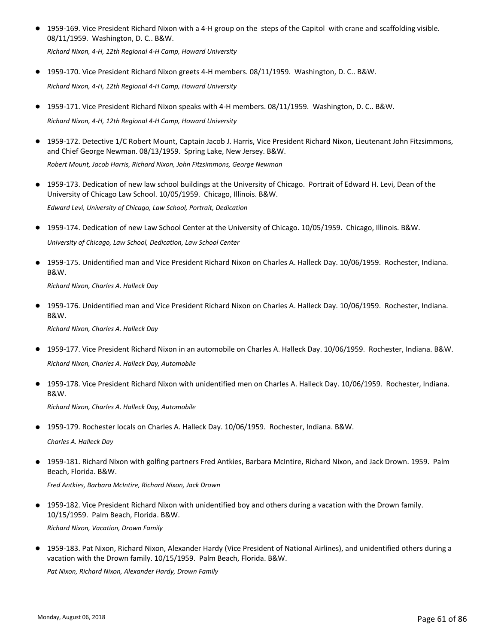- 1959-169. Vice President Richard Nixon with a 4-H group on the steps of the Capitol with crane and scaffolding visible. 08/11/1959. Washington, D. C.. B&W. *Richard Nixon, 4-H, 12th Regional 4-H Camp, Howard University*
- 1959-170. Vice President Richard Nixon greets 4-H members. 08/11/1959. Washington, D. C.. B&W. *Richard Nixon, 4-H, 12th Regional 4-H Camp, Howard University*
- 1959-171. Vice President Richard Nixon speaks with 4-H members. 08/11/1959. Washington, D. C.. B&W. *Richard Nixon, 4-H, 12th Regional 4-H Camp, Howard University*
- 1959-172. Detective 1/C Robert Mount, Captain Jacob J. Harris, Vice President Richard Nixon, Lieutenant John Fitzsimmons, and Chief George Newman. 08/13/1959. Spring Lake, New Jersey. B&W.

*Robert Mount, Jacob Harris, Richard Nixon, John Fitzsimmons, George Newman*

● 1959-173. Dedication of new law school buildings at the University of Chicago. Portrait of Edward H. Levi, Dean of the University of Chicago Law School. 10/05/1959. Chicago, Illinois. B&W.

*Edward Levi, University of Chicago, Law School, Portrait, Dedication*

- 1959-174. Dedication of new Law School Center at the University of Chicago. 10/05/1959. Chicago, Illinois. B&W. *University of Chicago, Law School, Dedication, Law School Center*
- 1959-175. Unidentified man and Vice President Richard Nixon on Charles A. Halleck Day. 10/06/1959. Rochester, Indiana. B&W.

*Richard Nixon, Charles A. Halleck Day*

● 1959-176. Unidentified man and Vice President Richard Nixon on Charles A. Halleck Day. 10/06/1959. Rochester, Indiana. B&W.

*Richard Nixon, Charles A. Halleck Day*

- 1959-177. Vice President Richard Nixon in an automobile on Charles A. Halleck Day. 10/06/1959. Rochester, Indiana. B&W. *Richard Nixon, Charles A. Halleck Day, Automobile*
- 1959-178. Vice President Richard Nixon with unidentified men on Charles A. Halleck Day. 10/06/1959. Rochester, Indiana. B&W.

*Richard Nixon, Charles A. Halleck Day, Automobile*

● 1959-179. Rochester locals on Charles A. Halleck Day. 10/06/1959. Rochester, Indiana. B&W.

*Charles A. Halleck Day*

1959-181. Richard Nixon with golfing partners Fred Antkies, Barbara McIntire, Richard Nixon, and Jack Drown. 1959. Palm Beach, Florida. B&W. ●

*Fred Antkies, Barbara McIntire, Richard Nixon, Jack Drown*

1959-182. Vice President Richard Nixon with unidentified boy and others during a vacation with the Drown family. ● 10/15/1959. Palm Beach, Florida. B&W.

*Richard Nixon, Vacation, Drown Family*

1959-183. Pat Nixon, Richard Nixon, Alexander Hardy (Vice President of National Airlines), and unidentified others during a vacation with the Drown family. 10/15/1959. Palm Beach, Florida. B&W.  $\bullet$ 

*Pat Nixon, Richard Nixon, Alexander Hardy, Drown Family*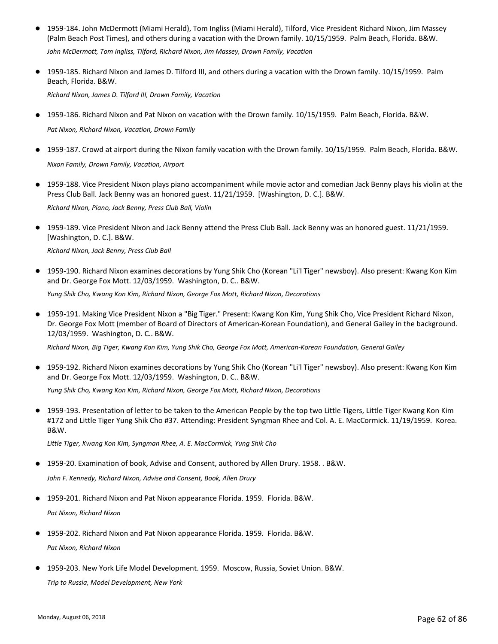● 1959-184. John McDermott (Miami Herald), Tom Ingliss (Miami Herald), Tilford, Vice President Richard Nixon, Jim Massey (Palm Beach Post Times), and others during a vacation with the Drown family. 10/15/1959. Palm Beach, Florida. B&W.

*John McDermott, Tom Ingliss, Tilford, Richard Nixon, Jim Massey, Drown Family, Vacation*

● 1959-185. Richard Nixon and James D. Tilford III, and others during a vacation with the Drown family. 10/15/1959. Palm Beach, Florida. B&W.

*Richard Nixon, James D. Tilford III, Drown Family, Vacation*

● 1959-186. Richard Nixon and Pat Nixon on vacation with the Drown family. 10/15/1959. Palm Beach, Florida. B&W.

*Pat Nixon, Richard Nixon, Vacation, Drown Family*

- 1959-187. Crowd at airport during the Nixon family vacation with the Drown family. 10/15/1959. Palm Beach, Florida. B&W. *Nixon Family, Drown Family, Vacation, Airport*
- 1959-188. Vice President Nixon plays piano accompaniment while movie actor and comedian Jack Benny plays his violin at the Press Club Ball. Jack Benny was an honored guest. 11/21/1959. [Washington, D. C.]. B&W.

*Richard Nixon, Piano, Jack Benny, Press Club Ball, Violin*

● 1959-189. Vice President Nixon and Jack Benny attend the Press Club Ball. Jack Benny was an honored guest. 11/21/1959. [Washington, D. C.]. B&W.

*Richard Nixon, Jack Benny, Press Club Ball*

● 1959-190. Richard Nixon examines decorations by Yung Shik Cho (Korean "Li'l Tiger" newsboy). Also present: Kwang Kon Kim and Dr. George Fox Mott. 12/03/1959. Washington, D. C.. B&W.

*Yung Shik Cho, Kwang Kon Kim, Richard Nixon, George Fox Mott, Richard Nixon, Decorations*

● 1959-191. Making Vice President Nixon a "Big Tiger." Present: Kwang Kon Kim, Yung Shik Cho, Vice President Richard Nixon, Dr. George Fox Mott (member of Board of Directors of American-Korean Foundation), and General Gailey in the background. 12/03/1959. Washington, D. C.. B&W.

*Richard Nixon, Big Tiger, Kwang Kon Kim, Yung Shik Cho, George Fox Mott, American-Korean Foundation, General Gailey*

● 1959-192. Richard Nixon examines decorations by Yung Shik Cho (Korean "Li'l Tiger" newsboy). Also present: Kwang Kon Kim and Dr. George Fox Mott. 12/03/1959. Washington, D. C.. B&W.

*Yung Shik Cho, Kwang Kon Kim, Richard Nixon, George Fox Mott, Richard Nixon, Decorations*

● 1959-193. Presentation of letter to be taken to the American People by the top two Little Tigers, Little Tiger Kwang Kon Kim #172 and Little Tiger Yung Shik Cho #37. Attending: President Syngman Rhee and Col. A. E. MacCormick. 11/19/1959. Korea. B&W.

*Little Tiger, Kwang Kon Kim, Syngman Rhee, A. E. MacCormick, Yung Shik Cho*

● 1959-20. Examination of book, Advise and Consent, authored by Allen Drury. 1958. . B&W.

*John F. Kennedy, Richard Nixon, Advise and Consent, Book, Allen Drury*

- 1959-201. Richard Nixon and Pat Nixon appearance Florida. 1959. Florida. B&W. *Pat Nixon, Richard Nixon*
- 1959-202. Richard Nixon and Pat Nixon appearance Florida. 1959. Florida. B&W. *Pat Nixon, Richard Nixon*
- 1959-203. New York Life Model Development. 1959. Moscow, Russia, Soviet Union. B&W. *Trip to Russia, Model Development, New York*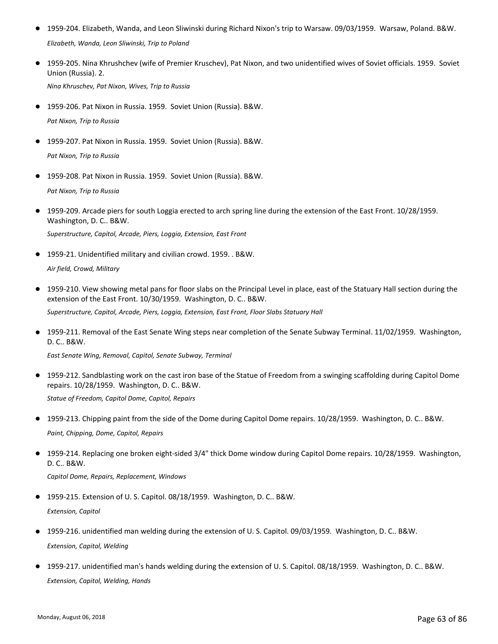- 1959-204. Elizabeth, Wanda, and Leon Sliwinski during Richard Nixon's trip to Warsaw. 09/03/1959. Warsaw, Poland. B&W. *Elizabeth, Wanda, Leon Sliwinski, Trip to Poland*
- 1959-205. Nina Khrushchev (wife of Premier Kruschev), Pat Nixon, and two unidentified wives of Soviet officials. 1959. Soviet Union (Russia). 2.

*Nina Khruschev, Pat Nixon, Wives, Trip to Russia*

- 1959-206. Pat Nixon in Russia. 1959. Soviet Union (Russia). B&W. *Pat Nixon, Trip to Russia*
- 1959-207. Pat Nixon in Russia. 1959. Soviet Union (Russia). B&W. *Pat Nixon, Trip to Russia*
- 1959-208. Pat Nixon in Russia. 1959. Soviet Union (Russia). B&W. *Pat Nixon, Trip to Russia*
- 1959-209. Arcade piers for south Loggia erected to arch spring line during the extension of the East Front. 10/28/1959. Washington, D. C.. B&W. *Superstructure, Capitol, Arcade, Piers, Loggia, Extension, East Front*
- 1959-21. Unidentified military and civilian crowd. 1959. . B&W. *Air field, Crowd, Military*
- 1959-210. View showing metal pans for floor slabs on the Principal Level in place, east of the Statuary Hall section during the extension of the East Front. 10/30/1959. Washington, D. C.. B&W. *Superstructure, Capitol, Arcade, Piers, Loggia, Extension, East Front, Floor Slabs Statuary Hall*
- 1959-211. Removal of the East Senate Wing steps near completion of the Senate Subway Terminal. 11/02/1959. Washington, D. C.. B&W.

*East Senate Wing, Removal, Capitol, Senate Subway, Terminal*

- 1959-212. Sandblasting work on the cast iron base of the Statue of Freedom from a swinging scaffolding during Capitol Dome repairs. 10/28/1959. Washington, D. C.. B&W. *Statue of Freedom, Capitol Dome, Capitol, Repairs*
- 1959-213. Chipping paint from the side of the Dome during Capitol Dome repairs. 10/28/1959. Washington, D. C.. B&W. *Paint, Chipping, Dome, Capitol, Repairs*
- 1959-214. Replacing one broken eight-sided 3/4" thick Dome window during Capitol Dome repairs. 10/28/1959. Washington, D. C.. B&W.

*Capitol Dome, Repairs, Replacement, Windows*

- 1959-215. Extension of U.S. Capitol. 08/18/1959. Washington, D.C.. B&W. *Extension, Capitol*
- 1959-216. unidentified man welding during the extension of U. S. Capitol. 09/03/1959. Washington, D. C.. B&W. *Extension, Capitol, Welding*
- 1959-217. unidentified man's hands welding during the extension of U. S. Capitol. 08/18/1959. Washington, D. C.. B&W. *Extension, Capitol, Welding, Hands*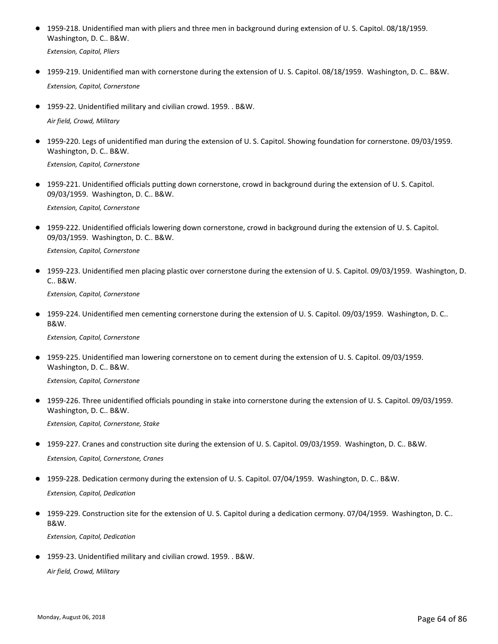● 1959-218. Unidentified man with pliers and three men in background during extension of U.S. Capitol. 08/18/1959. Washington, D. C.. B&W.

*Extension, Capitol, Pliers*

- 1959-219. Unidentified man with cornerstone during the extension of U. S. Capitol. 08/18/1959. Washington, D. C.. B&W. *Extension, Capitol, Cornerstone*
- 1959-22. Unidentified military and civilian crowd. 1959. . B&W.

*Air field, Crowd, Military*

● 1959-220. Legs of unidentified man during the extension of U.S. Capitol. Showing foundation for cornerstone. 09/03/1959. Washington, D. C.. B&W.

*Extension, Capitol, Cornerstone*

● 1959-221. Unidentified officials putting down cornerstone, crowd in background during the extension of U.S. Capitol. 09/03/1959. Washington, D. C.. B&W.

*Extension, Capitol, Cornerstone*

● 1959-222. Unidentified officials lowering down cornerstone, crowd in background during the extension of U.S. Capitol. 09/03/1959. Washington, D. C.. B&W.

*Extension, Capitol, Cornerstone*

● 1959-223. Unidentified men placing plastic over cornerstone during the extension of U.S. Capitol. 09/03/1959. Washington, D. C.. B&W.

*Extension, Capitol, Cornerstone*

● 1959-224. Unidentified men cementing cornerstone during the extension of U.S. Capitol. 09/03/1959. Washington, D.C.. B&W.

*Extension, Capitol, Cornerstone*

● 1959-225. Unidentified man lowering cornerstone on to cement during the extension of U.S. Capitol. 09/03/1959. Washington, D. C.. B&W.

*Extension, Capitol, Cornerstone*

● 1959-226. Three unidentified officials pounding in stake into cornerstone during the extension of U.S. Capitol. 09/03/1959. Washington, D. C.. B&W.

*Extension, Capitol, Cornerstone, Stake*

● 1959-227. Cranes and construction site during the extension of U. S. Capitol. 09/03/1959. Washington, D. C.. B&W.

*Extension, Capitol, Cornerstone, Cranes*

- 1959-228. Dedication cermony during the extension of U. S. Capitol. 07/04/1959. Washington, D. C.. B&W. *Extension, Capitol, Dedication*
- 1959-229. Construction site for the extension of U. S. Capitol during a dedication cermony. 07/04/1959. Washington, D. C.. B&W.

*Extension, Capitol, Dedication*

● 1959-23. Unidentified military and civilian crowd. 1959. . B&W.

*Air field, Crowd, Military*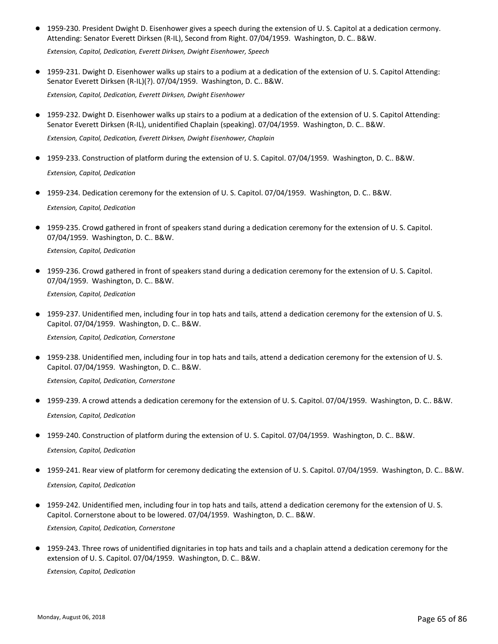● 1959-230. President Dwight D. Eisenhower gives a speech during the extension of U. S. Capitol at a dedication cermony. Attending: Senator Everett Dirksen (R-IL), Second from Right. 07/04/1959. Washington, D. C.. B&W.

*Extension, Capitol, Dedication, Everett Dirksen, Dwight Eisenhower, Speech*

● 1959-231. Dwight D. Eisenhower walks up stairs to a podium at a dedication of the extension of U. S. Capitol Attending: Senator Everett Dirksen (R-IL)(?). 07/04/1959. Washington, D. C.. B&W.

*Extension, Capitol, Dedication, Everett Dirksen, Dwight Eisenhower*

- 1959-232. Dwight D. Eisenhower walks up stairs to a podium at a dedication of the extension of U. S. Capitol Attending: Senator Everett Dirksen (R-IL), unidentified Chaplain (speaking). 07/04/1959. Washington, D. C.. B&W. *Extension, Capitol, Dedication, Everett Dirksen, Dwight Eisenhower, Chaplain*
- 1959-233. Construction of platform during the extension of U. S. Capitol. 07/04/1959. Washington, D. C.. B&W. *Extension, Capitol, Dedication*
- 1959-234. Dedication ceremony for the extension of U. S. Capitol. 07/04/1959. Washington, D. C.. B&W. *Extension, Capitol, Dedication*
- 1959-235. Crowd gathered in front of speakers stand during a dedication ceremony for the extension of U.S. Capitol. 07/04/1959. Washington, D. C.. B&W.

*Extension, Capitol, Dedication*

● 1959-236. Crowd gathered in front of speakers stand during a dedication ceremony for the extension of U.S. Capitol. 07/04/1959. Washington, D. C.. B&W.

*Extension, Capitol, Dedication*

● 1959-237. Unidentified men, including four in top hats and tails, attend a dedication ceremony for the extension of U.S. Capitol. 07/04/1959. Washington, D. C.. B&W.

*Extension, Capitol, Dedication, Cornerstone*

● 1959-238. Unidentified men, including four in top hats and tails, attend a dedication ceremony for the extension of U.S. Capitol. 07/04/1959. Washington, D. C.. B&W.

*Extension, Capitol, Dedication, Cornerstone*

- 1959-239. A crowd attends a dedication ceremony for the extension of U. S. Capitol. 07/04/1959. Washington, D. C.. B&W. *Extension, Capitol, Dedication*
- 1959-240. Construction of platform during the extension of U. S. Capitol. 07/04/1959. Washington, D. C.. B&W. *Extension, Capitol, Dedication*
- 1959-241. Rear view of platform for ceremony dedicating the extension of U. S. Capitol. 07/04/1959. Washington, D. C.. B&W. *Extension, Capitol, Dedication*
- 1959-242. Unidentified men, including four in top hats and tails, attend a dedication ceremony for the extension of U.S. Capitol. Cornerstone about to be lowered. 07/04/1959. Washington, D. C.. B&W. *Extension, Capitol, Dedication, Cornerstone*
- 1959-243. Three rows of unidentified dignitaries in top hats and tails and a chaplain attend a dedication ceremony for the extension of U. S. Capitol. 07/04/1959. Washington, D. C.. B&W.

*Extension, Capitol, Dedication*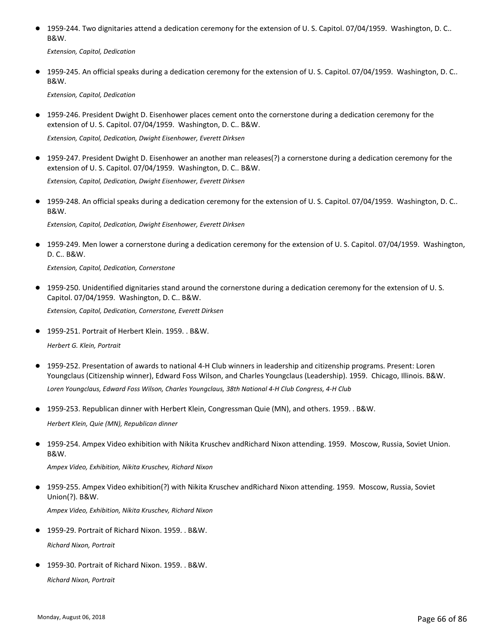● 1959-244. Two dignitaries attend a dedication ceremony for the extension of U.S. Capitol. 07/04/1959. Washington, D.C.. B&W.

*Extension, Capitol, Dedication*

● 1959-245. An official speaks during a dedication ceremony for the extension of U.S. Capitol. 07/04/1959. Washington, D.C.. B&W.

*Extension, Capitol, Dedication*

● 1959-246. President Dwight D. Eisenhower places cement onto the cornerstone during a dedication ceremony for the extension of U. S. Capitol. 07/04/1959. Washington, D. C.. B&W.

*Extension, Capitol, Dedication, Dwight Eisenhower, Everett Dirksen*

● 1959-247. President Dwight D. Eisenhower an another man releases(?) a cornerstone during a dedication ceremony for the extension of U. S. Capitol. 07/04/1959. Washington, D. C.. B&W.

*Extension, Capitol, Dedication, Dwight Eisenhower, Everett Dirksen*

● 1959-248. An official speaks during a dedication ceremony for the extension of U.S. Capitol. 07/04/1959. Washington, D.C.. B&W.

*Extension, Capitol, Dedication, Dwight Eisenhower, Everett Dirksen*

● 1959-249. Men lower a cornerstone during a dedication ceremony for the extension of U.S. Capitol. 07/04/1959. Washington, D. C.. B&W.

*Extension, Capitol, Dedication, Cornerstone*

- 1959-250. Unidentified dignitaries stand around the cornerstone during a dedication ceremony for the extension of U.S. Capitol. 07/04/1959. Washington, D. C.. B&W. *Extension, Capitol, Dedication, Cornerstone, Everett Dirksen*
- 1959-251. Portrait of Herbert Klein. 1959. . B&W.

*Herbert G. Klein, Portrait*

- 1959-252. Presentation of awards to national 4-H Club winners in leadership and citizenship programs. Present: Loren Youngclaus (Citizenship winner), Edward Foss Wilson, and Charles Youngclaus (Leadership). 1959. Chicago, Illinois. B&W. *Loren Youngclaus, Edward Foss Wilson, Charles Youngclaus, 38th National 4-H Club Congress, 4-H Club*
- 1959-253. Republican dinner with Herbert Klein, Congressman Quie (MN), and others. 1959. . B&W.

*Herbert Klein, Quie (MN), Republican dinner*

● 1959-254. Ampex Video exhibition with Nikita Kruschev andRichard Nixon attending. 1959. Moscow, Russia, Soviet Union. B&W.

*Ampex Video, Exhibition, Nikita Kruschev, Richard Nixon*

1959-255. Ampex Video exhibition(?) with Nikita Kruschev andRichard Nixon attending. 1959. Moscow, Russia, Soviet Union(?). B&W. ●

*Ampex Video, Exhibition, Nikita Kruschev, Richard Nixon*

- 1959-29. Portrait of Richard Nixon. 1959. . B&W. *Richard Nixon, Portrait*
- 1959-30. Portrait of Richard Nixon. 1959. . B&W. *Richard Nixon, Portrait*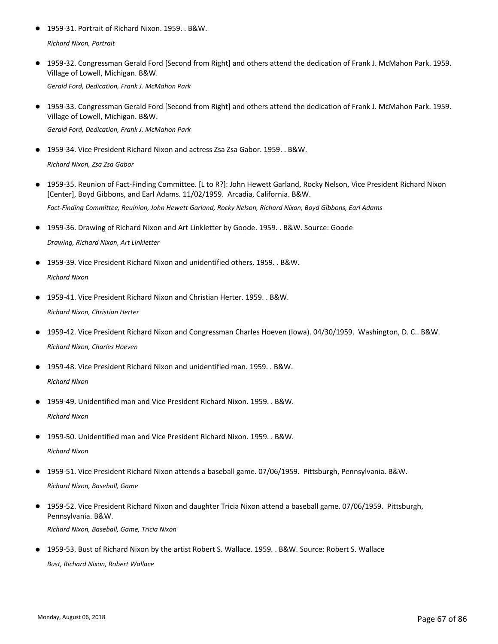- 1959-31. Portrait of Richard Nixon. 1959. . B&W. *Richard Nixon, Portrait*
- 1959-32. Congressman Gerald Ford [Second from Right] and others attend the dedication of Frank J. McMahon Park. 1959. Village of Lowell, Michigan. B&W.

*Gerald Ford, Dedication, Frank J. McMahon Park*

● 1959-33. Congressman Gerald Ford [Second from Right] and others attend the dedication of Frank J. McMahon Park. 1959. Village of Lowell, Michigan. B&W.

*Gerald Ford, Dedication, Frank J. McMahon Park*

● 1959-34. Vice President Richard Nixon and actress Zsa Zsa Gabor. 1959. . B&W.

*Richard Nixon, Zsa Zsa Gabor*

- 1959-35. Reunion of Fact-Finding Committee. [L to R?]: John Hewett Garland, Rocky Nelson, Vice President Richard Nixon [Center], Boyd Gibbons, and Earl Adams. 11/02/1959. Arcadia, California. B&W. *Fact-Finding Committee, Reuinion, John Hewett Garland, Rocky Nelson, Richard Nixon, Boyd Gibbons, Earl Adams*
- 1959-36. Drawing of Richard Nixon and Art Linkletter by Goode. 1959. . B&W. Source: Goode *Drawing, Richard Nixon, Art Linkletter*
- 1959-39. Vice President Richard Nixon and unidentified others. 1959. . B&W. *Richard Nixon*
- 1959-41. Vice President Richard Nixon and Christian Herter. 1959. . B&W. *Richard Nixon, Christian Herter*
- 1959-42. Vice President Richard Nixon and Congressman Charles Hoeven (Iowa). 04/30/1959. Washington, D. C.. B&W. *Richard Nixon, Charles Hoeven*
- 1959-48. Vice President Richard Nixon and unidentified man. 1959. . B&W. *Richard Nixon*
- 1959-49. Unidentified man and Vice President Richard Nixon. 1959. . B&W. *Richard Nixon*
- 1959-50. Unidentified man and Vice President Richard Nixon. 1959. . B&W. *Richard Nixon*
- 1959-51. Vice President Richard Nixon attends a baseball game. 07/06/1959. Pittsburgh, Pennsylvania. B&W. *Richard Nixon, Baseball, Game*
- 1959-52. Vice President Richard Nixon and daughter Tricia Nixon attend a baseball game. 07/06/1959. Pittsburgh, Pennsylvania. B&W. *Richard Nixon, Baseball, Game, Tricia Nixon*
- 1959-53. Bust of Richard Nixon by the artist Robert S. Wallace. 1959. . B&W. Source: Robert S. Wallace *Bust, Richard Nixon, Robert Wallace*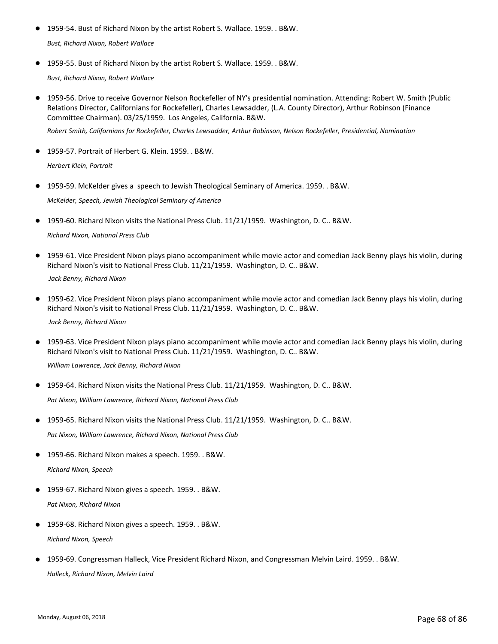- 1959-54. Bust of Richard Nixon by the artist Robert S. Wallace. 1959. . B&W. *Bust, Richard Nixon, Robert Wallace*
- 1959-55. Bust of Richard Nixon by the artist Robert S. Wallace. 1959. . B&W. *Bust, Richard Nixon, Robert Wallace*
- 1959-56. Drive to receive Governor Nelson Rockefeller of NY's presidential nomination. Attending: Robert W. Smith (Public Relations Director, Californians for Rockefeller), Charles Lewsadder, (L.A. County Director), Arthur Robinson (Finance Committee Chairman). 03/25/1959. Los Angeles, California. B&W.

*Robert Smith, Californians for Rockefeller, Charles Lewsadder, Arthur Robinson, Nelson Rockefeller, Presidential, Nomination*

- 1959-57. Portrait of Herbert G. Klein. 1959. . B&W. *Herbert Klein, Portrait*
- 1959-59. McKelder gives a speech to Jewish Theological Seminary of America. 1959. . B&W. *McKelder, Speech, Jewish Theological Seminary of America*
- 1959-60. Richard Nixon visits the National Press Club. 11/21/1959. Washington, D. C.. B&W. *Richard Nixon, National Press Club*
- 1959-61. Vice President Nixon plays piano accompaniment while movie actor and comedian Jack Benny plays his violin, during Richard Nixon's visit to National Press Club. 11/21/1959. Washington, D. C.. B&W. ●  *Jack Benny, Richard Nixon*
- 1959-62. Vice President Nixon plays piano accompaniment while movie actor and comedian Jack Benny plays his violin, during Richard Nixon's visit to National Press Club. 11/21/1959. Washington, D. C.. B&W.  *Jack Benny, Richard Nixon*
- 1959-63. Vice President Nixon plays piano accompaniment while movie actor and comedian Jack Benny plays his violin, during Richard Nixon's visit to National Press Club. 11/21/1959. Washington, D. C.. B&W.  $\bullet$ *William Lawrence, Jack Benny, Richard Nixon*
- 1959-64. Richard Nixon visits the National Press Club. 11/21/1959. Washington, D. C.. B&W. *Pat Nixon, William Lawrence, Richard Nixon, National Press Club*
- 1959-65. Richard Nixon visits the National Press Club. 11/21/1959. Washington, D. C.. B&W. *Pat Nixon, William Lawrence, Richard Nixon, National Press Club*
- 1959-66. Richard Nixon makes a speech. 1959. . B&W. *Richard Nixon, Speech*
- 1959-67. Richard Nixon gives a speech. 1959. . B&W. *Pat Nixon, Richard Nixon*
- 1959-68. Richard Nixon gives a speech. 1959. . B&W. *Richard Nixon, Speech*
- 1959-69. Congressman Halleck, Vice President Richard Nixon, and Congressman Melvin Laird. 1959. . B&W. *Halleck, Richard Nixon, Melvin Laird*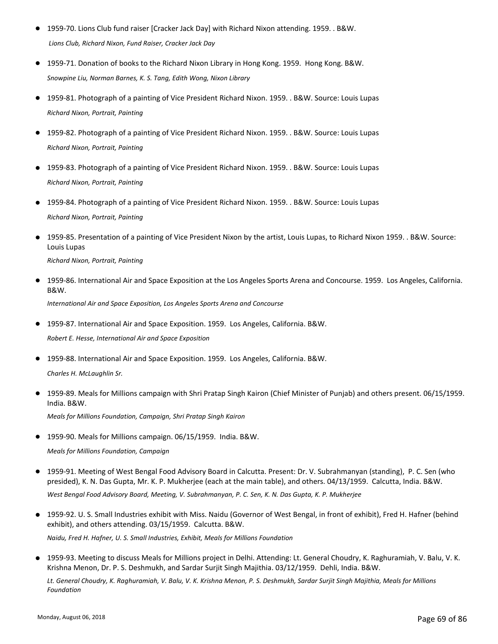- 1959-70. Lions Club fund raiser [Cracker Jack Day] with Richard Nixon attending. 1959. . B&W.  *Lions Club, Richard Nixon, Fund Raiser, Cracker Jack Day*
- 1959-71. Donation of books to the Richard Nixon Library in Hong Kong. 1959. Hong Kong. B&W. *Snowpine Liu, Norman Barnes, K. S. Tang, Edith Wong, Nixon Library*
- 1959-81. Photograph of a painting of Vice President Richard Nixon. 1959. . B&W. Source: Louis Lupas *Richard Nixon, Portrait, Painting*
- 1959-82. Photograph of a painting of Vice President Richard Nixon. 1959. . B&W. Source: Louis Lupas *Richard Nixon, Portrait, Painting*
- 1959-83. Photograph of a painting of Vice President Richard Nixon. 1959. . B&W. Source: Louis Lupas *Richard Nixon, Portrait, Painting*
- 1959-84. Photograph of a painting of Vice President Richard Nixon. 1959. . B&W. Source: Louis Lupas *Richard Nixon, Portrait, Painting*
- 1959-85. Presentation of a painting of Vice President Nixon by the artist, Louis Lupas, to Richard Nixon 1959. . B&W. Source: Louis Lupas *Richard Nixon, Portrait, Painting*
- 1959-86. International Air and Space Exposition at the Los Angeles Sports Arena and Concourse. 1959. Los Angeles, California. B&W. *International Air and Space Exposition, Los Angeles Sports Arena and Concourse*

● 1959-87. International Air and Space Exposition. 1959. Los Angeles, California. B&W. *Robert E. Hesse, International Air and Space Exposition*

● 1959-88. International Air and Space Exposition. 1959. Los Angeles, California. B&W. *Charles H. McLaughlin Sr.*

1959-89. Meals for Millions campaign with Shri Pratap Singh Kairon (Chief Minister of Punjab) and others present. 06/15/1959. India. B&W. ●

*Meals for Millions Foundation, Campaign, Shri Pratap Singh Kairon*

● 1959-90. Meals for Millions campaign. 06/15/1959. India. B&W.

*Meals for Millions Foundation, Campaign*

- 1959-91. Meeting of West Bengal Food Advisory Board in Calcutta. Present: Dr. V. Subrahmanyan (standing), P. C. Sen (who presided), K. N. Das Gupta, Mr. K. P. Mukherjee (each at the main table), and others. 04/13/1959. Calcutta, India. B&W. *West Bengal Food Advisory Board, Meeting, V. Subrahmanyan, P. C. Sen, K. N. Das Gupta, K. P. Mukherjee*
- 1959-92. U. S. Small Industries exhibit with Miss. Naidu (Governor of West Bengal, in front of exhibit), Fred H. Hafner (behind exhibit), and others attending. 03/15/1959. Calcutta. B&W.

*Naidu, Fred H. Hafner, U. S. Small Industries, Exhibit, Meals for Millions Foundation*

● 1959-93. Meeting to discuss Meals for Millions project in Delhi. Attending: Lt. General Choudry, K. Raghuramiah, V. Balu, V. K. Krishna Menon, Dr. P. S. Deshmukh, and Sardar Surjit Singh Majithia. 03/12/1959. Dehli, India. B&W.

*Lt. General Choudry, K. Raghuramiah, V. Balu, V. K. Krishna Menon, P. S. Deshmukh, Sardar Surjit Singh Majithia, Meals for Millions Foundation*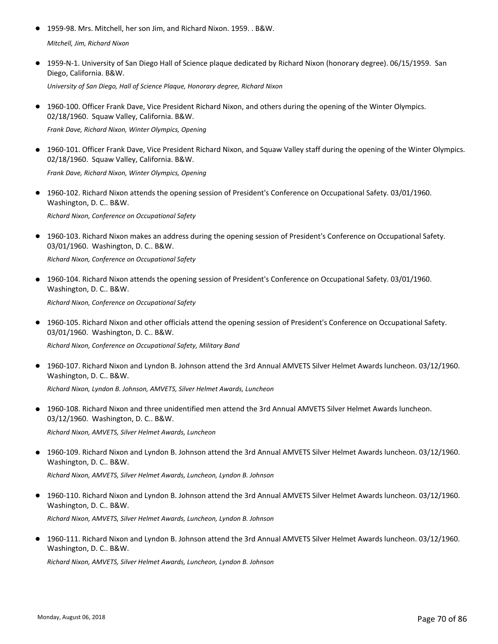- 1959-98. Mrs. Mitchell, her son Jim, and Richard Nixon. 1959. . B&W. *Mitchell, Jim, Richard Nixon*
- 1959-N-1. University of San Diego Hall of Science plaque dedicated by Richard Nixon (honorary degree). 06/15/1959. San Diego, California. B&W.

*University of San Diego, Hall of Science Plaque, Honorary degree, Richard Nixon*

● 1960-100. Officer Frank Dave, Vice President Richard Nixon, and others during the opening of the Winter Olympics. 02/18/1960. Squaw Valley, California. B&W.

*Frank Dave, Richard Nixon, Winter Olympics, Opening*

● 1960-101. Officer Frank Dave, Vice President Richard Nixon, and Squaw Valley staff during the opening of the Winter Olympics. 02/18/1960. Squaw Valley, California. B&W.

*Frank Dave, Richard Nixon, Winter Olympics, Opening*

● 1960-102. Richard Nixon attends the opening session of President's Conference on Occupational Safety. 03/01/1960. Washington, D. C.. B&W.

*Richard Nixon, Conference on Occupational Safety*

● 1960-103. Richard Nixon makes an address during the opening session of President's Conference on Occupational Safety. 03/01/1960. Washington, D. C.. B&W.

*Richard Nixon, Conference on Occupational Safety*

● 1960-104. Richard Nixon attends the opening session of President's Conference on Occupational Safety. 03/01/1960. Washington, D. C.. B&W.

*Richard Nixon, Conference on Occupational Safety*

● 1960-105. Richard Nixon and other officials attend the opening session of President's Conference on Occupational Safety. 03/01/1960. Washington, D. C.. B&W.

*Richard Nixon, Conference on Occupational Safety, Military Band*

● 1960-107. Richard Nixon and Lyndon B. Johnson attend the 3rd Annual AMVETS Silver Helmet Awards luncheon. 03/12/1960. Washington, D. C.. B&W.

*Richard Nixon, Lyndon B. Johnson, AMVETS, Silver Helmet Awards, Luncheon*

● 1960-108. Richard Nixon and three unidentified men attend the 3rd Annual AMVETS Silver Helmet Awards luncheon. 03/12/1960. Washington, D. C.. B&W.

*Richard Nixon, AMVETS, Silver Helmet Awards, Luncheon*

● 1960-109. Richard Nixon and Lyndon B. Johnson attend the 3rd Annual AMVETS Silver Helmet Awards luncheon. 03/12/1960. Washington, D. C.. B&W.

*Richard Nixon, AMVETS, Silver Helmet Awards, Luncheon, Lyndon B. Johnson*

● 1960-110. Richard Nixon and Lyndon B. Johnson attend the 3rd Annual AMVETS Silver Helmet Awards luncheon. 03/12/1960. Washington, D. C.. B&W. *Richard Nixon, AMVETS, Silver Helmet Awards, Luncheon, Lyndon B. Johnson*

● 1960-111. Richard Nixon and Lyndon B. Johnson attend the 3rd Annual AMVETS Silver Helmet Awards luncheon. 03/12/1960. Washington, D. C.. B&W.

*Richard Nixon, AMVETS, Silver Helmet Awards, Luncheon, Lyndon B. Johnson*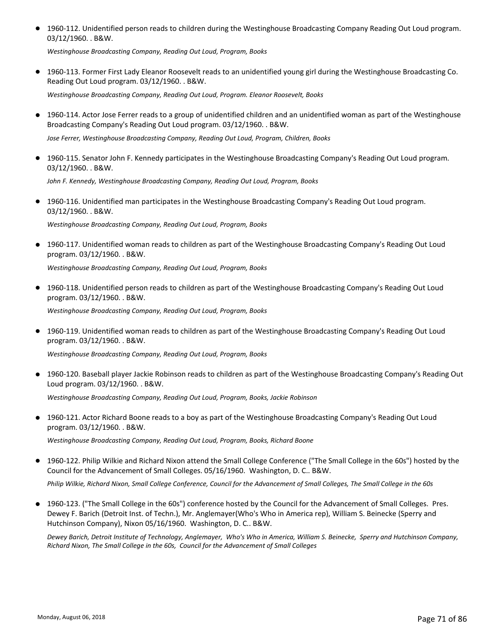● 1960-112. Unidentified person reads to children during the Westinghouse Broadcasting Company Reading Out Loud program. 03/12/1960. . B&W.

*Westinghouse Broadcasting Company, Reading Out Loud, Program, Books*

● 1960-113. Former First Lady Eleanor Roosevelt reads to an unidentified young girl during the Westinghouse Broadcasting Co. Reading Out Loud program. 03/12/1960. . B&W.

*Westinghouse Broadcasting Company, Reading Out Loud, Program. Eleanor Roosevelt, Books*

● 1960-114. Actor Jose Ferrer reads to a group of unidentified children and an unidentified woman as part of the Westinghouse Broadcasting Company's Reading Out Loud program. 03/12/1960. . B&W.

*Jose Ferrer, Westinghouse Broadcasting Company, Reading Out Loud, Program, Children, Books*

● 1960-115. Senator John F. Kennedy participates in the Westinghouse Broadcasting Company's Reading Out Loud program. 03/12/1960. . B&W.

*John F. Kennedy, Westinghouse Broadcasting Company, Reading Out Loud, Program, Books*

● 1960-116. Unidentified man participates in the Westinghouse Broadcasting Company's Reading Out Loud program. 03/12/1960. . B&W.

*Westinghouse Broadcasting Company, Reading Out Loud, Program, Books*

● 1960-117. Unidentified woman reads to children as part of the Westinghouse Broadcasting Company's Reading Out Loud program. 03/12/1960. . B&W.

*Westinghouse Broadcasting Company, Reading Out Loud, Program, Books*

1960-118. Unidentified person reads to children as part of the Westinghouse Broadcasting Company's Reading Out Loud ● program. 03/12/1960. . B&W.

*Westinghouse Broadcasting Company, Reading Out Loud, Program, Books*

1960-119. Unidentified woman reads to children as part of the Westinghouse Broadcasting Company's Reading Out Loud ● program. 03/12/1960. . B&W.

*Westinghouse Broadcasting Company, Reading Out Loud, Program, Books*

● 1960-120. Baseball player Jackie Robinson reads to children as part of the Westinghouse Broadcasting Company's Reading Out Loud program. 03/12/1960. . B&W.

*Westinghouse Broadcasting Company, Reading Out Loud, Program, Books, Jackie Robinson*

● 1960-121. Actor Richard Boone reads to a boy as part of the Westinghouse Broadcasting Company's Reading Out Loud program. 03/12/1960. . B&W.

*Westinghouse Broadcasting Company, Reading Out Loud, Program, Books, Richard Boone*

- 1960-122. Philip Wilkie and Richard Nixon attend the Small College Conference ("The Small College in the 60s") hosted by the Council for the Advancement of Small Colleges. 05/16/1960. Washington, D. C.. B&W. *Philip Wilkie, Richard Nixon, Small College Conference, Council for the Advancement of Small Colleges, The Small College in the 60s*
- 1960-123. ("The Small College in the 60s") conference hosted by the Council for the Advancement of Small Colleges. Pres. Dewey F. Barich (Detroit Inst. of Techn.), Mr. Anglemayer(Who's Who in America rep), William S. Beinecke (Sperry and Hutchinson Company), Nixon 05/16/1960. Washington, D. C.. B&W.

*Dewey Barich, Detroit Institute of Technology, Anglemayer, Who's Who in America, William S. Beinecke, Sperry and Hutchinson Company, Richard Nixon, The Small College in the 60s, Council for the Advancement of Small Colleges*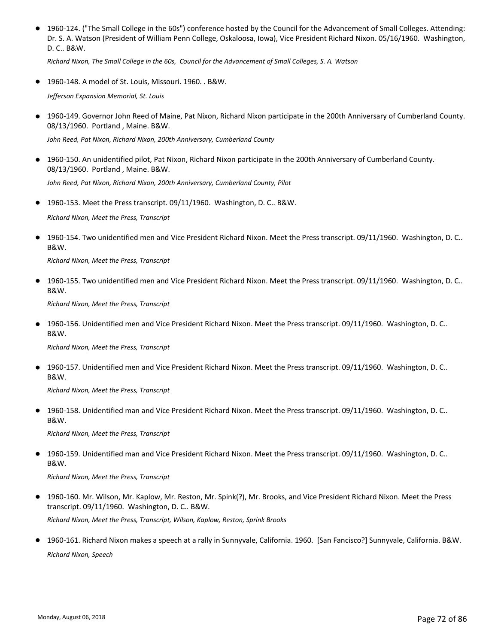● 1960-124. ("The Small College in the 60s") conference hosted by the Council for the Advancement of Small Colleges. Attending: Dr. S. A. Watson (President of William Penn College, Oskaloosa, Iowa), Vice President Richard Nixon. 05/16/1960. Washington, D. C.. B&W.

*Richard Nixon, The Small College in the 60s, Council for the Advancement of Small Colleges, S. A. Watson*

● 1960-148. A model of St. Louis, Missouri. 1960. . B&W.

*Jefferson Expansion Memorial, St. Louis*

● 1960-149. Governor John Reed of Maine, Pat Nixon, Richard Nixon participate in the 200th Anniversary of Cumberland County. 08/13/1960. Portland , Maine. B&W.

*John Reed, Pat Nixon, Richard Nixon, 200th Anniversary, Cumberland County*

● 1960-150. An unidentified pilot, Pat Nixon, Richard Nixon participate in the 200th Anniversary of Cumberland County. 08/13/1960. Portland , Maine. B&W.

*John Reed, Pat Nixon, Richard Nixon, 200th Anniversary, Cumberland County, Pilot*

● 1960-153. Meet the Press transcript. 09/11/1960. Washington, D. C.. B&W.

*Richard Nixon, Meet the Press, Transcript*

1960-154. Two unidentified men and Vice President Richard Nixon. Meet the Press transcript. 09/11/1960. Washington, D. C.. B&W. ●

*Richard Nixon, Meet the Press, Transcript*

● 1960-155. Two unidentified men and Vice President Richard Nixon. Meet the Press transcript. 09/11/1960. Washington, D. C.. B&W.

*Richard Nixon, Meet the Press, Transcript*

1960-156. Unidentified men and Vice President Richard Nixon. Meet the Press transcript. 09/11/1960. Washington, D. C.. B&W.  $\bullet$ 

*Richard Nixon, Meet the Press, Transcript*

1960-157. Unidentified men and Vice President Richard Nixon. Meet the Press transcript. 09/11/1960. Washington, D. C.. B&W.  $\bullet$ 

*Richard Nixon, Meet the Press, Transcript*

1960-158. Unidentified man and Vice President Richard Nixon. Meet the Press transcript. 09/11/1960. Washington, D. C.. B&W. ●

*Richard Nixon, Meet the Press, Transcript*

1960-159. Unidentified man and Vice President Richard Nixon. Meet the Press transcript. 09/11/1960. Washington, D. C.. B&W.  $\bullet$ 

*Richard Nixon, Meet the Press, Transcript*

- 1960-160. Mr. Wilson, Mr. Kaplow, Mr. Reston, Mr. Spink(?), Mr. Brooks, and Vice President Richard Nixon. Meet the Press transcript. 09/11/1960. Washington, D. C.. B&W. ● *Richard Nixon, Meet the Press, Transcript, Wilson, Kaplow, Reston, Sprink Brooks*
- 1960-161. Richard Nixon makes a speech at a rally in Sunnyvale, California. 1960. [San Fancisco?] Sunnyvale, California. B&W. *Richard Nixon, Speech*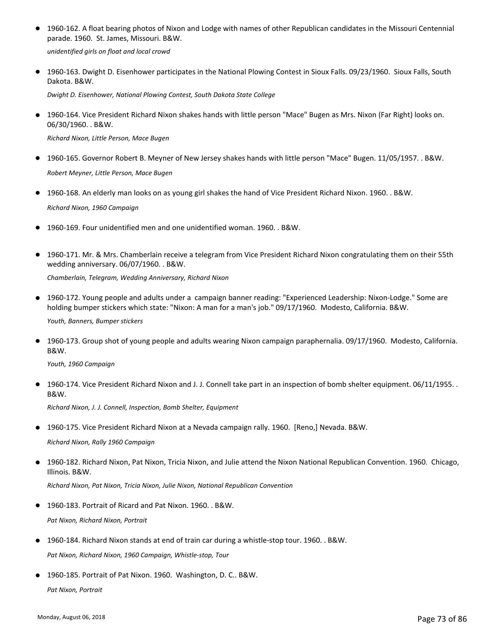● 1960-162. A float bearing photos of Nixon and Lodge with names of other Republican candidates in the Missouri Centennial parade. 1960. St. James, Missouri. B&W.

*unidentified girls on float and local crowd*

● 1960-163. Dwight D. Eisenhower participates in the National Plowing Contest in Sioux Falls. 09/23/1960. Sioux Falls, South Dakota. B&W.

*Dwight D. Eisenhower, National Plowing Contest, South Dakota State College*

● 1960-164. Vice President Richard Nixon shakes hands with little person "Mace" Bugen as Mrs. Nixon (Far Right) looks on. 06/30/1960. . B&W.

*Richard Nixon, Little Person, Mace Bugen*

- 1960-165. Governor Robert B. Meyner of New Jersey shakes hands with little person "Mace" Bugen. 11/05/1957. . B&W. *Robert Meyner, Little Person, Mace Bugen*
- 1960-168. An elderly man looks on as young girl shakes the hand of Vice President Richard Nixon. 1960. . B&W. *Richard Nixon, 1960 Campaign*
- 1960-169. Four unidentified men and one unidentified woman. 1960. . B&W.
- 1960-171. Mr. & Mrs. Chamberlain receive a telegram from Vice President Richard Nixon congratulating them on their 55th wedding anniversary. 06/07/1960. . B&W.

*Chamberlain, Telegram, Wedding Anniversary, Richard Nixon*

● 1960-172. Young people and adults under a campaign banner reading: "Experienced Leadership: Nixon-Lodge." Some are holding bumper stickers which state: "Nixon: A man for a man's job." 09/17/1960. Modesto, California. B&W.

*Youth, Banners, Bumper stickers*

● 1960-173. Group shot of young people and adults wearing Nixon campaign paraphernalia. 09/17/1960. Modesto, California. B&W.

*Youth, 1960 Campaign*

● 1960-174. Vice President Richard Nixon and J. J. Connell take part in an inspection of bomb shelter equipment. 06/11/1955. . B&W.

*Richard Nixon, J. J. Connell, Inspection, Bomb Shelter, Equipment*

● 1960-175. Vice President Richard Nixon at a Nevada campaign rally. 1960. [Reno,] Nevada. B&W.

*Richard Nixon, Rally 1960 Campaign*

1960-182. Richard Nixon, Pat Nixon, Tricia Nixon, and Julie attend the Nixon National Republican Convention. 1960. Chicago, Illinois. B&W. ●

*Richard Nixon, Pat Nixon, Tricia Nixon, Julie Nixon, National Republican Convention*

● 1960-183. Portrait of Ricard and Pat Nixon. 1960. . B&W.

*Pat Nixon, Richard Nixon, Portrait*

- 1960-184. Richard Nixon stands at end of train car during a whistle-stop tour. 1960. . B&W. *Pat Nixon, Richard Nixon, 1960 Campaign, Whistle-stop, Tour*
- 1960-185. Portrait of Pat Nixon. 1960. Washington, D. C.. B&W.

*Pat Nixon, Portrait*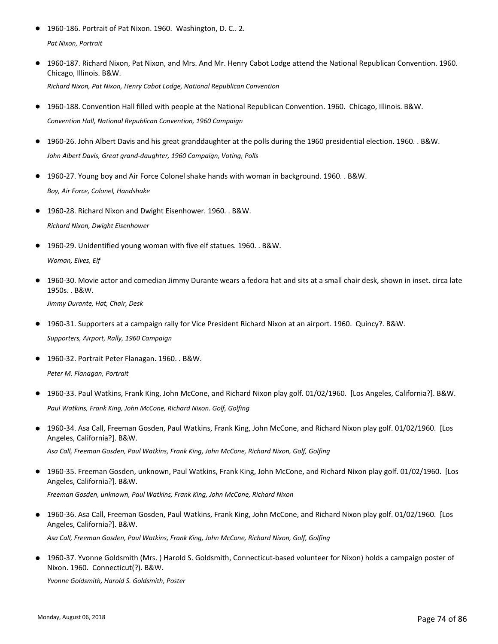- 1960-186. Portrait of Pat Nixon. 1960. Washington, D. C.. 2. *Pat Nixon, Portrait*
- 1960-187. Richard Nixon, Pat Nixon, and Mrs. And Mr. Henry Cabot Lodge attend the National Republican Convention. 1960. Chicago, Illinois. B&W. *Richard Nixon, Pat Nixon, Henry Cabot Lodge, National Republican Convention*
- 1960-188. Convention Hall filled with people at the National Republican Convention. 1960. Chicago, Illinois. B&W. *Convention Hall, National Republican Convention, 1960 Campaign*
- 1960-26. John Albert Davis and his great granddaughter at the polls during the 1960 presidential election. 1960. . B&W. *John Albert Davis, Great grand-daughter, 1960 Campaign, Voting, Polls*
- 1960-27. Young boy and Air Force Colonel shake hands with woman in background. 1960. . B&W. *Boy, Air Force, Colonel, Handshake*
- 1960-28. Richard Nixon and Dwight Eisenhower. 1960. . B&W. *Richard Nixon, Dwight Eisenhower*
- 1960-29. Unidentified young woman with five elf statues. 1960. . B&W. *Woman, Elves, Elf*
- 1960-30. Movie actor and comedian Jimmy Durante wears a fedora hat and sits at a small chair desk, shown in inset. circa late 1950s. . B&W.

*Jimmy Durante, Hat, Chair, Desk*

- 1960-31. Supporters at a campaign rally for Vice President Richard Nixon at an airport. 1960. Quincy?. B&W. *Supporters, Airport, Rally, 1960 Campaign*
- 1960-32. Portrait Peter Flanagan. 1960. . B&W. *Peter M. Flanagan, Portrait*
- 1960-33. Paul Watkins, Frank King, John McCone, and Richard Nixon play golf. 01/02/1960. [Los Angeles, California?]. B&W. *Paul Watkins, Frank King, John McCone, Richard Nixon. Golf, Golfing*
- 1960-34. Asa Call, Freeman Gosden, Paul Watkins, Frank King, John McCone, and Richard Nixon play golf. 01/02/1960. [Los Angeles, California?]. B&W.

*Asa Call, Freeman Gosden, Paul Watkins, Frank King, John McCone, Richard Nixon, Golf, Golfing*

● 1960-35. Freeman Gosden, unknown, Paul Watkins, Frank King, John McCone, and Richard Nixon play golf. 01/02/1960. [Los Angeles, California?]. B&W.

*Freeman Gosden, unknown, Paul Watkins, Frank King, John McCone, Richard Nixon*

● 1960-36. Asa Call, Freeman Gosden, Paul Watkins, Frank King, John McCone, and Richard Nixon play golf. 01/02/1960. [Los Angeles, California?]. B&W.

*Asa Call, Freeman Gosden, Paul Watkins, Frank King, John McCone, Richard Nixon, Golf, Golfing*

1960-37. Yvonne Goldsmith (Mrs. ) Harold S. Goldsmith, Connecticut-based volunteer for Nixon) holds a campaign poster of ● Nixon. 1960. Connecticut(?). B&W.

*Yvonne Goldsmith, Harold S. Goldsmith, Poster*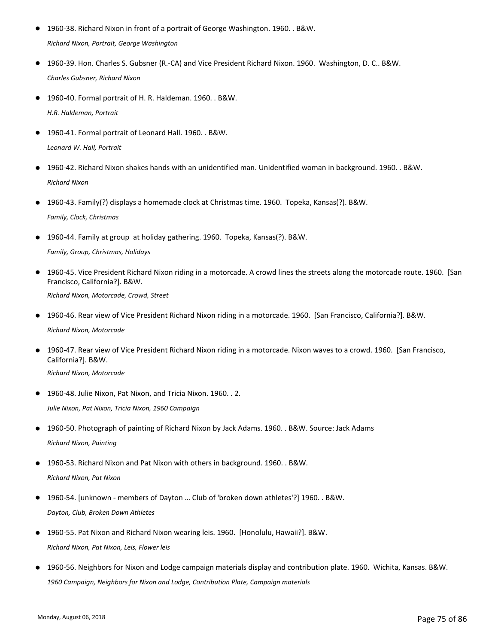- 1960-38. Richard Nixon in front of a portrait of George Washington. 1960. . B&W. *Richard Nixon, Portrait, George Washington*
- 1960-39. Hon. Charles S. Gubsner (R.-CA) and Vice President Richard Nixon. 1960. Washington, D. C.. B&W. *Charles Gubsner, Richard Nixon*
- 1960-40. Formal portrait of H. R. Haldeman. 1960. . B&W. *H.R. Haldeman, Portrait*
- 1960-41. Formal portrait of Leonard Hall. 1960. . B&W. *Leonard W. Hall, Portrait*
- 1960-42. Richard Nixon shakes hands with an unidentified man. Unidentified woman in background. 1960. . B&W. *Richard Nixon*
- 1960-43. Family(?) displays a homemade clock at Christmas time. 1960. Topeka, Kansas(?). B&W. *Family, Clock, Christmas*
- 1960-44. Family at group at holiday gathering. 1960. Topeka, Kansas(?). B&W. *Family, Group, Christmas, Holidays*
- 1960-45. Vice President Richard Nixon riding in a motorcade. A crowd lines the streets along the motorcade route. 1960. [San Francisco, California?]. B&W.

*Richard Nixon, Motorcade, Crowd, Street*

- 1960-46. Rear view of Vice President Richard Nixon riding in a motorcade. 1960. [San Francisco, California?]. B&W. *Richard Nixon, Motorcade*
- 1960-47. Rear view of Vice President Richard Nixon riding in a motorcade. Nixon waves to a crowd. 1960. [San Francisco, California?]. B&W.  $\bullet$

*Richard Nixon, Motorcade*

● 1960-48. Julie Nixon, Pat Nixon, and Tricia Nixon. 1960. . 2.

*Julie Nixon, Pat Nixon, Tricia Nixon, 1960 Campaign*

● 1960-50. Photograph of painting of Richard Nixon by Jack Adams. 1960. . B&W. Source: Jack Adams *Richard Nixon, Painting*

● 1960-53. Richard Nixon and Pat Nixon with others in background. 1960. . B&W. *Richard Nixon, Pat Nixon*

- 1960-54. [unknown members of Dayton ... Club of 'broken down athletes'?] 1960. . B&W. *Dayton, Club, Broken Down Athletes*
- 1960-55. Pat Nixon and Richard Nixon wearing leis. 1960. [Honolulu, Hawaii?]. B&W. *Richard Nixon, Pat Nixon, Leis, Flower leis*
- 1960-56. Neighbors for Nixon and Lodge campaign materials display and contribution plate. 1960. Wichita, Kansas. B&W. *1960 Campaign, Neighbors for Nixon and Lodge, Contribution Plate, Campaign materials*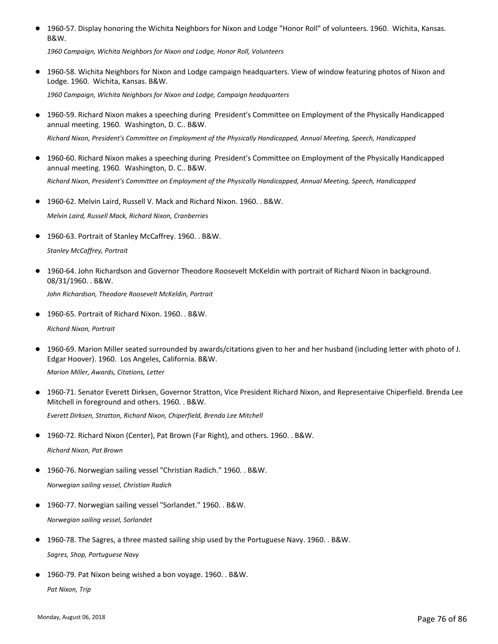● 1960-57. Display honoring the Wichita Neighbors for Nixon and Lodge "Honor Roll" of volunteers. 1960. Wichita, Kansas. B&W.

*1960 Campaign, Wichita Neighbors for Nixon and Lodge, Honor Roll, Volunteers*

● 1960-58. Wichita Neighbors for Nixon and Lodge campaign headquarters. View of window featuring photos of Nixon and Lodge. 1960. Wichita, Kansas. B&W.

*1960 Campaign, Wichita Neighbors for Nixon and Lodge, Campaign headquarters*

● 1960-59. Richard Nixon makes a speeching during President's Committee on Employment of the Physically Handicapped annual meeting. 1960. Washington, D. C.. B&W.

*Richard Nixon, President's Committee on Employment of the Physically Handicapped, Annual Meeting, Speech, Handicapped*

- 1960-60. Richard Nixon makes a speeching during President's Committee on Employment of the Physically Handicapped annual meeting. 1960. Washington, D. C.. B&W. *Richard Nixon, President's Committee on Employment of the Physically Handicapped, Annual Meeting, Speech, Handicapped*
- 1960-62. Melvin Laird, Russell V. Mack and Richard Nixon. 1960. . B&W.

*Melvin Laird, Russell Mack, Richard Nixon, Cranberries*

● 1960-63. Portrait of Stanley McCaffrey. 1960. . B&W.

*Stanley McCaffrey, Portrait*

● 1960-64. John Richardson and Governor Theodore Roosevelt McKeldin with portrait of Richard Nixon in background. 08/31/1960. . B&W.

*John Richardson, Theodore Roosevelt McKeldin, Portrait*

- 1960-65. Portrait of Richard Nixon. 1960. . B&W. *Richard Nixon, Portrait*
- 1960-69. Marion Miller seated surrounded by awards/citations given to her and her husband (including letter with photo of J. Edgar Hoover). 1960. Los Angeles, California. B&W.

*Marion Miller, Awards, Citations, Letter*

● 1960-71. Senator Everett Dirksen, Governor Stratton, Vice President Richard Nixon, and Representaive Chiperfield. Brenda Lee Mitchell in foreground and others. 1960. . B&W.

*Everett Dirksen, Stratton, Richard Nixon, Chiperfield, Brenda Lee Mitchell*

1960-72. Richard Nixon (Center), Pat Brown (Far Right), and others. 1960. . B&W.

*Richard Nixon, Pat Brown*

- 1960-76. Norwegian sailing vessel "Christian Radich." 1960. . B&W. *Norwegian sailing vessel, Christian Radich*
- 1960-77. Norwegian sailing vessel "Sorlandet." 1960. . B&W. *Norwegian sailing vessel, Sorlandet*
- 1960-78. The Sagres, a three masted sailing ship used by the Portuguese Navy. 1960. . B&W. *Sagres, Shop, Portuguese Navy*
- 1960-79. Pat Nixon being wished a bon voyage. 1960. . B&W. *Pat Nixon, Trip*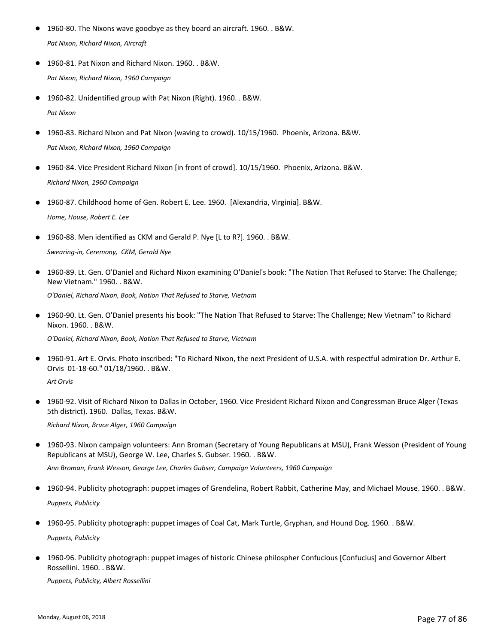- 1960-80. The Nixons wave goodbye as they board an aircraft. 1960. . B&W. *Pat Nixon, Richard Nixon, Aircraft*
- 1960-81. Pat Nixon and Richard Nixon. 1960. . B&W. *Pat Nixon, Richard Nixon, 1960 Campaign*
- 1960-82. Unidentified group with Pat Nixon (Right). 1960. . B&W. *Pat Nixon*
- 1960-83. Richard NIxon and Pat Nixon (waving to crowd). 10/15/1960. Phoenix, Arizona. B&W. *Pat Nixon, Richard Nixon, 1960 Campaign*
- 1960-84. Vice President Richard Nixon [in front of crowd]. 10/15/1960. Phoenix, Arizona. B&W. *Richard Nixon, 1960 Campaign*
- 1960-87. Childhood home of Gen. Robert E. Lee. 1960. [Alexandria, Virginia]. B&W. *Home, House, Robert E. Lee*
- 1960-88. Men identified as CKM and Gerald P. Nye [L to R?]. 1960. . B&W. *Swearing-in, Ceremony, CKM, Gerald Nye*
- 1960-89. Lt. Gen. O'Daniel and Richard Nixon examining O'Daniel's book: "The Nation That Refused to Starve: The Challenge; New Vietnam." 1960. . B&W.

*O'Daniel, Richard Nixon, Book, Nation That Refused to Starve, Vietnam*

● 1960-90. Lt. Gen. O'Daniel presents his book: "The Nation That Refused to Starve: The Challenge; New Vietnam" to Richard Nixon. 1960. . B&W.

*O'Daniel, Richard Nixon, Book, Nation That Refused to Starve, Vietnam*

- 1960-91. Art E. Orvis. Photo inscribed: "To Richard Nixon, the next President of U.S.A. with respectful admiration Dr. Arthur E. Orvis 01-18-60." 01/18/1960. . B&W. *Art Orvis*
- 1960-92. Visit of Richard Nixon to Dallas in October, 1960. Vice President Richard Nixon and Congressman Bruce Alger (Texas 5th district). 1960. Dallas, Texas. B&W.

*Richard Nixon, Bruce Alger, 1960 Campaign*

- 1960-93. Nixon campaign volunteers: Ann Broman (Secretary of Young Republicans at MSU), Frank Wesson (President of Young Republicans at MSU), George W. Lee, Charles S. Gubser. 1960. . B&W.  $\bullet$ *Ann Broman, Frank Wesson, George Lee, Charles Gubser, Campaign Volunteers, 1960 Campaign*
- 1960-94. Publicity photograph: puppet images of Grendelina, Robert Rabbit, Catherine May, and Michael Mouse. 1960. . B&W. *Puppets, Publicity*
- 1960-95. Publicity photograph: puppet images of Coal Cat, Mark Turtle, Gryphan, and Hound Dog. 1960. . B&W. *Puppets, Publicity*
- 1960-96. Publicity photograph: puppet images of historic Chinese philospher Confucious [Confucius] and Governor Albert Rossellini. 1960. . B&W.

*Puppets, Publicity, Albert Rossellini*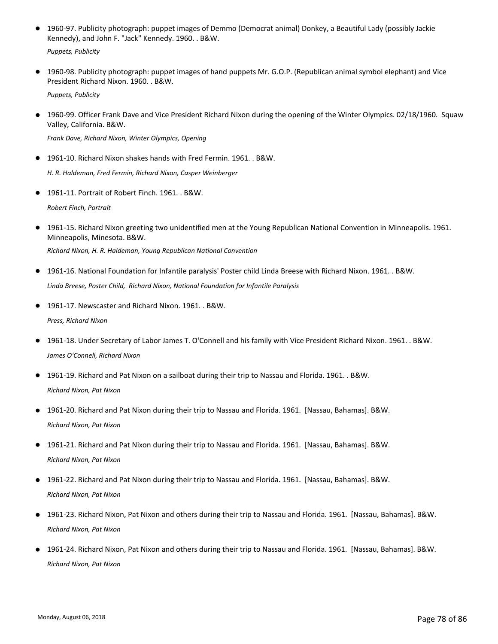1960-97. Publicity photograph: puppet images of Demmo (Democrat animal) Donkey, a Beautiful Lady (possibly Jackie Kennedy), and John F. "Jack" Kennedy. 1960. . B&W. ●

*Puppets, Publicity*

1960-98. Publicity photograph: puppet images of hand puppets Mr. G.O.P. (Republican animal symbol elephant) and Vice President Richard Nixon. 1960. . B&W. ●

*Puppets, Publicity*

● 1960-99. Officer Frank Dave and Vice President Richard Nixon during the opening of the Winter Olympics. 02/18/1960. Squaw Valley, California. B&W.

*Frank Dave, Richard Nixon, Winter Olympics, Opening*

- 1961-10. Richard Nixon shakes hands with Fred Fermin. 1961. . B&W. *H. R. Haldeman, Fred Fermin, Richard Nixon, Casper Weinberger*
- 1961-11. Portrait of Robert Finch. 1961. . B&W. *Robert Finch, Portrait*
- 1961-15. Richard Nixon greeting two unidentified men at the Young Republican National Convention in Minneapolis. 1961. Minneapolis, Minesota. B&W.

*Richard Nixon, H. R. Haldeman, Young Republican National Convention*

- 1961-16. National Foundation for Infantile paralysis' Poster child Linda Breese with Richard Nixon. 1961. . B&W. *Linda Breese, Poster Child, Richard Nixon, National Foundation for Infantile Paralysis*
- 1961-17. Newscaster and Richard Nixon. 1961. . B&W. *Press, Richard Nixon*
- 1961-18. Under Secretary of Labor James T. O'Connell and his family with Vice President Richard Nixon. 1961. . B&W. *James O'Connell, Richard Nixon*
- 1961-19. Richard and Pat Nixon on a sailboat during their trip to Nassau and Florida. 1961. . B&W. *Richard Nixon, Pat Nixon*
- 1961-20. Richard and Pat Nixon during their trip to Nassau and Florida. 1961. [Nassau, Bahamas]. B&W. *Richard Nixon, Pat Nixon*
- 1961-21. Richard and Pat Nixon during their trip to Nassau and Florida. 1961. [Nassau, Bahamas]. B&W. *Richard Nixon, Pat Nixon*
- 1961-22. Richard and Pat Nixon during their trip to Nassau and Florida. 1961. [Nassau, Bahamas]. B&W. *Richard Nixon, Pat Nixon*
- 1961-23. Richard Nixon, Pat Nixon and others during their trip to Nassau and Florida. 1961. [Nassau, Bahamas]. B&W. *Richard Nixon, Pat Nixon*
- 1961-24. Richard Nixon, Pat Nixon and others during their trip to Nassau and Florida. 1961. [Nassau, Bahamas]. B&W. *Richard Nixon, Pat Nixon*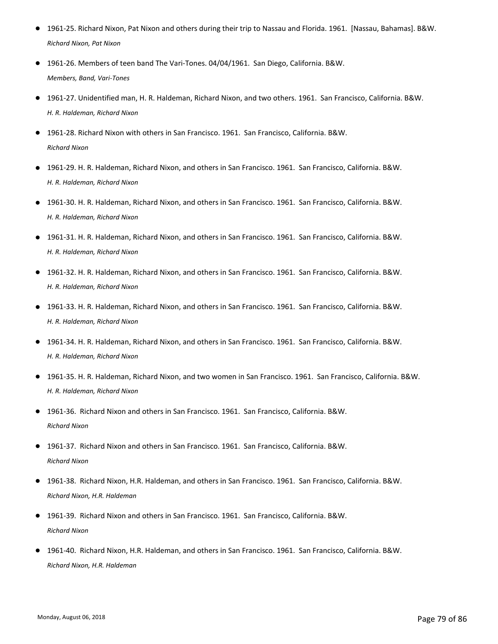- 1961-25. Richard Nixon, Pat Nixon and others during their trip to Nassau and Florida. 1961. [Nassau, Bahamas]. B&W. *Richard Nixon, Pat Nixon*
- 1961-26. Members of teen band The Vari-Tones. 04/04/1961. San Diego, California. B&W. *Members, Band, Vari-Tones*
- 1961-27. Unidentified man, H. R. Haldeman, Richard Nixon, and two others. 1961. San Francisco, California. B&W. *H. R. Haldeman, Richard Nixon*
- 1961-28. Richard Nixon with others in San Francisco. 1961. San Francisco. California. B&W. *Richard Nixon*
- 1961-29. H. R. Haldeman, Richard Nixon, and others in San Francisco. 1961. San Francisco, California. B&W. *H. R. Haldeman, Richard Nixon*
- 1961-30. H. R. Haldeman, Richard Nixon, and others in San Francisco. 1961. San Francisco, California. B&W. *H. R. Haldeman, Richard Nixon*
- 1961-31. H. R. Haldeman, Richard Nixon, and others in San Francisco. 1961. San Francisco, California. B&W. *H. R. Haldeman, Richard Nixon*
- 1961-32. H. R. Haldeman, Richard Nixon, and others in San Francisco. 1961. San Francisco, California. B&W. *H. R. Haldeman, Richard Nixon*
- 1961-33. H. R. Haldeman, Richard Nixon, and others in San Francisco. 1961. San Francisco, California. B&W. *H. R. Haldeman, Richard Nixon*
- 1961-34. H. R. Haldeman, Richard Nixon, and others in San Francisco. 1961. San Francisco, California. B&W. *H. R. Haldeman, Richard Nixon*
- 1961-35. H. R. Haldeman, Richard Nixon, and two women in San Francisco. 1961. San Francisco, California. B&W. *H. R. Haldeman, Richard Nixon*
- 1961-36. Richard Nixon and others in San Francisco. 1961. San Francisco, California. B&W. *Richard Nixon*
- 1961-37. Richard Nixon and others in San Francisco. 1961. San Francisco, California. B&W. *Richard Nixon*
- 1961-38. Richard Nixon, H.R. Haldeman, and others in San Francisco. 1961. San Francisco, California. B&W. *Richard Nixon, H.R. Haldeman*
- 1961-39. Richard Nixon and others in San Francisco. 1961. San Francisco, California. B&W. *Richard Nixon*
- 1961-40. Richard Nixon, H.R. Haldeman, and others in San Francisco. 1961. San Francisco, California. B&W. *Richard Nixon, H.R. Haldeman*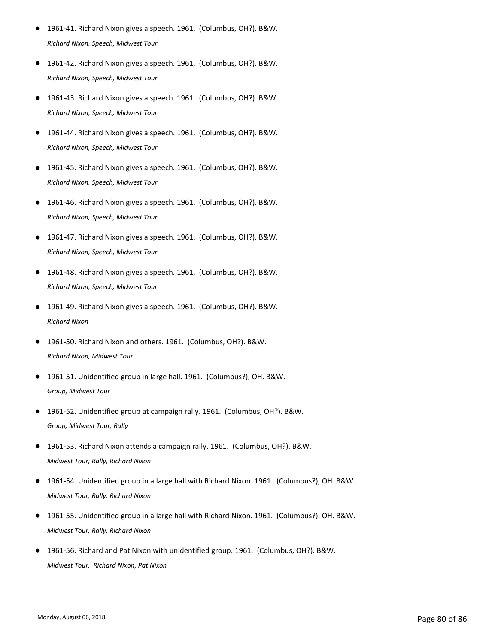- 1961-41. Richard Nixon gives a speech. 1961. (Columbus, OH?). B&W. *Richard Nixon, Speech, Midwest Tour*
- 1961-42. Richard Nixon gives a speech. 1961. (Columbus, OH?). B&W. *Richard Nixon, Speech, Midwest Tour*
- 1961-43. Richard Nixon gives a speech. 1961. (Columbus, OH?). B&W. *Richard Nixon, Speech, Midwest Tour*
- 1961-44. Richard Nixon gives a speech. 1961. (Columbus, OH?). B&W. *Richard Nixon, Speech, Midwest Tour*
- 1961-45. Richard Nixon gives a speech. 1961. (Columbus, OH?). B&W. *Richard Nixon, Speech, Midwest Tour*
- 1961-46. Richard Nixon gives a speech. 1961. (Columbus, OH?). B&W. *Richard Nixon, Speech, Midwest Tour*
- 1961-47. Richard Nixon gives a speech. 1961. (Columbus, OH?). B&W. *Richard Nixon, Speech, Midwest Tour*
- 1961-48. Richard Nixon gives a speech. 1961. (Columbus, OH?). B&W. *Richard Nixon, Speech, Midwest Tour*
- 1961-49. Richard Nixon gives a speech. 1961. (Columbus, OH?). B&W. *Richard Nixon*
- 1961-50. Richard Nixon and others. 1961. (Columbus, OH?). B&W. *Richard Nixon, Midwest Tour*
- 1961-51. Unidentified group in large hall. 1961. (Columbus?), OH. B&W. *Group, Midwest Tour*
- 1961-52. Unidentified group at campaign rally. 1961. (Columbus, OH?). B&W. *Group, Midwest Tour, Rally*
- 1961-53. Richard Nixon attends a campaign rally. 1961. (Columbus, OH?). B&W. *Midwest Tour, Rally, Richard Nixon*
- 1961-54. Unidentified group in a large hall with Richard Nixon. 1961. (Columbus?), OH. B&W. *Midwest Tour, Rally, Richard Nixon*
- 1961-55. Unidentified group in a large hall with Richard Nixon. 1961. (Columbus?), OH. B&W. *Midwest Tour, Rally, Richard Nixon*
- 1961-56. Richard and Pat Nixon with unidentified group. 1961. (Columbus, OH?). B&W. *Midwest Tour, Richard Nixon, Pat Nixon*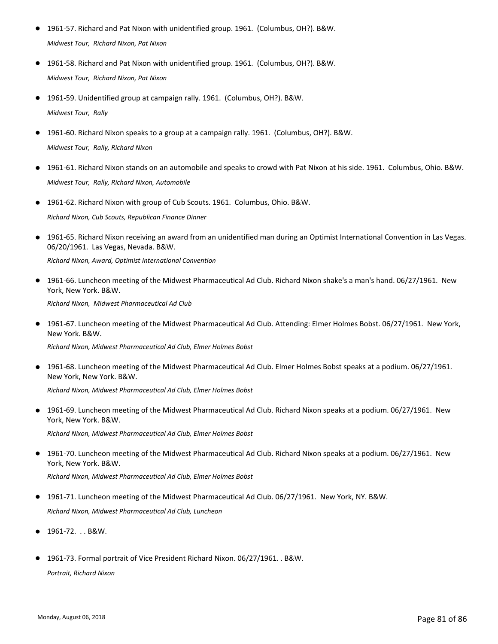- 1961-57. Richard and Pat Nixon with unidentified group. 1961. (Columbus, OH?). B&W. *Midwest Tour, Richard Nixon, Pat Nixon*
- 1961-58. Richard and Pat Nixon with unidentified group. 1961. (Columbus, OH?). B&W. *Midwest Tour, Richard Nixon, Pat Nixon*
- 1961-59. Unidentified group at campaign rally. 1961. (Columbus, OH?). B&W. *Midwest Tour, Rally*
- 1961-60. Richard Nixon speaks to a group at a campaign rally. 1961. (Columbus, OH?). B&W. *Midwest Tour, Rally, Richard Nixon*
- 1961-61. Richard Nixon stands on an automobile and speaks to crowd with Pat Nixon at his side. 1961. Columbus, Ohio. B&W. *Midwest Tour, Rally, Richard Nixon, Automobile*
- 1961-62. Richard Nixon with group of Cub Scouts. 1961. Columbus, Ohio. B&W. *Richard Nixon, Cub Scouts, Republican Finance Dinner*
- 1961-65. Richard Nixon receiving an award from an unidentified man during an Optimist International Convention in Las Vegas. 06/20/1961. Las Vegas, Nevada. B&W. *Richard Nixon, Award, Optimist International Convention*
- 1961-66. Luncheon meeting of the Midwest Pharmaceutical Ad Club. Richard Nixon shake's a man's hand. 06/27/1961. New York, New York. B&W. *Richard Nixon, Midwest Pharmaceutical Ad Club*
- 1961-67. Luncheon meeting of the Midwest Pharmaceutical Ad Club. Attending: Elmer Holmes Bobst. 06/27/1961. New York, New York. B&W.

*Richard Nixon, Midwest Pharmaceutical Ad Club, Elmer Holmes Bobst*

● 1961-68. Luncheon meeting of the Midwest Pharmaceutical Ad Club. Elmer Holmes Bobst speaks at a podium. 06/27/1961. New York, New York. B&W.

*Richard Nixon, Midwest Pharmaceutical Ad Club, Elmer Holmes Bobst*

1961-69. Luncheon meeting of the Midwest Pharmaceutical Ad Club. Richard Nixon speaks at a podium. 06/27/1961. New York, New York. B&W.  $\bullet$ 

*Richard Nixon, Midwest Pharmaceutical Ad Club, Elmer Holmes Bobst*

1961-70. Luncheon meeting of the Midwest Pharmaceutical Ad Club. Richard Nixon speaks at a podium. 06/27/1961. New York, New York. B&W.  $\bullet$ 

*Richard Nixon, Midwest Pharmaceutical Ad Club, Elmer Holmes Bobst*

- 1961-71. Luncheon meeting of the Midwest Pharmaceutical Ad Club. 06/27/1961. New York, NY. B&W. *Richard Nixon, Midwest Pharmaceutical Ad Club, Luncheon*
- 1961-72. . . B&W.
- 1961-73. Formal portrait of Vice President Richard Nixon. 06/27/1961. . B&W. *Portrait, Richard Nixon*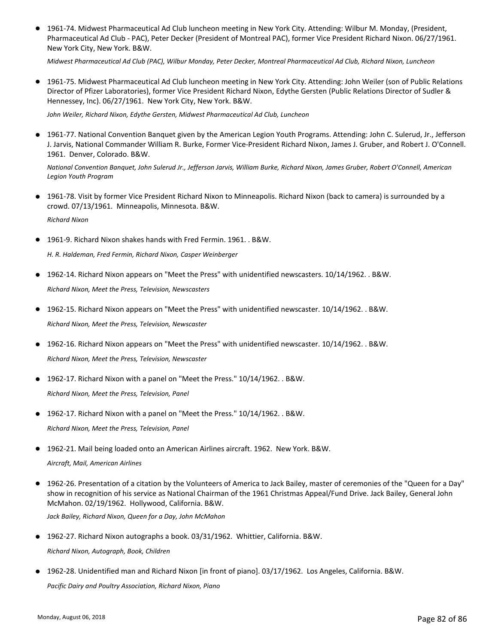● 1961-74. Midwest Pharmaceutical Ad Club luncheon meeting in New York City. Attending: Wilbur M. Monday, (President, Pharmaceutical Ad Club - PAC), Peter Decker (President of Montreal PAC), former Vice President Richard Nixon. 06/27/1961. New York City, New York. B&W.

*Midwest Pharmaceutical Ad Club (PAC), Wilbur Monday, Peter Decker, Montreal Pharmaceutical Ad Club, Richard Nixon, Luncheon*

● 1961-75. Midwest Pharmaceutical Ad Club luncheon meeting in New York City. Attending: John Weiler (son of Public Relations Director of Pfizer Laboratories), former Vice President Richard Nixon, Edythe Gersten (Public Relations Director of Sudler & Hennessey, Inc). 06/27/1961. New York City, New York. B&W.

*John Weiler, Richard Nixon, Edythe Gersten, Midwest Pharmaceutical Ad Club, Luncheon*

● 1961-77. National Convention Banquet given by the American Legion Youth Programs. Attending: John C. Sulerud, Jr., Jefferson J. Jarvis, National Commander William R. Burke, Former Vice-President Richard Nixon, James J. Gruber, and Robert J. O'Connell. 1961. Denver, Colorado. B&W.

*National Convention Banquet, John Sulerud Jr., Jefferson Jarvis, William Burke, Richard Nixon, James Gruber, Robert O'Connell, American Legion Youth Program*

- 1961-78. Visit by former Vice President Richard Nixon to Minneapolis. Richard Nixon (back to camera) is surrounded by a crowd. 07/13/1961. Minneapolis, Minnesota. B&W. *Richard Nixon*
- 1961-9. Richard Nixon shakes hands with Fred Fermin. 1961. . B&W.

*H. R. Haldeman, Fred Fermin, Richard Nixon, Casper Weinberger*

- 1962-14. Richard Nixon appears on "Meet the Press" with unidentified newscasters. 10/14/1962. . B&W. *Richard Nixon, Meet the Press, Television, Newscasters*
- 1962-15. Richard Nixon appears on "Meet the Press" with unidentified newscaster. 10/14/1962. . B&W. *Richard Nixon, Meet the Press, Television, Newscaster*
- 1962-16. Richard Nixon appears on "Meet the Press" with unidentified newscaster. 10/14/1962. . B&W. *Richard Nixon, Meet the Press, Television, Newscaster*
- 1962-17. Richard Nixon with a panel on "Meet the Press." 10/14/1962. . B&W. *Richard Nixon, Meet the Press, Television, Panel*
- 1962-17. Richard Nixon with a panel on "Meet the Press." 10/14/1962. . B&W. *Richard Nixon, Meet the Press, Television, Panel*
- 1962-21. Mail being loaded onto an American Airlines aircraft. 1962. New York. B&W. *Aircraft, Mail, American Airlines*
- 1962-26. Presentation of a citation by the Volunteers of America to Jack Bailey, master of ceremonies of the "Queen for a Day" show in recognition of his service as National Chairman of the 1961 Christmas Appeal/Fund Drive. Jack Bailey, General John McMahon. 02/19/1962. Hollywood, California. B&W.

*Jack Bailey, Richard Nixon, Queen for a Day, John McMahon*

● 1962-27. Richard Nixon autographs a book. 03/31/1962. Whittier, California. B&W.

*Richard Nixon, Autograph, Book, Children*

● 1962-28. Unidentified man and Richard Nixon [in front of piano]. 03/17/1962. Los Angeles, California. B&W. *Pacific Dairy and Poultry Association, Richard Nixon, Piano*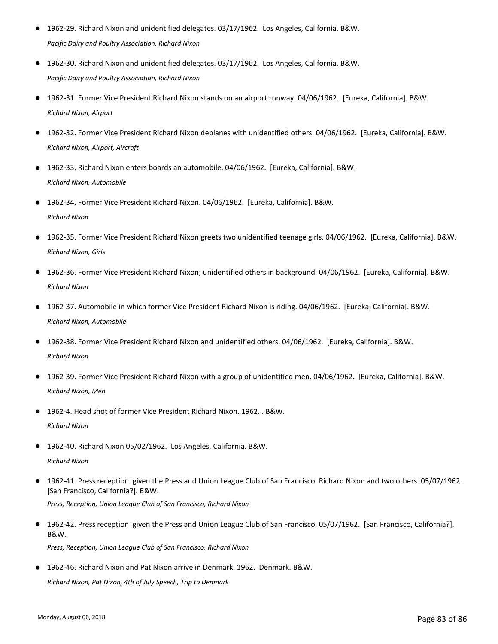- 1962-29. Richard Nixon and unidentified delegates. 03/17/1962. Los Angeles, California. B&W. *Pacific Dairy and Poultry Association, Richard Nixon*
- 1962-30. Richard Nixon and unidentified delegates. 03/17/1962. Los Angeles, California. B&W. *Pacific Dairy and Poultry Association, Richard Nixon*
- 1962-31. Former Vice President Richard Nixon stands on an airport runway. 04/06/1962. [Eureka, California]. B&W. *Richard Nixon, Airport*
- 1962-32. Former Vice President Richard Nixon deplanes with unidentified others. 04/06/1962. [Eureka, California]. B&W. *Richard Nixon, Airport, Aircraft*
- 1962-33. Richard Nixon enters boards an automobile. 04/06/1962. [Eureka, California]. B&W. *Richard Nixon, Automobile*
- 1962-34. Former Vice President Richard Nixon. 04/06/1962. [Eureka, California]. B&W. *Richard Nixon*
- 1962-35. Former Vice President Richard Nixon greets two unidentified teenage girls. 04/06/1962. [Eureka, California]. B&W. *Richard Nixon, Girls*
- 1962-36. Former Vice President Richard Nixon; unidentified others in background. 04/06/1962. [Eureka, California]. B&W. *Richard Nixon*
- 1962-37. Automobile in which former Vice President Richard Nixon is riding. 04/06/1962. [Eureka, California]. B&W. *Richard Nixon, Automobile*
- 1962-38. Former Vice President Richard Nixon and unidentified others. 04/06/1962. [Eureka, California]. B&W. *Richard Nixon*
- 1962-39. Former Vice President Richard Nixon with a group of unidentified men. 04/06/1962. [Eureka, California]. B&W. *Richard Nixon, Men*
- 1962-4. Head shot of former Vice President Richard Nixon. 1962. . B&W. *Richard Nixon*
- 1962-40. Richard Nixon 05/02/1962. Los Angeles, California. B&W. *Richard Nixon*
- 1962-41. Press reception given the Press and Union League Club of San Francisco. Richard Nixon and two others. 05/07/1962. [San Francisco, California?]. B&W. *Press, Reception, Union League Club of San Francisco, Richard Nixon*
- 1962-42. Press reception given the Press and Union League Club of San Francisco. 05/07/1962. [San Francisco, California?]. B&W. *Press, Reception, Union League Club of San Francisco, Richard Nixon*
- 1962-46. Richard Nixon and Pat Nixon arrive in Denmark. 1962. Denmark. B&W.

*Richard Nixon, Pat Nixon, 4th of July Speech, Trip to Denmark*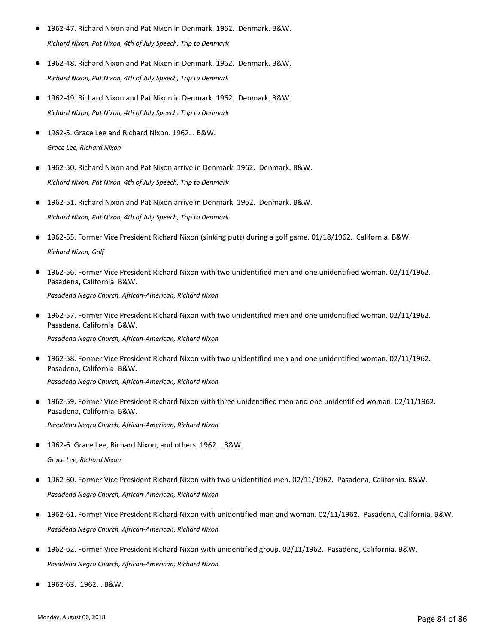- 1962-47. Richard Nixon and Pat Nixon in Denmark. 1962. Denmark. B&W. *Richard Nixon, Pat Nixon, 4th of July Speech, Trip to Denmark*
- 1962-48. Richard Nixon and Pat Nixon in Denmark. 1962. Denmark. B&W. *Richard Nixon, Pat Nixon, 4th of July Speech, Trip to Denmark*
- 1962-49. Richard Nixon and Pat Nixon in Denmark. 1962. Denmark. B&W. *Richard Nixon, Pat Nixon, 4th of July Speech, Trip to Denmark*
- 1962-5. Grace Lee and Richard Nixon. 1962. . B&W. *Grace Lee, Richard Nixon*
- 1962-50. Richard Nixon and Pat Nixon arrive in Denmark. 1962. Denmark. B&W. *Richard Nixon, Pat Nixon, 4th of July Speech, Trip to Denmark*
- 1962-51. Richard Nixon and Pat Nixon arrive in Denmark. 1962. Denmark. B&W. *Richard Nixon, Pat Nixon, 4th of July Speech, Trip to Denmark*
- 1962-55. Former Vice President Richard Nixon (sinking putt) during a golf game. 01/18/1962. California. B&W. *Richard Nixon, Golf*
- 1962-56. Former Vice President Richard Nixon with two unidentified men and one unidentified woman. 02/11/1962. Pasadena, California. B&W. ●

*Pasadena Negro Church, African-American, Richard Nixon*

● 1962-57. Former Vice President Richard Nixon with two unidentified men and one unidentified woman. 02/11/1962. Pasadena, California. B&W.

*Pasadena Negro Church, African-American, Richard Nixon*

- 1962-58. Former Vice President Richard Nixon with two unidentified men and one unidentified woman. 02/11/1962. Pasadena, California. B&W.  $\bullet$ *Pasadena Negro Church, African-American, Richard Nixon*
- 1962-59. Former Vice President Richard Nixon with three unidentified men and one unidentified woman. 02/11/1962. Pasadena, California. B&W.  $\bullet$ *Pasadena Negro Church, African-American, Richard Nixon*
- 1962-6. Grace Lee, Richard Nixon, and others. 1962. . B&W. *Grace Lee, Richard Nixon*
- 1962-60. Former Vice President Richard Nixon with two unidentified men. 02/11/1962. Pasadena, California. B&W. *Pasadena Negro Church, African-American, Richard Nixon*
- 1962-61. Former Vice President Richard Nixon with unidentified man and woman. 02/11/1962. Pasadena, California. B&W. *Pasadena Negro Church, African-American, Richard Nixon*
- 1962-62. Former Vice President Richard Nixon with unidentified group. 02/11/1962. Pasadena, California. B&W. *Pasadena Negro Church, African-American, Richard Nixon*
- 1962-63. 1962. . B&W.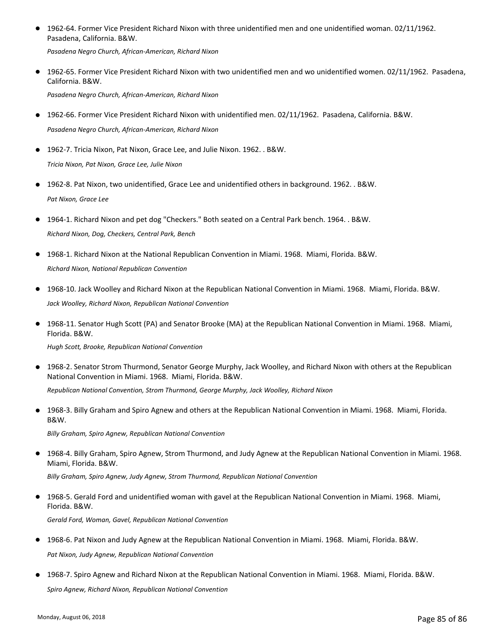1962-64. Former Vice President Richard Nixon with three unidentified men and one unidentified woman. 02/11/1962. Pasadena, California. B&W. ●

*Pasadena Negro Church, African-American, Richard Nixon*

● 1962-65. Former Vice President Richard Nixon with two unidentified men and wo unidentified women. 02/11/1962. Pasadena, California. B&W.

*Pasadena Negro Church, African-American, Richard Nixon*

- 1962-66. Former Vice President Richard Nixon with unidentified men. 02/11/1962. Pasadena, California. B&W. *Pasadena Negro Church, African-American, Richard Nixon*
- 1962-7. Tricia Nixon, Pat Nixon, Grace Lee, and Julie Nixon. 1962. . B&W. *Tricia Nixon, Pat Nixon, Grace Lee, Julie Nixon*
- 1962-8. Pat Nixon, two unidentified, Grace Lee and unidentified others in background. 1962. . B&W. *Pat Nixon, Grace Lee*
- 1964-1. Richard Nixon and pet dog "Checkers." Both seated on a Central Park bench. 1964. . B&W. *Richard Nixon, Dog, Checkers, Central Park, Bench*
- 1968-1. Richard Nixon at the National Republican Convention in Miami. 1968. Miami, Florida. B&W. *Richard Nixon, National Republican Convention*
- 1968-10. Jack Woolley and Richard Nixon at the Republican National Convention in Miami. 1968. Miami, Florida. B&W. *Jack Woolley, Richard Nixon, Republican National Convention*
- 1968-11. Senator Hugh Scott (PA) and Senator Brooke (MA) at the Republican National Convention in Miami. 1968. Miami, Florida. B&W.  $\bullet$

*Hugh Scott, Brooke, Republican National Convention*

- 1968-2. Senator Strom Thurmond, Senator George Murphy, Jack Woolley, and Richard Nixon with others at the Republican National Convention in Miami. 1968. Miami, Florida. B&W.  $\bullet$ *Republican National Convention, Strom Thurmond, George Murphy, Jack Woolley, Richard Nixon*
- 1968-3. Billy Graham and Spiro Agnew and others at the Republican National Convention in Miami. 1968. Miami, Florida. B&W. ●

*Billy Graham, Spiro Agnew, Republican National Convention*

1968-4. Billy Graham, Spiro Agnew, Strom Thurmond, and Judy Agnew at the Republican National Convention in Miami. 1968. Miami, Florida. B&W.  $\bullet$ 

*Billy Graham, Spiro Agnew, Judy Agnew, Strom Thurmond, Republican National Convention*

- 1968-5. Gerald Ford and unidentified woman with gavel at the Republican National Convention in Miami. 1968. Miami, Florida. B&W. *Gerald Ford, Woman, Gavel, Republican National Convention*
- 1968-6. Pat Nixon and Judy Agnew at the Republican National Convention in Miami. 1968. Miami, Florida. B&W. *Pat Nixon, Judy Agnew, Republican National Convention*
- 1968-7. Spiro Agnew and Richard Nixon at the Republican National Convention in Miami. 1968. Miami, Florida. B&W. *Spiro Agnew, Richard Nixon, Republican National Convention*